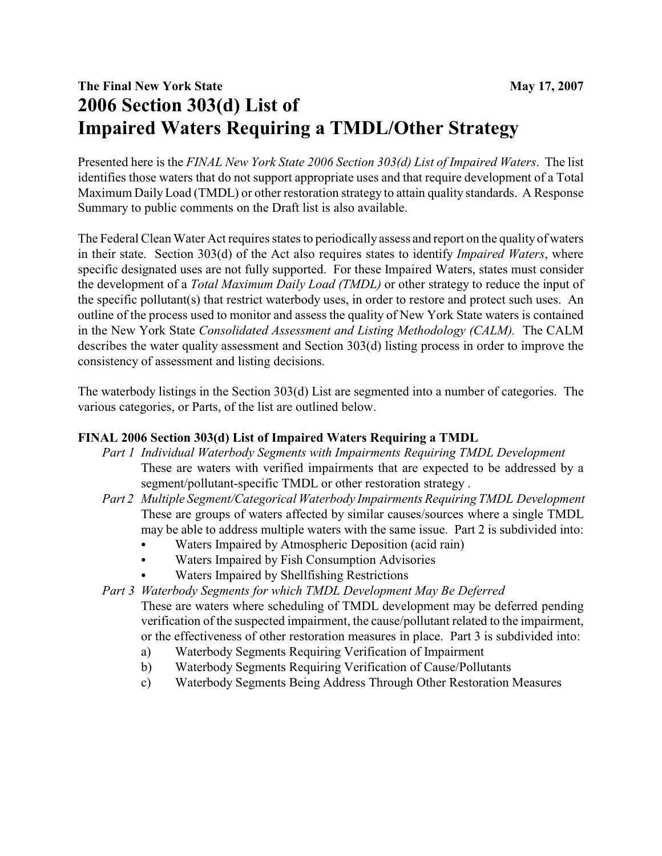# **The Final New York State May 17, 2007 2006 Section 303(d) List of Impaired Waters Requiring a TMDL/Other Strategy**

Presented here is the *FINAL New York State 2006 Section 303(d) List of Impaired Waters*. The list identifies those waters that do not support appropriate uses and that require development of a Total Maximum Daily Load (TMDL) or other restoration strategy to attain quality standards. A Response Summary to public comments on the Draft list is also available.

The Federal Clean Water Act requires states to periodically assess and report on the quality of waters in their state. Section 303(d) of the Act also requires states to identify *Impaired Waters*, where specific designated uses are not fully supported. For these Impaired Waters, states must consider the development of a *Total Maximum Daily Load (TMDL)* or other strategy to reduce the input of the specific pollutant(s) that restrict waterbody uses, in order to restore and protect such uses. An outline of the process used to monitor and assess the quality of New York State waters is contained in the New York State *Consolidated Assessment and Listing Methodology (CALM).* The CALM describes the water quality assessment and Section 303(d) listing process in order to improve the consistency of assessment and listing decisions.

The waterbody listings in the Section 303(d) List are segmented into a number of categories. The various categories, or Parts, of the list are outlined below.

# **FINAL 2006 Section 303(d) List of Impaired Waters Requiring a TMDL**

- *Part 1 Individual Waterbody Segments with Impairments Requiring TMDL Development* These are waters with verified impairments that are expected to be addressed by a segment/pollutant-specific TMDL or other restoration strategy .
- *Part 2 Multiple Segment/Categorical Waterbody Impairments Requiring TMDL Development* These are groups of waters affected by similar causes/sources where a single TMDL may be able to address multiple waters with the same issue. Part 2 is subdivided into:
	- Waters Impaired by Atmospheric Deposition (acid rain)
	- Waters Impaired by Fish Consumption Advisories
	- Waters Impaired by Shellfishing Restrictions
- *Part 3 Waterbody Segments for which TMDL Development May Be Deferred*

These are waters where scheduling of TMDL development may be deferred pending verification of the suspected impairment, the cause/pollutant related to the impairment, or the effectiveness of other restoration measures in place. Part 3 is subdivided into:

- a) Waterbody Segments Requiring Verification of Impairment
- b) Waterbody Segments Requiring Verification of Cause/Pollutants
- c) Waterbody Segments Being Address Through Other Restoration Measures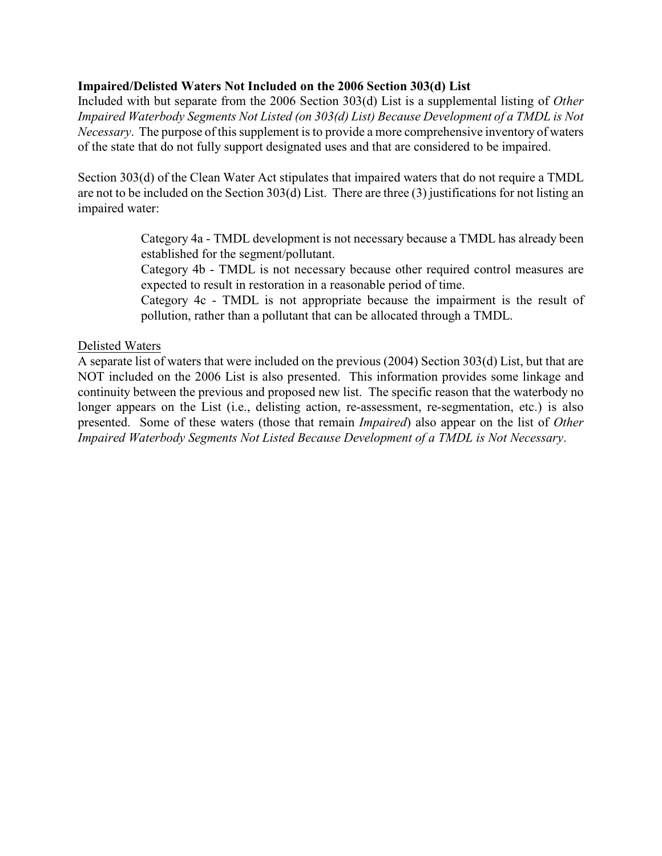### **Impaired/Delisted Waters Not Included on the 2006 Section 303(d) List**

Included with but separate from the 2006 Section 303(d) List is a supplemental listing of *Other Impaired Waterbody Segments Not Listed (on 303(d) List) Because Development of a TMDL is Not Necessary*. The purpose of this supplement is to provide a more comprehensive inventory of waters of the state that do not fully support designated uses and that are considered to be impaired.

Section 303(d) of the Clean Water Act stipulates that impaired waters that do not require a TMDL are not to be included on the Section 303(d) List. There are three (3) justifications for not listing an impaired water:

> Category 4a - TMDL development is not necessary because a TMDL has already been established for the segment/pollutant.

> Category 4b - TMDL is not necessary because other required control measures are expected to result in restoration in a reasonable period of time.

> Category 4c - TMDL is not appropriate because the impairment is the result of pollution, rather than a pollutant that can be allocated through a TMDL.

#### Delisted Waters

A separate list of waters that were included on the previous (2004) Section 303(d) List, but that are NOT included on the 2006 List is also presented. This information provides some linkage and continuity between the previous and proposed new list. The specific reason that the waterbody no longer appears on the List (i.e., delisting action, re-assessment, re-segmentation, etc.) is also presented. Some of these waters (those that remain *Impaired*) also appear on the list of *Other Impaired Waterbody Segments Not Listed Because Development of a TMDL is Not Necessary*.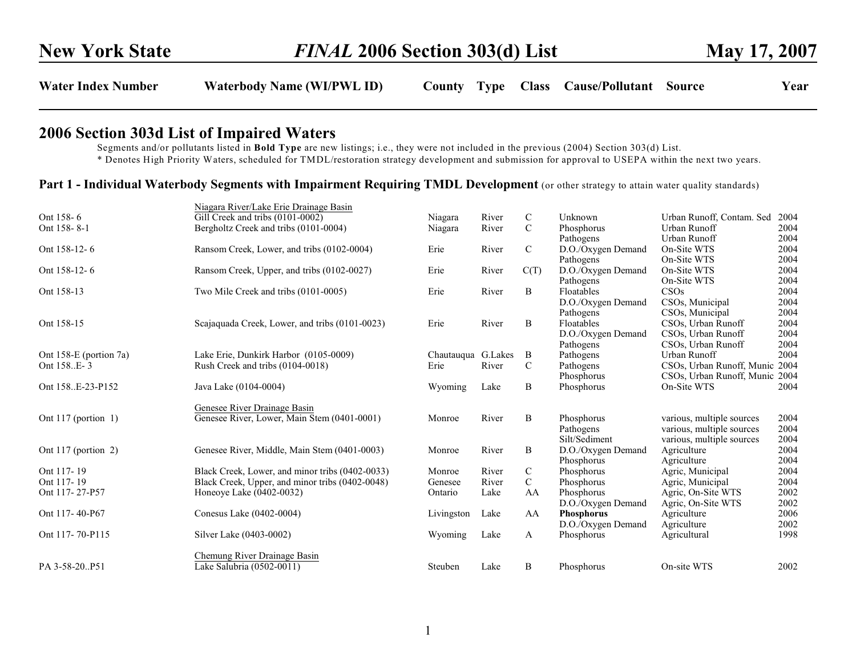| Waterbody Name (WI/PWL ID)<br>Water Index Number |  |  |  | County Type Class Cause/Pollutant Source |  | Year |
|--------------------------------------------------|--|--|--|------------------------------------------|--|------|
|--------------------------------------------------|--|--|--|------------------------------------------|--|------|

# **2006 Section 303d List of Impaired Waters**

Segments and/or pollutants listed in **Bold Type** are new listings; i.e., they were not included in the previous (2004) Section 303(d) List.

\* Denotes High Priority Waters, scheduled for TMDL/restoration strategy development and submission for approval to USEPA within the next two years.

#### Part 1 - Individual Waterbody Segments with Impairment Requiring TMDL Development (or other strategy to attain water quality standards)

|                        | Niagara River/Lake Erie Drainage Basin          |                    |       |               |                    |                                 |      |
|------------------------|-------------------------------------------------|--------------------|-------|---------------|--------------------|---------------------------------|------|
| Ont 158-6              | Gill Creek and tribs (0101-0002)                | Niagara            | River | $\mathbf C$   | Unknown            | Urban Runoff, Contam. Sed       | 2004 |
| Ont 158-8-1            | Bergholtz Creek and tribs (0101-0004)           | Niagara            | River | $\mathbf C$   | Phosphorus         | Urban Runoff                    | 2004 |
|                        |                                                 |                    |       |               | Pathogens          | Urban Runoff                    | 2004 |
| Ont 158-12-6           | Ransom Creek, Lower, and tribs (0102-0004)      | Erie               | River | C             | D.O./Oxygen Demand | On-Site WTS                     | 2004 |
|                        |                                                 |                    |       |               | Pathogens          | On-Site WTS                     | 2004 |
| Ont 158-12-6           | Ransom Creek, Upper, and tribs (0102-0027)      | Erie               | River | C(T)          | D.O./Oxygen Demand | On-Site WTS                     | 2004 |
|                        |                                                 |                    |       |               | Pathogens          | On-Site WTS                     | 2004 |
| Ont 158-13             | Two Mile Creek and tribs (0101-0005)            | Erie               | River | B             | Floatables         | CSOs                            | 2004 |
|                        |                                                 |                    |       |               | D.O./Oxygen Demand | CSOs, Municipal                 | 2004 |
|                        |                                                 |                    |       |               | Pathogens          | CSOs, Municipal                 | 2004 |
| Ont 158-15             | Scajaguada Creek, Lower, and tribs (0101-0023)  | Erie               | River | B             | Floatables         | CSOs, Urban Runoff              | 2004 |
|                        |                                                 |                    |       |               | D.O./Oxygen Demand | CSOs, Urban Runoff              | 2004 |
|                        |                                                 |                    |       |               | Pathogens          | CSO <sub>s</sub> , Urban Runoff | 2004 |
| Ont 158-E (portion 7a) | Lake Erie, Dunkirk Harbor (0105-0009)           | Chautauqua G.Lakes |       | B             | Pathogens          | Urban Runoff                    | 2004 |
| Ont 158E-3             | Rush Creek and tribs (0104-0018)                | Erie               | River | $\mathcal{C}$ | Pathogens          | CSOs, Urban Runoff, Munic 2004  |      |
|                        |                                                 |                    |       |               | Phosphorus         | CSOs, Urban Runoff, Munic 2004  |      |
| Ont 158E-23-P152       | Java Lake (0104-0004)                           | Wyoming            | Lake  | B             | Phosphorus         | On-Site WTS                     | 2004 |
|                        |                                                 |                    |       |               |                    |                                 |      |
|                        | Genesee River Drainage Basin                    |                    |       |               |                    |                                 |      |
| Ont $117$ (portion 1)  | Genesee River, Lower, Main Stem (0401-0001)     | Monroe             | River | B             | Phosphorus         | various, multiple sources       | 2004 |
|                        |                                                 |                    |       |               | Pathogens          | various, multiple sources       | 2004 |
|                        |                                                 |                    |       |               | Silt/Sediment      | various, multiple sources       | 2004 |
| Ont $117$ (portion 2)  | Genesee River, Middle, Main Stem (0401-0003)    | Monroe             | River | B             | D.O./Oxygen Demand | Agriculture                     | 2004 |
|                        |                                                 |                    |       |               | Phosphorus         | Agriculture                     | 2004 |
| Ont 117-19             | Black Creek, Lower, and minor tribs (0402-0033) | Monroe             | River | C             | Phosphorus         | Agric, Municipal                | 2004 |
| Ont 117-19             | Black Creek, Upper, and minor tribs (0402-0048) | Genesee            | River | $\mathbf C$   | Phosphorus         | Agric, Municipal                | 2004 |
| Ont 117-27-P57         | Honeove Lake (0402-0032)                        | Ontario            | Lake  | AA            | Phosphorus         | Agric, On-Site WTS              | 2002 |
|                        |                                                 |                    |       |               | D.O./Oxygen Demand | Agric, On-Site WTS              | 2002 |
| Ont 117-40-P67         | Conesus Lake (0402-0004)                        | Livingston         | Lake  | AA            | <b>Phosphorus</b>  | Agriculture                     | 2006 |
|                        |                                                 |                    |       |               | D.O./Oxygen Demand | Agriculture                     | 2002 |
| Ont 117-70-P115        | Silver Lake (0403-0002)                         | Wyoming            | Lake  | A             | Phosphorus         | Agricultural                    | 1998 |
|                        |                                                 |                    |       |               |                    |                                 |      |
|                        | Chemung River Drainage Basin                    |                    |       |               |                    |                                 |      |
| PA 3-58-20P51          | Lake Salubria (0502-0011)                       | Steuben            | Lake  | B             | Phosphorus         | On-site WTS                     | 2002 |
|                        |                                                 |                    |       |               |                    |                                 |      |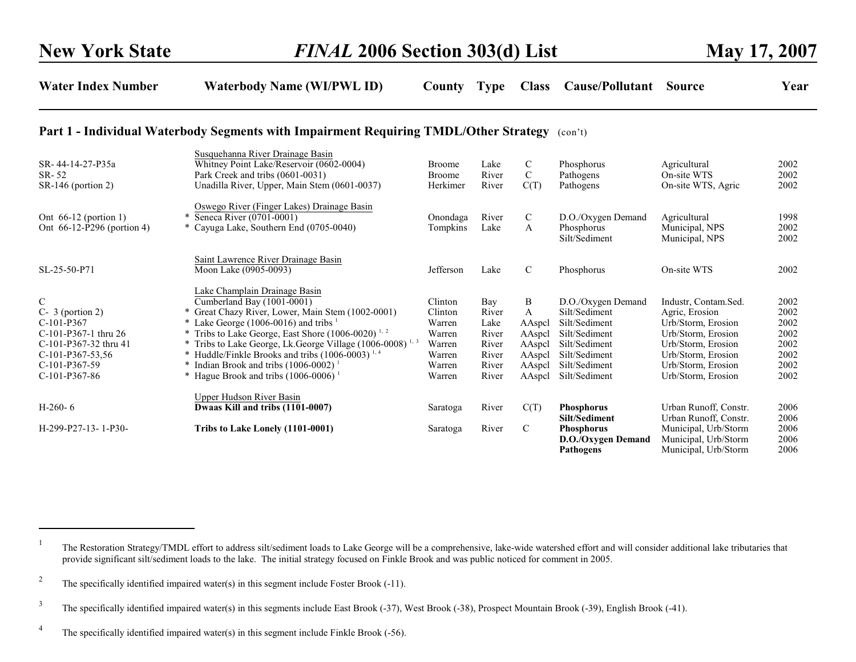| <b>Water Index Number</b>                                                                                                                        | <b>Waterbody Name (WI/PWL ID)</b>                                                                                                                                                                                                                                                                                                                                                                                                                                | <b>County</b>                                                                  | <b>Type</b>                                                       | <b>Class</b>                                                                  | <b>Cause/Pollutant</b>                                                                                                                    | <b>Source</b>                                                                                                                                                              | Year                                                         |
|--------------------------------------------------------------------------------------------------------------------------------------------------|------------------------------------------------------------------------------------------------------------------------------------------------------------------------------------------------------------------------------------------------------------------------------------------------------------------------------------------------------------------------------------------------------------------------------------------------------------------|--------------------------------------------------------------------------------|-------------------------------------------------------------------|-------------------------------------------------------------------------------|-------------------------------------------------------------------------------------------------------------------------------------------|----------------------------------------------------------------------------------------------------------------------------------------------------------------------------|--------------------------------------------------------------|
|                                                                                                                                                  | Part 1 - Individual Waterbody Segments with Impairment Requiring TMDL/Other Strategy                                                                                                                                                                                                                                                                                                                                                                             |                                                                                |                                                                   |                                                                               | (con't)                                                                                                                                   |                                                                                                                                                                            |                                                              |
| SR-44-14-27-P35a<br>$SR-52$<br>$SR-146$ (portion 2)                                                                                              | Susquehanna River Drainage Basin<br>Whitney Point Lake/Reservoir (0602-0004)<br>Park Creek and tribs (0601-0031)<br>Unadilla River, Upper, Main Stem (0601-0037)                                                                                                                                                                                                                                                                                                 | <b>Broome</b><br><b>Broome</b><br>Herkimer                                     | Lake<br>River<br>River                                            | $\mathcal{C}$<br>$\mathbf C$<br>C(T)                                          | Phosphorus<br>Pathogens<br>Pathogens                                                                                                      | Agricultural<br>On-site WTS<br>On-site WTS, Agric                                                                                                                          | 2002<br>2002<br>2002                                         |
| Ont $66-12$ (portion 1)<br>Ont 66-12-P296 (portion 4)                                                                                            | Oswego River (Finger Lakes) Drainage Basin<br>Seneca River (0701-0001)<br>Cayuga Lake, Southern End (0705-0040)                                                                                                                                                                                                                                                                                                                                                  | Onondaga<br>Tompkins                                                           | River<br>Lake                                                     | $\mathcal{C}$<br>A                                                            | D.O./Oxygen Demand<br>Phosphorus<br>Silt/Sediment                                                                                         | Agricultural<br>Municipal, NPS<br>Municipal, NPS                                                                                                                           | 1998<br>2002<br>2002                                         |
| SL-25-50-P71                                                                                                                                     | Saint Lawrence River Drainage Basin<br>Moon Lake (0905-0093)                                                                                                                                                                                                                                                                                                                                                                                                     | Jefferson                                                                      | Lake                                                              | $\mathcal{C}$                                                                 | Phosphorus                                                                                                                                | On-site WTS                                                                                                                                                                | 2002                                                         |
| C<br>C- $3$ (portion 2)<br>C-101-P367<br>C-101-P367-1 thru 26<br>C-101-P367-32 thru 41<br>C-101-P367-53,56<br>$C-101-P367-59$<br>$C-101-P367-86$ | Lake Champlain Drainage Basin<br>Cumberland Bay (1001-0001)<br>* Great Chazy River, Lower, Main Stem (1002-0001)<br>* Lake George (1006-0016) and tribs<br>* Tribs to Lake George, East Shore $(1006-0020)^{1,2}$<br>* Tribs to Lake George, Lk. George Village (1006-0008) <sup>1, 3</sup><br>* Huddle/Finkle Brooks and tribs $(1006-0003)^{1,4}$<br>* Indian Brook and tribs $(1006-0002)$ <sup>1</sup><br>* Hague Brook and tribs $(1006-0006)$ <sup>1</sup> | Clinton<br>Clinton<br>Warren<br>Warren<br>Warren<br>Warren<br>Warren<br>Warren | Bay<br>River<br>Lake<br>River<br>River<br>River<br>River<br>River | B<br>$\mathbf{A}$<br>AAspcl<br>AAspel<br>AAspel<br>AAspel<br>AAspel<br>AAspel | D.O./Oxygen Demand<br>Silt/Sediment<br>Silt/Sediment<br>Silt/Sediment<br>Silt/Sediment<br>Silt/Sediment<br>Silt/Sediment<br>Silt/Sediment | Industr, Contam.Sed.<br>Agric, Erosion<br>Urb/Storm, Erosion<br>Urb/Storm, Erosion<br>Urb/Storm, Erosion<br>Urb/Storm, Erosion<br>Urb/Storm, Erosion<br>Urb/Storm, Erosion | 2002<br>2002<br>2002<br>2002<br>2002<br>2002<br>2002<br>2002 |
| $H-260-6$                                                                                                                                        | Upper Hudson River Basin<br>Dwaas Kill and tribs (1101-0007)                                                                                                                                                                                                                                                                                                                                                                                                     | Saratoga                                                                       | River                                                             | C(T)                                                                          | <b>Phosphorus</b><br>Silt/Sediment                                                                                                        | Urban Runoff, Constr.<br>Urban Runoff, Constr.                                                                                                                             | 2006<br>2006                                                 |
| H-299-P27-13-1-P30-                                                                                                                              | Tribs to Lake Lonely (1101-0001)                                                                                                                                                                                                                                                                                                                                                                                                                                 | Saratoga                                                                       | River                                                             | $\mathbf C$                                                                   | <b>Phosphorus</b><br>D.O./Oxygen Demand<br><b>Pathogens</b>                                                                               | Municipal, Urb/Storm<br>Municipal, Urb/Storm<br>Municipal, Urb/Storm                                                                                                       | 2006<br>2006<br>2006                                         |

<sup>&</sup>lt;sup>1</sup> The Restoration Strategy/TMDL effort to address silt/sediment loads to Lake George will be a comprehensive, lake-wide watershed effort and will consider additional lake tributaries that provide significant silt/sediment loads to the lake. The initial strategy focused on Finkle Brook and was public noticed for comment in 2005.

<sup>&</sup>lt;sup>2</sup> The specifically identified impaired water(s) in this segment include Foster Brook (-11).

<sup>&</sup>lt;sup>3</sup> The specifically identified impaired water(s) in this segments include East Brook (-37), West Brook (-38), Prospect Mountain Brook (-39), English Brook (-41).

<sup>&</sup>lt;sup>4</sup> The specifically identified impaired water(s) in this segment include Finkle Brook (-56).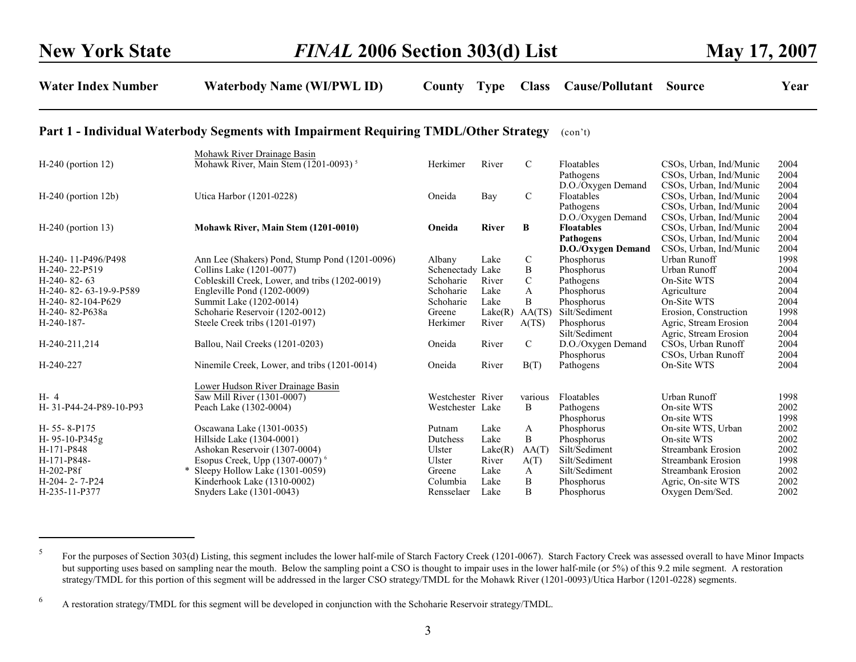#### **Part 1 - Individual Waterbody Segments with Impairment Requiring TMDL/Other Strategy** (con't)

|                        | Mohawk River Drainage Basin                      |                   |              |               |                    |                           |      |
|------------------------|--------------------------------------------------|-------------------|--------------|---------------|--------------------|---------------------------|------|
| $H-240$ (portion 12)   | Mohawk River, Main Stem (1201-0093) <sup>5</sup> | Herkimer          | River        | $\mathcal{C}$ | Floatables         | CSOs, Urban, Ind/Munic    | 2004 |
|                        |                                                  |                   |              |               | Pathogens          | CSOs, Urban, Ind/Munic    | 2004 |
|                        |                                                  |                   |              |               | D.O./Oxygen Demand | CSOs, Urban, Ind/Munic    | 2004 |
| $H-240$ (portion 12b)  | Utica Harbor (1201-0228)                         | Oneida            | Bay          | $\mathbf C$   | Floatables         | CSOs, Urban, Ind/Munic    | 2004 |
|                        |                                                  |                   |              |               | Pathogens          | CSOs, Urban, Ind/Munic    | 2004 |
|                        |                                                  |                   |              |               | D.O./Oxygen Demand | CSOs, Urban, Ind/Munic    | 2004 |
| $H-240$ (portion 13)   | Mohawk River, Main Stem (1201-0010)              | Oneida            | <b>River</b> | B             | <b>Floatables</b>  | CSOs, Urban, Ind/Munic    | 2004 |
|                        |                                                  |                   |              |               | Pathogens          | CSOs, Urban, Ind/Munic    | 2004 |
|                        |                                                  |                   |              |               | D.O./Oxygen Demand | CSOs, Urban, Ind/Munic    | 2004 |
| H-240-11-P496/P498     | Ann Lee (Shakers) Pond, Stump Pond (1201-0096)   | Albany            | Lake         | $\mathsf{C}$  | Phosphorus         | Urban Runoff              | 1998 |
| H-240-22-P519          | Collins Lake (1201-0077)                         | Schenectady Lake  |              | B             | Phosphorus         | Urban Runoff              | 2004 |
| $H-240-82-63$          | Cobleskill Creek, Lower, and tribs (1202-0019)   | Schoharie         | River        | $\mathbf C$   | Pathogens          | On-Site WTS               | 2004 |
| H-240-82-63-19-9-P589  | Engleville Pond (1202-0009)                      | Schoharie         | Lake         | A             | Phosphorus         | Agriculture               | 2004 |
| H-240-82-104-P629      | Summit Lake (1202-0014)                          | Schoharie         | Lake         | B             | Phosphorus         | On-Site WTS               | 2004 |
| H-240-82-P638a         | Schoharie Reservoir (1202-0012)                  | Greene            | Lake(R)      | AA(TS)        | Silt/Sediment      | Erosion, Construction     | 1998 |
| H-240-187-             | Steele Creek tribs (1201-0197)                   | Herkimer          | River        | A(TS)         | Phosphorus         | Agric, Stream Erosion     | 2004 |
|                        |                                                  |                   |              |               | Silt/Sediment      | Agric, Stream Erosion     | 2004 |
| H-240-211,214          | Ballou, Nail Creeks (1201-0203)                  | Oneida            | River        | $\mathbf C$   | D.O./Oxygen Demand | CSOs, Urban Runoff        | 2004 |
|                        |                                                  |                   |              |               | Phosphorus         | CSOs, Urban Runoff        | 2004 |
| H-240-227              | Ninemile Creek, Lower, and tribs (1201-0014)     | Oneida            | River        | B(T)          | Pathogens          | On-Site WTS               | 2004 |
|                        | Lower Hudson River Drainage Basin                |                   |              |               |                    |                           |      |
| H- 4                   | Saw Mill River (1301-0007)                       | Westchester River |              | various       | Floatables         | Urban Runoff              | 1998 |
| H-31-P44-24-P89-10-P93 | Peach Lake (1302-0004)                           | Westchester Lake  |              | B             | Pathogens          | On-site WTS               | 2002 |
|                        |                                                  |                   |              |               | Phosphorus         | On-site WTS               | 1998 |
| H-55-8-P175            | Oscawana Lake (1301-0035)                        | Putnam            | Lake         | A             | Phosphorus         | On-site WTS, Urban        | 2002 |
| H-95-10-P345g          | Hillside Lake (1304-0001)                        | Dutchess          | Lake         | B             | Phosphorus         | On-site WTS               | 2002 |
| H-171-P848             | Ashokan Reservoir (1307-0004)                    | Ulster            | Lake(R)      | AA(T)         | Silt/Sediment      | <b>Streambank Erosion</b> | 2002 |
| H-171-P848-            | Esopus Creek, Upp $(1307-0007)$ <sup>6</sup>     | Ulster            | River        | A(T)          | Silt/Sediment      | <b>Streambank Erosion</b> | 1998 |
| H-202-P8f              | Sleepy Hollow Lake (1301-0059)                   | Greene            | Lake         | A             | Silt/Sediment      | <b>Streambank Erosion</b> | 2002 |
| H-204-2-7-P24          | Kinderhook Lake (1310-0002)                      | Columbia          | Lake         | B             | Phosphorus         | Agric, On-site WTS        | 2002 |
| H-235-11-P377          | Snyders Lake (1301-0043)                         | Rensselaer        | Lake         | B             | Phosphorus         | Oxygen Dem/Sed.           | 2002 |

<sup>&</sup>lt;sup>5</sup> For the purposes of Section 303(d) Listing, this segment includes the lower half-mile of Starch Factory Creek (1201-0067). Starch Factory Creek was assessed overall to have Minor Impacts but supporting uses based on sampling near the mouth. Below the sampling point a CSO is thought to impair uses in the lower half-mile (or 5%) of this 9.2 mile segment. A restoration strategy/TMDL for this portion of this segment will be addressed in the larger CSO strategy/TMDL for the Mohawk River (1201-0093)/Utica Harbor (1201-0228) segments.

A restoration strategy/TMDL for this segment will be developed in conjunction with the Schoharie Reservoir strategy/TMDL. 6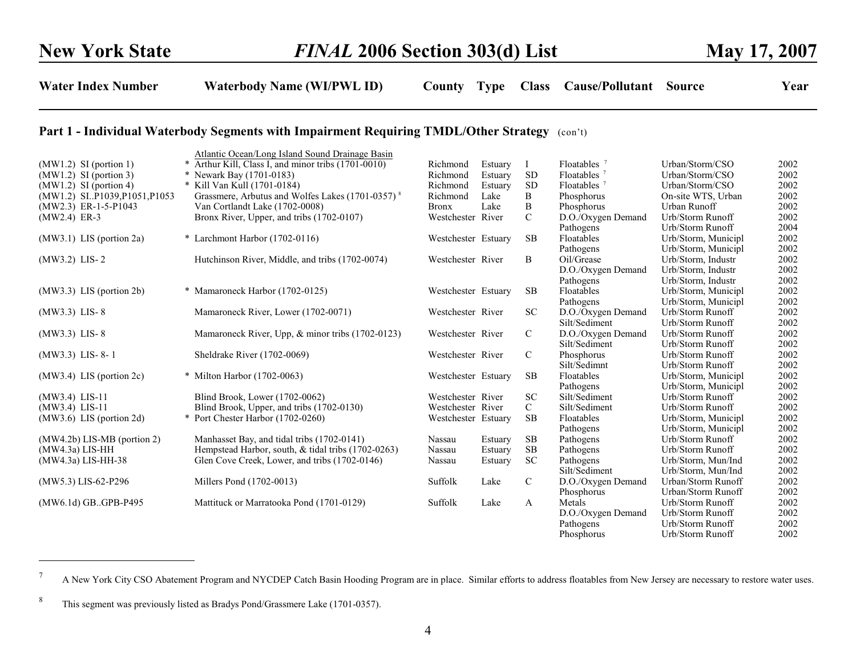| Water Index Number | Waterbody Name (WI/PWL ID) | $C$ ounty |  | Type Class Cause/Pollutant Source |  | Y ear |
|--------------------|----------------------------|-----------|--|-----------------------------------|--|-------|
|--------------------|----------------------------|-----------|--|-----------------------------------|--|-------|

### **Part 1 - Individual Waterbody Segments with Impairment Requiring TMDL/Other Strategy** (con't)

|                                  | Atlantic Ocean/Long Island Sound Drainage Basin              |                     |         |              |                         |                     |      |
|----------------------------------|--------------------------------------------------------------|---------------------|---------|--------------|-------------------------|---------------------|------|
| $(MW1.2)$ SI (portion 1)         | * Arthur Kill, Class I, and minor tribs (1701-0010)          | Richmond            | Estuary |              | Floatables <sup>7</sup> | Urban/Storm/CSO     | 2002 |
| $(MW1.2)$ SI (portion 3)         | Newark Bay (1701-0183)                                       | Richmond            | Estuary | <b>SD</b>    | Floatables <sup>7</sup> | Urban/Storm/CSO     | 2002 |
| $(MW1.2)$ SI (portion 4)         | * Kill Van Kull (1701-0184)                                  | Richmond            | Estuary | <b>SD</b>    | Floatables <sup>7</sup> | Urban/Storm/CSO     | 2002 |
| (MW1.2) SI., P1039, P1051, P1053 | Grassmere, Arbutus and Wolfes Lakes (1701-0357) <sup>8</sup> | Richmond            | Lake    | B            | Phosphorus              | On-site WTS, Urban  | 2002 |
| (MW2.3) ER-1-5-P1043             | Van Cortlandt Lake (1702-0008)                               | <b>Bronx</b>        | Lake    | $\, {\bf B}$ | Phosphorus              | Urban Runoff        | 2002 |
| $(MW2.4)$ ER-3                   | Bronx River, Upper, and tribs (1702-0107)                    | Westchester River   |         | $\mathbf C$  | D.O./Oxygen Demand      | Urb/Storm Runoff    | 2002 |
|                                  |                                                              |                     |         |              | Pathogens               | Urb/Storm Runoff    | 2004 |
| $(MW3.1)$ LIS (portion 2a)       | * Larchmont Harbor (1702-0116)                               | Westchester Estuary |         | <b>SB</b>    | Floatables              | Urb/Storm, Municipl | 2002 |
|                                  |                                                              |                     |         |              | Pathogens               | Urb/Storm, Municipl | 2002 |
| $(MW3.2)$ LIS-2                  | Hutchinson River, Middle, and tribs (1702-0074)              | Westchester River   |         | B            | Oil/Grease              | Urb/Storm, Industr  | 2002 |
|                                  |                                                              |                     |         |              | D.O./Oxygen Demand      | Urb/Storm, Industr  | 2002 |
|                                  |                                                              |                     |         |              | Pathogens               | Urb/Storm, Industr  | 2002 |
| $(MW3.3)$ LIS (portion 2b)       | * Mamaroneck Harbor (1702-0125)                              | Westchester Estuary |         | <b>SB</b>    | Floatables              | Urb/Storm, Municipl | 2002 |
|                                  |                                                              |                     |         |              | Pathogens               | Urb/Storm, Municipl | 2002 |
| $(MW3.3)$ LIS-8                  | Mamaroneck River, Lower (1702-0071)                          | Westchester River   |         | <b>SC</b>    | D.O./Oxygen Demand      | Urb/Storm Runoff    | 2002 |
|                                  |                                                              |                     |         |              | Silt/Sediment           | Urb/Storm Runoff    | 2002 |
| $(MW3.3)$ LIS-8                  | Mamaroneck River, Upp, & minor tribs (1702-0123)             | Westchester River   |         | $\mathbf C$  | D.O./Oxygen Demand      | Urb/Storm Runoff    | 2002 |
|                                  |                                                              |                     |         |              | Silt/Sediment           | Urb/Storm Runoff    | 2002 |
| $(MW3.3)$ LIS-8-1                | Sheldrake River (1702-0069)                                  | Westchester River   |         | C            | Phosphorus              | Urb/Storm Runoff    | 2002 |
|                                  |                                                              |                     |         |              | Silt/Sedimnt            | Urb/Storm Runoff    | 2002 |
| $(MW3.4)$ LIS (portion 2c)       | * Milton Harbor (1702-0063)                                  | Westchester Estuary |         | <b>SB</b>    | Floatables              | Urb/Storm, Municipl | 2002 |
|                                  |                                                              |                     |         |              | Pathogens               | Urb/Storm, Municipl | 2002 |
| $(MW3.4)$ LIS-11                 | Blind Brook, Lower (1702-0062)                               | Westchester River   |         | <b>SC</b>    | Silt/Sediment           | Urb/Storm Runoff    | 2002 |
| $(MW3.4)$ LIS-11                 | Blind Brook, Upper, and tribs (1702-0130)                    | Westchester River   |         | $\mathbf C$  | Silt/Sediment           | Urb/Storm Runoff    | 2002 |
| (MW3.6) LIS (portion 2d)         | * Port Chester Harbor (1702-0260)                            | Westchester Estuary |         | SB           | Floatables              | Urb/Storm, Municipl | 2002 |
|                                  |                                                              |                     |         |              | Pathogens               | Urb/Storm, Municipl | 2002 |
| $(MW4.2b)$ LIS-MB (portion 2)    | Manhasset Bay, and tidal tribs (1702-0141)                   | Nassau              | Estuary | <b>SB</b>    | Pathogens               | Urb/Storm Runoff    | 2002 |
| (MW4.3a) LIS-HH                  | Hempstead Harbor, south, & tidal tribs (1702-0263)           | Nassau              | Estuary | <b>SB</b>    | Pathogens               | Urb/Storm Runoff    | 2002 |
| (MW4.3a) LIS-HH-38               | Glen Cove Creek, Lower, and tribs (1702-0146)                | Nassau              | Estuary | <b>SC</b>    | Pathogens               | Urb/Storm, Mun/Ind  | 2002 |
|                                  |                                                              |                     |         |              | Silt/Sediment           | Urb/Storm, Mun/Ind  | 2002 |
| (MW5.3) LIS-62-P296              | Millers Pond (1702-0013)                                     | Suffolk             | Lake    | $\mathbf C$  | D.O./Oxygen Demand      | Urban/Storm Runoff  | 2002 |
|                                  |                                                              |                     |         |              | Phosphorus              | Urban/Storm Runoff  | 2002 |
| (MW6.1d) GB. GPB-P495            | Mattituck or Marratooka Pond (1701-0129)                     | Suffolk             | Lake    | A            | Metals                  | Urb/Storm Runoff    | 2002 |
|                                  |                                                              |                     |         |              | D.O./Oxygen Demand      | Urb/Storm Runoff    | 2002 |
|                                  |                                                              |                     |         |              | Pathogens               | Urb/Storm Runoff    | 2002 |
|                                  |                                                              |                     |         |              | Phosphorus              | Urb/Storm Runoff    | 2002 |

<sup>&</sup>lt;sup>7</sup> A New York City CSO Abatement Program and NYCDEP Catch Basin Hooding Program are in place. Similar efforts to address floatables from New Jersey are necessary to restore water uses.

This segment was previously listed as Bradys Pond/Grassmere Lake (1701-0357). <sup>8</sup>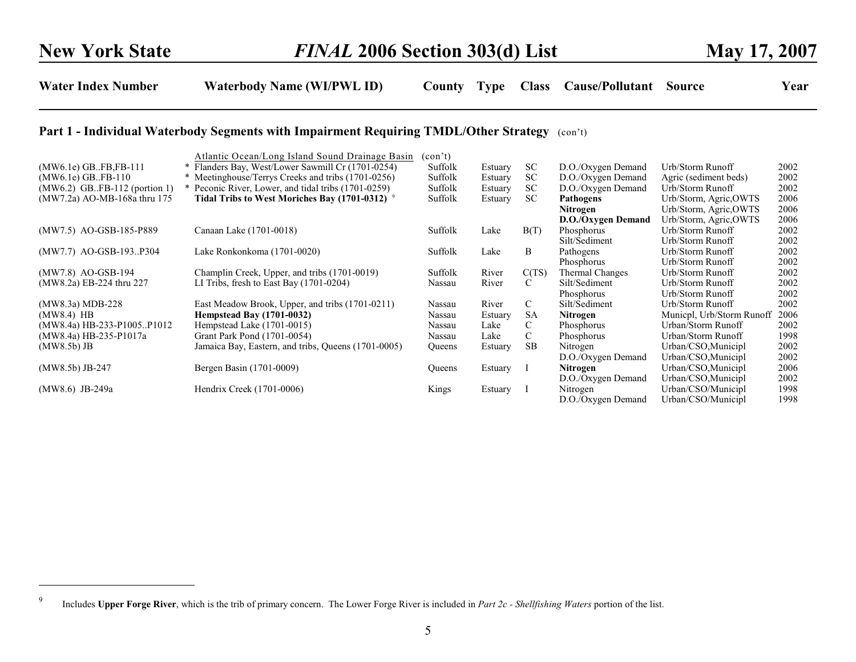| Water Index Number | Waterbody Name (WI/PWL ID) |  |  | County Type Class Cause/Pollutant Source |  | Year |
|--------------------|----------------------------|--|--|------------------------------------------|--|------|
|--------------------|----------------------------|--|--|------------------------------------------|--|------|

#### **Part 1 - Individual Waterbody Segments with Impairment Requiring TMDL/Other Strategy** (con't)

|                                  | Atlantic Ocean/Long Island Sound Drainage Basin        | (con't)       |         |           |                    |                           |      |
|----------------------------------|--------------------------------------------------------|---------------|---------|-----------|--------------------|---------------------------|------|
| $(MW6.1e)$ GBFB, FB-111          | Flanders Bay, West/Lower Sawmill Cr (1701-0254)        | Suffolk       | Estuary | SC.       | D.O./Oxygen Demand | Urb/Storm Runoff          | 2002 |
| $(MW6.1e)$ GBFB-110              | * Meetinghouse/Terrys Creeks and tribs (1701-0256)     | Suffolk       | Estuary | SC        | D.O./Oxygen Demand | Agric (sediment beds)     | 2002 |
| $(MW6.2)$ GB. FB-112 (portion 1) | Peconic River, Lower, and tidal tribs (1701-0259)      | Suffolk       | Estuary | SC.       | D.O./Oxygen Demand | Urb/Storm Runoff          | 2002 |
| (MW7.2a) AO-MB-168a thru 175     | Tidal Tribs to West Moriches Bay (1701-0312) $\degree$ | Suffolk       | Estuary | SC.       | <b>Pathogens</b>   | Urb/Storm, Agric, OWTS    | 2006 |
|                                  |                                                        |               |         |           | Nitrogen           | Urb/Storm, Agric, OWTS    | 2006 |
|                                  |                                                        |               |         |           | D.O./Oxygen Demand | Urb/Storm, Agric, OWTS    | 2006 |
| (MW7.5) AO-GSB-185-P889          | Canaan Lake (1701-0018)                                | Suffolk       | Lake    | B(T)      | Phosphorus         | Urb/Storm Runoff          | 2002 |
|                                  |                                                        |               |         |           | Silt/Sediment      | Urb/Storm Runoff          | 2002 |
| (MW7.7) AO-GSB-193P304           | Lake Ronkonkoma (1701-0020)                            | Suffolk       | Lake    | B         | Pathogens          | Urb/Storm Runoff          | 2002 |
|                                  |                                                        |               |         |           | Phosphorus         | Urb/Storm Runoff          | 2002 |
| (MW7.8) AO-GSB-194               | Champlin Creek, Upper, and tribs (1701-0019)           | Suffolk       | River   | C(TS)     | Thermal Changes    | Urb/Storm Runoff          | 2002 |
| (MW8.2a) EB-224 thru 227         | LI Tribs, fresh to East Bay $(1701-0204)$              | Nassau        | River   | C         | Silt/Sediment      | Urb/Storm Runoff          | 2002 |
|                                  |                                                        |               |         |           | Phosphorus         | Urb/Storm Runoff          | 2002 |
| (MW8.3a) MDB-228                 | East Meadow Brook, Upper, and tribs (1701-0211)        | Nassau        | River   | C         | Silt/Sediment      | Urb/Storm Runoff          | 2002 |
| $(MW8.4)$ HB                     | <b>Hempstead Bay (1701-0032)</b>                       | Nassau        | Estuary | <b>SA</b> | <b>Nitrogen</b>    | Municpl, Urb/Storm Runoff | 2006 |
| (MW8.4a) HB-233-P1005P1012       | Hempstead Lake (1701-0015)                             | Nassau        | Lake    | C         | Phosphorus         | Urban/Storm Runoff        | 2002 |
| (MW8.4a) HB-235-P1017a           | Grant Park Pond (1701-0054)                            | Nassau        | Lake    | C         | Phosphorus         | Urban/Storm Runoff        | 1998 |
| $(MW8.5b)$ JB                    | Jamaica Bay, Eastern, and tribs, Queens (1701-0005)    | <b>Oueens</b> | Estuary | <b>SB</b> | Nitrogen           | Urban/CSO,Municipl        | 2002 |
|                                  |                                                        |               |         |           | D.O./Oxygen Demand | Urban/CSO,Municipl        | 2002 |
| $(MW8.5b)$ JB-247                | Bergen Basin (1701-0009)                               | Queens        | Estuary |           | Nitrogen           | Urban/CSO, Municipl       | 2006 |
|                                  |                                                        |               |         |           | D.O./Oxygen Demand | Urban/CSO,Municipl        | 2002 |
| (MW8.6) JB-249a                  | Hendrix Creek (1701-0006)                              | Kings         | Estuary |           | Nitrogen           | Urban/CSO/Municipl        | 1998 |
|                                  |                                                        |               |         |           | D.O./Oxygen Demand | Urban/CSO/Municipl        | 1998 |

Includes **Upper Forge River**, which is the trib of primary concern. The Lower Forge River is included in *Part 2c - Shellfishing Waters* portion of the list. 9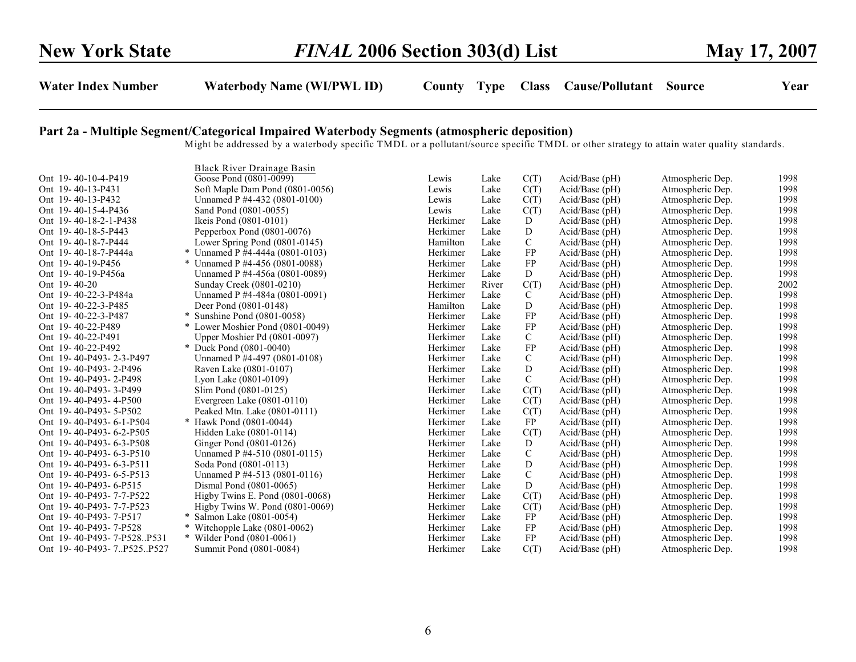#### **Part 2a - Multiple Segment/Categorical Impaired Waterbody Segments (atmospheric deposition)**

Might be addressed by a waterbody specific TMDL or a pollutant/source specific TMDL or other strategy to attain water quality standards.

|                           | <b>Black River Drainage Basin</b> |          |       |              |                  |                  |      |
|---------------------------|-----------------------------------|----------|-------|--------------|------------------|------------------|------|
| Ont 19-40-10-4-P419       | Goose Pond (0801-0099)            | Lewis    | Lake  | C(T)         | $Acid/Base$ (pH) | Atmospheric Dep. | 1998 |
| Ont 19-40-13-P431         | Soft Maple Dam Pond (0801-0056)   | Lewis    | Lake  | C(T)         | $Acid/Base$ (pH) | Atmospheric Dep. | 1998 |
| Ont 19-40-13-P432         | Unnamed P #4-432 (0801-0100)      | Lewis    | Lake  | C(T)         | $Acid/Base$ (pH) | Atmospheric Dep. | 1998 |
| Ont 19-40-15-4-P436       | Sand Pond (0801-0055)             | Lewis    | Lake  | C(T)         | Acid/Base (pH)   | Atmospheric Dep. | 1998 |
| Ont 19-40-18-2-1-P438     | Ikeis Pond (0801-0101)            | Herkimer | Lake  | D            | $Acid/Base$ (pH) | Atmospheric Dep. | 1998 |
| Ont 19-40-18-5-P443       | Pepperbox Pond (0801-0076)        | Herkimer | Lake  | D            | $Acid/Base$ (pH) | Atmospheric Dep. | 1998 |
| Ont 19-40-18-7-P444       | Lower Spring Pond (0801-0145)     | Hamilton | Lake  | $\mathbf C$  | $Acid/Base$ (pH) | Atmospheric Dep. | 1998 |
| Ont 19-40-18-7-P444a      | * Unnamed P $#4-444a(0801-0103)$  | Herkimer | Lake  | FP           | $Acid/Base$ (pH) | Atmospheric Dep. | 1998 |
| Ont 19-40-19-P456         | * Unnamed P #4-456 (0801-0088)    | Herkimer | Lake  | FP           | $Acid/Base$ (pH) | Atmospheric Dep. | 1998 |
| Ont 19-40-19-P456a        | Unnamed P #4-456a (0801-0089)     | Herkimer | Lake  | ${\rm D}$    | $Acid/Base$ (pH) | Atmospheric Dep. | 1998 |
| Ont 19-40-20              | Sunday Creek (0801-0210)          | Herkimer | River | C(T)         | $Acid/Base$ (pH) | Atmospheric Dep. | 2002 |
| Ont 19-40-22-3-P484a      | Unnamed P #4-484a (0801-0091)     | Herkimer | Lake  | $\mathsf{C}$ | $Acid/Base$ (pH) | Atmospheric Dep. | 1998 |
| Ont 19-40-22-3-P485       | Deer Pond (0801-0148)             | Hamilton | Lake  | D            | $Acid/Base$ (pH) | Atmospheric Dep. | 1998 |
| Ont 19-40-22-3-P487       | Sunshine Pond (0801-0058)         | Herkimer | Lake  | FP           | $Acid/Base$ (pH) | Atmospheric Dep. | 1998 |
| Ont 19-40-22-P489         | Lower Moshier Pond (0801-0049)    | Herkimer | Lake  | FP           | Acid/Base (pH)   | Atmospheric Dep. | 1998 |
| Ont 19-40-22-P491         | Upper Moshier Pd (0801-0097)      | Herkimer | Lake  | C            | Acid/Base (pH)   | Atmospheric Dep. | 1998 |
| Ont 19-40-22-P492         | * Duck Pond (0801-0040)           | Herkimer | Lake  | FP           | $Acid/Base$ (pH) | Atmospheric Dep. | 1998 |
| Ont 19-40-P493-2-3-P497   | Unnamed P #4-497 (0801-0108)      | Herkimer | Lake  | C            | $Acid/Base$ (pH) | Atmospheric Dep. | 1998 |
| Ont 19-40-P493-2-P496     | Raven Lake (0801-0107)            | Herkimer | Lake  | D            | $Acid/Base$ (pH) | Atmospheric Dep. | 1998 |
| Ont 19-40-P493-2-P498     | Lyon Lake (0801-0109)             | Herkimer | Lake  | $\mathbf{C}$ | $Acid/Base$ (pH) | Atmospheric Dep. | 1998 |
| Ont 19-40-P493-3-P499     | Slim Pond (0801-0125)             | Herkimer | Lake  | C(T)         | Acid/Base (pH)   | Atmospheric Dep. | 1998 |
| Ont 19-40-P493-4-P500     | Evergreen Lake (0801-0110)        | Herkimer | Lake  | C(T)         | $Acid/Base$ (pH) | Atmospheric Dep. | 1998 |
| Ont 19-40-P493-5-P502     | Peaked Mtn. Lake (0801-0111)      | Herkimer | Lake  | C(T)         | $Acid/Base$ (pH) | Atmospheric Dep. | 1998 |
| Ont 19-40-P493-6-1-P504   | * Hawk Pond (0801-0044)           | Herkimer | Lake  | FP           | $Acid/Base$ (pH) | Atmospheric Dep. | 1998 |
| Ont 19-40-P493-6-2-P505   | Hidden Lake (0801-0114)           | Herkimer | Lake  | C(T)         | $Acid/Base$ (pH) | Atmospheric Dep. | 1998 |
| Ont 19-40-P493-6-3-P508   | Ginger Pond (0801-0126)           | Herkimer | Lake  | D            | Acid/Base (pH)   | Atmospheric Dep. | 1998 |
| Ont 19-40-P493-6-3-P510   | Unnamed P #4-510 (0801-0115)      | Herkimer | Lake  | $\mathsf{C}$ | $Acid/Base$ (pH) | Atmospheric Dep. | 1998 |
| Ont 19-40-P493-6-3-P511   | Soda Pond (0801-0113)             | Herkimer | Lake  | D            | $Acid/Base$ (pH) | Atmospheric Dep. | 1998 |
| Ont 19-40-P493-6-5-P513   | Unnamed P $#4-513(0801-0116)$     | Herkimer | Lake  | $\mathbf C$  | Acid/Base (pH)   | Atmospheric Dep. | 1998 |
| Ont 19-40-P493-6-P515     | Dismal Pond (0801-0065)           | Herkimer | Lake  | D            | Acid/Base (pH)   | Atmospheric Dep. | 1998 |
| Ont 19-40-P493-7-7-P522   | Higby Twins E. Pond (0801-0068)   | Herkimer | Lake  | C(T)         | $Acid/Base$ (pH) | Atmospheric Dep. | 1998 |
| Ont 19-40-P493-7-7-P523   | Higby Twins W. Pond (0801-0069)   | Herkimer | Lake  | C(T)         | $Acid/Base$ (pH) | Atmospheric Dep. | 1998 |
| Ont 19-40-P493-7-P517     | Salmon Lake (0801-0054)           | Herkimer | Lake  | FP           | $Acid/Base$ (pH) | Atmospheric Dep. | 1998 |
| Ont 19-40-P493-7-P528     | * Witchopple Lake $(0801-0062)$   | Herkimer | Lake  | FP           | $Acid/Base$ (pH) | Atmospheric Dep. | 1998 |
| Ont 19-40-P493-7-P528P531 | * Wilder Pond (0801-0061)         | Herkimer | Lake  | FP           | $Acid/Base$ (pH) | Atmospheric Dep. | 1998 |
| Ont 19-40-P493-7P525P527  | Summit Pond (0801-0084)           | Herkimer | Lake  | C(T)         | $Acid/Base$ (pH) | Atmospheric Dep. | 1998 |
|                           |                                   |          |       |              |                  |                  |      |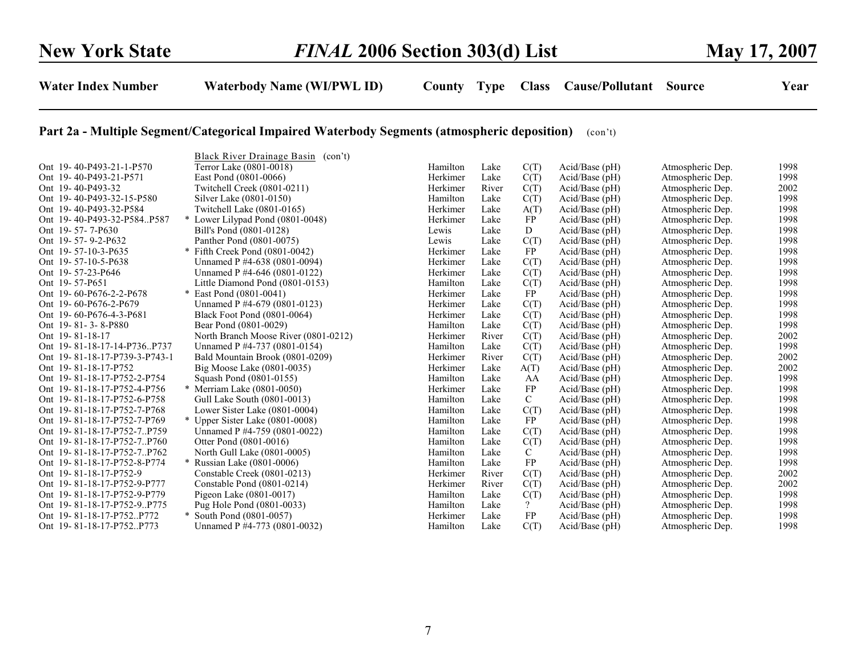### **Part 2a - Multiple Segment/Categorical Impaired Waterbody Segments (atmospheric deposition)** (con't)

|                               | Black River Drainage Basin<br>(con't) |          |       |                |                  |                  |      |
|-------------------------------|---------------------------------------|----------|-------|----------------|------------------|------------------|------|
| Ont 19-40-P493-21-1-P570      | Terror Lake (0801-0018)               | Hamilton | Lake  | C(T)           | $Acid/Base$ (pH) | Atmospheric Dep. | 1998 |
| Ont 19-40-P493-21-P571        | East Pond (0801-0066)                 | Herkimer | Lake  | C(T)           | $Acid/Base$ (pH) | Atmospheric Dep. | 1998 |
| Ont 19-40-P493-32             | Twitchell Creek (0801-0211)           | Herkimer | River | C(T)           | $Acid/Base$ (pH) | Atmospheric Dep. | 2002 |
| Ont 19-40-P493-32-15-P580     | Silver Lake (0801-0150)               | Hamilton | Lake  | C(T)           | $Acid/Base$ (pH) | Atmospheric Dep. | 1998 |
| Ont 19-40-P493-32-P584        | Twitchell Lake (0801-0165)            | Herkimer | Lake  | A(T)           | $Acid/Base$ (pH) | Atmospheric Dep. | 1998 |
| Ont 19-40-P493-32-P584P587    | * Lower Lilypad Pond (0801-0048)      | Herkimer | Lake  | FP             | Acid/Base (pH)   | Atmospheric Dep. | 1998 |
| Ont 19-57-7-P630              | Bill's Pond (0801-0128)               | Lewis    | Lake  | D              | $Acid/Base$ (pH) | Atmospheric Dep. | 1998 |
| Ont 19-57-9-2-P632            | Panther Pond (0801-0075)              | Lewis    | Lake  | C(T)           | $Acid/Base$ (pH) | Atmospheric Dep. | 1998 |
| Ont 19-57-10-3-P635           | * Fifth Creek Pond (0801-0042)        | Herkimer | Lake  | FP             | $Acid/Base$ (pH) | Atmospheric Dep. | 1998 |
| Ont 19-57-10-5-P638           | Unnamed P #4-638 (0801-0094)          | Herkimer | Lake  | C(T)           | Acid/Base (pH)   | Atmospheric Dep. | 1998 |
| Ont 19-57-23-P646             | Unnamed P #4-646 (0801-0122)          | Herkimer | Lake  | C(T)           | $Acid/Base$ (pH) | Atmospheric Dep. | 1998 |
| Ont 19-57-P651                | Little Diamond Pond (0801-0153)       | Hamilton | Lake  | C(T)           | $Acid/Base$ (pH) | Atmospheric Dep. | 1998 |
| Ont 19-60-P676-2-2-P678       | * East Pond (0801-0041)               | Herkimer | Lake  | FP             | $Acid/Base$ (pH) | Atmospheric Dep. | 1998 |
| Ont 19-60-P676-2-P679         | Unnamed P #4-679 (0801-0123)          | Herkimer | Lake  | C(T)           | $Acid/Base$ (pH) | Atmospheric Dep. | 1998 |
| Ont 19-60-P676-4-3-P681       | Black Foot Pond (0801-0064)           | Herkimer | Lake  | C(T)           | Acid/Base (pH)   | Atmospheric Dep. | 1998 |
| Ont 19-81-3-8-P880            | Bear Pond (0801-0029)                 | Hamilton | Lake  | C(T)           | Acid/Base (pH)   | Atmospheric Dep. | 1998 |
| Ont 19-81-18-17               | North Branch Moose River (0801-0212)  | Herkimer | River | C(T)           | $Acid/Base$ (pH) | Atmospheric Dep. | 2002 |
| Ont 19-81-18-17-14-P736P737   | Unnamed P #4-737 (0801-0154)          | Hamilton | Lake  | C(T)           | $Acid/Base$ (pH) | Atmospheric Dep. | 1998 |
| Ont 19-81-18-17-P739-3-P743-1 | Bald Mountain Brook (0801-0209)       | Herkimer | River | C(T)           | Acid/Base (pH)   | Atmospheric Dep. | 2002 |
| Ont 19-81-18-17-P752          | Big Moose Lake (0801-0035)            | Herkimer | Lake  | A(T)           | $Acid/Base$ (pH) | Atmospheric Dep. | 2002 |
| Ont 19-81-18-17-P752-2-P754   | Squash Pond (0801-0155)               | Hamilton | Lake  | AA             | Acid/Base (pH)   | Atmospheric Dep. | 1998 |
| Ont 19-81-18-17-P752-4-P756   | * Merriam Lake (0801-0050)            | Herkimer | Lake  | FP             | $Acid/Base$ (pH) | Atmospheric Dep. | 1998 |
| Ont 19-81-18-17-P752-6-P758   | Gull Lake South (0801-0013)           | Hamilton | Lake  | $\mathsf{C}$   | $Acid/Base$ (pH) | Atmospheric Dep. | 1998 |
| Ont 19-81-18-17-P752-7-P768   | Lower Sister Lake (0801-0004)         | Hamilton | Lake  | C(T)           | $Acid/Base$ (pH) | Atmospheric Dep. | 1998 |
| Ont 19-81-18-17-P752-7-P769   | * Upper Sister Lake $(0801-0008)$     | Hamilton | Lake  | FP             | $Acid/Base$ (pH) | Atmospheric Dep. | 1998 |
| Ont 19-81-18-17-P752-7P759    | Unnamed P #4-759 (0801-0022)          | Hamilton | Lake  | C(T)           | $Acid/Base$ (pH) | Atmospheric Dep. | 1998 |
| Ont 19-81-18-17-P752-7P760    | Otter Pond (0801-0016)                | Hamilton | Lake  | C(T)           | $Acid/Base$ (pH) | Atmospheric Dep. | 1998 |
| Ont 19-81-18-17-P752-7P762    | North Gull Lake (0801-0005)           | Hamilton | Lake  | C              | $Acid/Base$ (pH) | Atmospheric Dep. | 1998 |
| Ont 19-81-18-17-P752-8-P774   | * Russian Lake (0801-0006)            | Hamilton | Lake  | FP             | $Acid/Base$ (pH) | Atmospheric Dep. | 1998 |
| Ont 19-81-18-17-P752-9        | Constable Creek (0801-0213)           | Herkimer | River | C(T)           | $Acid/Base$ (pH) | Atmospheric Dep. | 2002 |
| Ont 19-81-18-17-P752-9-P777   | Constable Pond (0801-0214)            | Herkimer | River | C(T)           | $Acid/Base$ (pH) | Atmospheric Dep. | 2002 |
| Ont 19-81-18-17-P752-9-P779   | Pigeon Lake (0801-0017)               | Hamilton | Lake  | C(T)           | Acid/Base (pH)   | Atmospheric Dep. | 1998 |
| Ont 19-81-18-17-P752-9P775    | Pug Hole Pond (0801-0033)             | Hamilton | Lake  | $\overline{?}$ | $Acid/Base$ (pH) | Atmospheric Dep. | 1998 |
| Ont 19-81-18-17-P752P772      | * South Pond (0801-0057)              | Herkimer | Lake  | FP             | $Acid/Base$ (pH) | Atmospheric Dep. | 1998 |
| Ont 19-81-18-17-P752P773      | Unnamed P #4-773 (0801-0032)          | Hamilton | Lake  | C(T)           | Acid/Base (pH)   | Atmospheric Dep. | 1998 |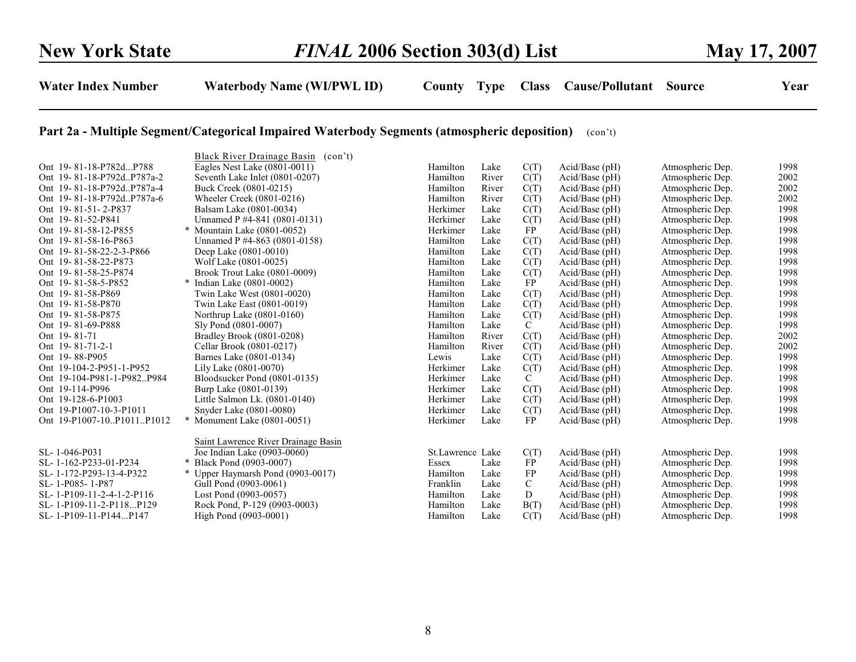#### **Part 2a - Multiple Segment/Categorical Impaired Waterbody Segments (atmospheric deposition)** (con't)

|                            | Black River Drainage Basin<br>(con't) |                  |       |      |                  |                  |      |
|----------------------------|---------------------------------------|------------------|-------|------|------------------|------------------|------|
| Ont 19-81-18-P782dP788     | Eagles Nest Lake (0801-0011)          | Hamilton         | Lake  | C(T) | $Acid/Base$ (pH) | Atmospheric Dep. | 1998 |
| Ont 19-81-18-P792dP787a-2  | Seventh Lake Inlet (0801-0207)        | Hamilton         | River | C(T) | $Acid/Base$ (pH) | Atmospheric Dep. | 2002 |
| Ont 19-81-18-P792dP787a-4  | Buck Creek (0801-0215)                | Hamilton         | River | C(T) | $Acid/Base$ (pH) | Atmospheric Dep. | 2002 |
| Ont 19-81-18-P792dP787a-6  | Wheeler Creek (0801-0216)             | Hamilton         | River | C(T) | $Acid/Base$ (pH) | Atmospheric Dep. | 2002 |
| Ont 19-81-51-2-P837        | Balsam Lake (0801-0034)               | Herkimer         | Lake  | C(T) | $Acid/Base$ (pH) | Atmospheric Dep. | 1998 |
| Ont 19-81-52-P841          | Unnamed P #4-841 (0801-0131)          | Herkimer         | Lake  | C(T) | $Acid/Base$ (pH) | Atmospheric Dep. | 1998 |
| Ont 19-81-58-12-P855       | * Mountain Lake (0801-0052)           | Herkimer         | Lake  | FP   | $Acid/Base$ (pH) | Atmospheric Dep. | 1998 |
| Ont 19-81-58-16-P863       | Unnamed P #4-863 (0801-0158)          | Hamilton         | Lake  | C(T) | $Acid/Base$ (pH) | Atmospheric Dep. | 1998 |
| Ont 19-81-58-22-2-3-P866   | Deep Lake (0801-0010)                 | Hamilton         | Lake  | C(T) | $Acid/Base$ (pH) | Atmospheric Dep. | 1998 |
| Ont 19-81-58-22-P873       | Wolf Lake (0801-0025)                 | Hamilton         | Lake  | C(T) | $Acid/Base$ (pH) | Atmospheric Dep. | 1998 |
| Ont 19-81-58-25-P874       | Brook Trout Lake (0801-0009)          | Hamilton         | Lake  | C(T) | $Acid/Base$ (pH) | Atmospheric Dep. | 1998 |
| Ont 19-81-58-5-P852        | * Indian Lake (0801-0002)             | Hamilton         | Lake  | FP   | $Acid/Base$ (pH) | Atmospheric Dep. | 1998 |
| Ont 19-81-58-P869          | Twin Lake West (0801-0020)            | Hamilton         | Lake  | C(T) | $Acid/Base$ (pH) | Atmospheric Dep. | 1998 |
| Ont 19-81-58-P870          | Twin Lake East (0801-0019)            | Hamilton         | Lake  | C(T) | $Acid/Base$ (pH) | Atmospheric Dep. | 1998 |
| Ont 19-81-58-P875          | Northrup Lake (0801-0160)             | Hamilton         | Lake  | C(T) | $Acid/Base$ (pH) | Atmospheric Dep. | 1998 |
| Ont 19-81-69-P888          | Sly Pond (0801-0007)                  | Hamilton         | Lake  | C    | $Acid/Base$ (pH) | Atmospheric Dep. | 1998 |
| Ont 19-81-71               | Bradley Brook (0801-0208)             | Hamilton         | River | C(T) | Acid/Base (pH)   | Atmospheric Dep. | 2002 |
| Ont 19-81-71-2-1           | Cellar Brook (0801-0217)              | Hamilton         | River | C(T) | Acid/Base (pH)   | Atmospheric Dep. | 2002 |
| Ont 19-88-P905             | Barnes Lake (0801-0134)               | Lewis            | Lake  | C(T) | $Acid/Base$ (pH) | Atmospheric Dep. | 1998 |
| Ont 19-104-2-P951-1-P952   | Lily Lake (0801-0070)                 | Herkimer         | Lake  | C(T) | $Acid/Base$ (pH) | Atmospheric Dep. | 1998 |
| Ont 19-104-P981-1-P982P984 | Bloodsucker Pond (0801-0135)          | Herkimer         | Lake  | C    | $Acid/Base$ (pH) | Atmospheric Dep. | 1998 |
| Ont 19-114-P996            | Burp Lake (0801-0139)                 | Herkimer         | Lake  | C(T) | $Acid/Base$ (pH) | Atmospheric Dep. | 1998 |
| Ont 19-128-6-P1003         | Little Salmon Lk. (0801-0140)         | Herkimer         | Lake  | C(T) | $Acid/Base$ (pH) | Atmospheric Dep. | 1998 |
| Ont 19-P1007-10-3-P1011    | Snyder Lake (0801-0080)               | Herkimer         | Lake  | C(T) | $Acid/Base$ (pH) | Atmospheric Dep. | 1998 |
| Ont 19-P1007-10P1011P1012  | * Monument Lake (0801-0051)           | Herkimer         | Lake  | FP   | $Acid/Base$ (pH) | Atmospheric Dep. | 1998 |
|                            | Saint Lawrence River Drainage Basin   |                  |       |      |                  |                  |      |
| SL-1-046-P031              | Joe Indian Lake (0903-0060)           | St.Lawrence Lake |       | C(T) | $Acid/Base$ (pH) | Atmospheric Dep. | 1998 |
| SL-1-162-P233-01-P234      | Black Pond (0903-0007)                | Essex            | Lake  | FP   | $Acid/Base$ (pH) | Atmospheric Dep. | 1998 |
| SL-1-172-P293-13-4-P322    | * Upper Haymarsh Pond (0903-0017)     | Hamilton         | Lake  | FP   | $Acid/Base$ (pH) | Atmospheric Dep. | 1998 |
| SL-1-P085-1-P87            | Gull Pond (0903-0061)                 | Franklin         | Lake  | C    | $Acid/Base$ (pH) | Atmospheric Dep. | 1998 |
| SL-1-P109-11-2-4-1-2-P116  | Lost Pond (0903-0057)                 | Hamilton         | Lake  | D    | $Acid/Base$ (pH) | Atmospheric Dep. | 1998 |
| SL-1-P109-11-2-P118P129    | Rock Pond, P-129 (0903-0003)          | Hamilton         | Lake  | B(T) | Acid/Base (pH)   | Atmospheric Dep. | 1998 |
| SL-1-P109-11-P144P147      | High Pond (0903-0001)                 | Hamilton         | Lake  | C(T) | Acid/Base (pH)   | Atmospheric Dep. | 1998 |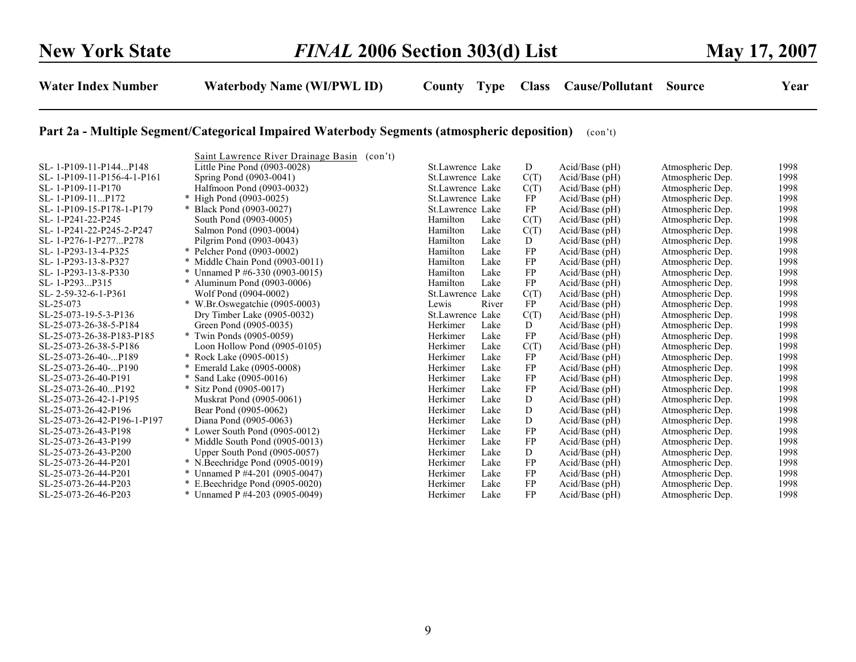#### **Part 2a - Multiple Segment/Categorical Impaired Waterbody Segments (atmospheric deposition)** (con't)

|                             | Saint Lawrence River Drainage Basin<br>(con't) |                  |      |                  |                  |      |
|-----------------------------|------------------------------------------------|------------------|------|------------------|------------------|------|
| SL- 1-P109-11-P144P148      | Little Pine Pond (0903-0028)                   | St.Lawrence Lake | D    | $Acid/Base$ (pH) | Atmospheric Dep. | 1998 |
| SL- 1-P109-11-P156-4-1-P161 | Spring Pond (0903-0041)                        | St.Lawrence Lake | C(T) | $Acid/Base$ (pH) | Atmospheric Dep. | 1998 |
| SL-1-P109-11-P170           | Halfmoon Pond (0903-0032)                      | St.Lawrence Lake | C(T) | $Acid/Base$ (pH) | Atmospheric Dep. | 1998 |
| SL- 1-P109-11P172           | * High Pond (0903-0025)                        | St.Lawrence Lake | FP   | $Acid/Base$ (pH) | Atmospheric Dep. | 1998 |
| SL- 1-P109-15-P178-1-P179   | Black Pond (0903-0027)                         | St.Lawrence Lake | FP   | Acid/Base (pH)   | Atmospheric Dep. | 1998 |
| SL-1-P241-22-P245           | South Pond (0903-0005)                         | Lake<br>Hamilton | C(T) | Acid/Base (pH)   | Atmospheric Dep. | 1998 |
| SL-1-P241-22-P245-2-P247    | Salmon Pond (0903-0004)                        | Hamilton<br>Lake | C(T) | Acid/Base (pH)   | Atmospheric Dep. | 1998 |
| SL-1-P276-1-P277P278        | Pilgrim Pond (0903-0043)                       | Lake<br>Hamilton | D    | $Acid/Base$ (pH) | Atmospheric Dep. | 1998 |
| SL- 1-P293-13-4-P325        | * Pelcher Pond (0903-0002)                     | Hamilton<br>Lake | FP   | Acid/Base (pH)   | Atmospheric Dep. | 1998 |
| SL- 1-P293-13-8-P327        | * Middle Chain Pond (0903-0011)                | Lake<br>Hamilton | FP   | $Acid/Base$ (pH) | Atmospheric Dep. | 1998 |
| SL-1-P293-13-8-P330         | * Unnamed P $#6-330(0903-0015)$                | Hamilton<br>Lake | FP   | $Acid/Base$ (pH) | Atmospheric Dep. | 1998 |
| SL- 1-P293P315              | * Aluminum Pond (0903-0006)                    | Hamilton<br>Lake | FP   | $Acid/Base$ (pH) | Atmospheric Dep. | 1998 |
| SL- 2-59-32-6-1-P361        | Wolf Pond (0904-0002)                          | St.Lawrence Lake | C(T) | Acid/Base (pH)   | Atmospheric Dep. | 1998 |
| SL-25-073                   | * W.Br.Oswegatchie (0905-0003)                 | Lewis<br>River   | FP   | $Acid/Base$ (pH) | Atmospheric Dep. | 1998 |
| SL-25-073-19-5-3-P136       | Dry Timber Lake (0905-0032)                    | St.Lawrence Lake | C(T) | $Acid/Base$ (pH) | Atmospheric Dep. | 1998 |
| SL-25-073-26-38-5-P184      | Green Pond (0905-0035)                         | Herkimer<br>Lake | D    | $Acid/Base$ (pH) | Atmospheric Dep. | 1998 |
| SL-25-073-26-38-P183-P185   | * Twin Ponds (0905-0059)                       | Herkimer<br>Lake | FP   | Acid/Base (pH)   | Atmospheric Dep. | 1998 |
| SL-25-073-26-38-5-P186      | Loon Hollow Pond (0905-0105)                   | Herkimer<br>Lake | C(T) | $Acid/Base$ (pH) | Atmospheric Dep. | 1998 |
| SL-25-073-26-40-P189        | * Rock Lake (0905-0015)                        | Lake<br>Herkimer | FP   | $Acid/Base$ (pH) | Atmospheric Dep. | 1998 |
| SL-25-073-26-40-P190        | Emerald Lake (0905-0008)                       | Herkimer<br>Lake | FP   | $Acid/Base$ (pH) | Atmospheric Dep. | 1998 |
| SL-25-073-26-40-P191        | Sand Lake (0905-0016)                          | Herkimer<br>Lake | FP   | $Acid/Base$ (pH) | Atmospheric Dep. | 1998 |
| SL-25-073-26-40P192         | Sitz Pond (0905-0017)                          | Herkimer<br>Lake | FP   | Acid/Base (pH)   | Atmospheric Dep. | 1998 |
| SL-25-073-26-42-1-P195      | Muskrat Pond (0905-0061)                       | Lake<br>Herkimer | D    | $Acid/Base$ (pH) | Atmospheric Dep. | 1998 |
| SL-25-073-26-42-P196        | Bear Pond (0905-0062)                          | Herkimer<br>Lake | D    | $Acid/Base$ (pH) | Atmospheric Dep. | 1998 |
| SL-25-073-26-42-P196-1-P197 | Diana Pond (0905-0063)                         | Herkimer<br>Lake | D    | Acid/Base (pH)   | Atmospheric Dep. | 1998 |
| SL-25-073-26-43-P198        | * Lower South Pond (0905-0012)                 | Herkimer<br>Lake | FP   | Acid/Base (pH)   | Atmospheric Dep. | 1998 |
| SL-25-073-26-43-P199        | * Middle South Pond (0905-0013)                | Herkimer<br>Lake | FP   | Acid/Base (pH)   | Atmospheric Dep. | 1998 |
| SL-25-073-26-43-P200        | Upper South Pond (0905-0057)                   | Herkimer<br>Lake | D    | Acid/Base (pH)   | Atmospheric Dep. | 1998 |
| SL-25-073-26-44-P201        | $*$ N.Beechridge Pond (0905-0019)              | Herkimer<br>Lake | FP   | Acid/Base (pH)   | Atmospheric Dep. | 1998 |
| SL-25-073-26-44-P201        | * Unnamed P $#4-201(0905-0047)$                | Herkimer<br>Lake | FP   | $Acid/Base$ (pH) | Atmospheric Dep. | 1998 |
| SL-25-073-26-44-P203        | E.Beechridge Pond (0905-0020)                  | Herkimer<br>Lake | FP   | Acid/Base (pH)   | Atmospheric Dep. | 1998 |
| SL-25-073-26-46-P203        | * Unnamed P $#4-203(0905-0049)$                | Herkimer<br>Lake | FP   | $Acid/Base$ (pH) | Atmospheric Dep. | 1998 |
|                             |                                                |                  |      |                  |                  |      |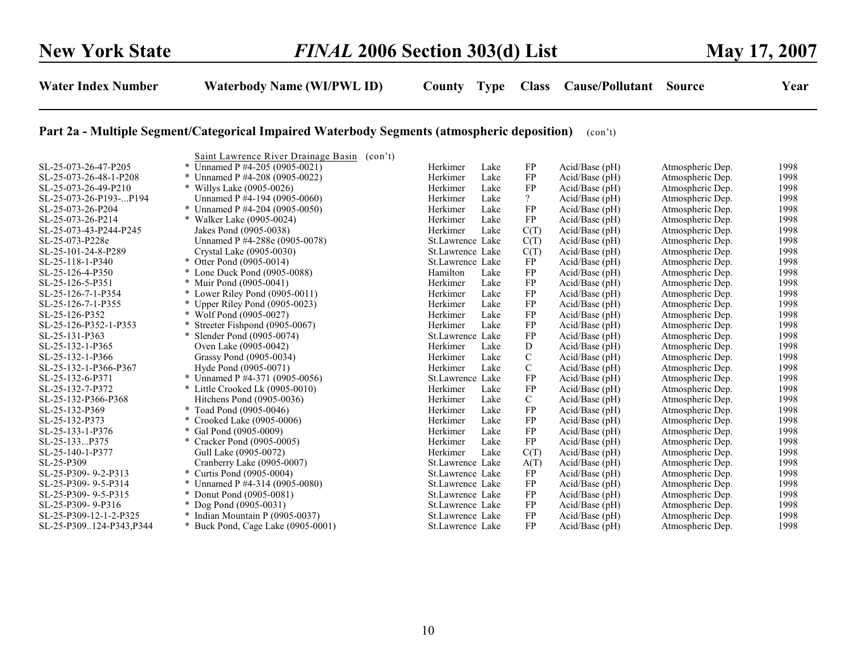#### **Part 2a - Multiple Segment/Categorical Impaired Waterbody Segments (atmospheric deposition)** (con't)

Saint Lawrence River Drainage Basin (con't)

| SL-25-073-26-47-P205    | Unnamed P #4-205 (0905-0021)       | Herkimer<br>Lake | FP                       | $Acid/Base$ (pH) | Atmospheric Dep. | 1998 |
|-------------------------|------------------------------------|------------------|--------------------------|------------------|------------------|------|
| SL-25-073-26-48-1-P208  | * Unnamed P $#4-208(0905-0022)$    | Herkimer<br>Lake | FP                       | $Acid/Base$ (pH) | Atmospheric Dep. | 1998 |
| SL-25-073-26-49-P210    | * Willys Lake (0905-0026)          | Herkimer<br>Lake | FP                       | $Acid/Base$ (pH) | Atmospheric Dep. | 1998 |
| SL-25-073-26-P193-P194  | Unnamed P #4-194 (0905-0060)       | Herkimer<br>Lake | $\overline{\mathcal{E}}$ | $Acid/Base$ (pH) | Atmospheric Dep. | 1998 |
| SL-25-073-26-P204       | * Unnamed P #4-204 (0905-0050)     | Herkimer<br>Lake | FP                       | $Acid/Base$ (pH) | Atmospheric Dep. | 1998 |
| SL-25-073-26-P214       | Walker Lake (0905-0024)            | Herkimer<br>Lake | FP.                      | $Acid/Base$ (pH) | Atmospheric Dep. | 1998 |
| SL-25-073-43-P244-P245  | Jakes Pond (0905-0038)             | Herkimer<br>Lake | C(T)                     | $Acid/Base$ (pH) | Atmospheric Dep. | 1998 |
| SL-25-073-P228e         | Unnamed P #4-288e (0905-0078)      | St.Lawrence Lake | C(T)                     | $Acid/Base$ (pH) | Atmospheric Dep. | 1998 |
| SL-25-101-24-8-P289     | Crystal Lake (0905-0030)           | St.Lawrence Lake | C(T)                     | $Acid/Base$ (pH) | Atmospheric Dep. | 1998 |
| SL-25-118-1-P340        | * Otter Pond $(0905-0014)$         | St.Lawrence Lake | FP                       | $Acid/Base$ (pH) | Atmospheric Dep. | 1998 |
| SL-25-126-4-P350        | * Lone Duck Pond (0905-0088)       | Hamilton<br>Lake | FP                       | $Acid/Base$ (pH) | Atmospheric Dep. | 1998 |
| SL-25-126-5-P351        | * Muir Pond (0905-0041)            | Herkimer<br>Lake | FP                       | $Acid/Base$ (pH) | Atmospheric Dep. | 1998 |
| SL-25-126-7-1-P354      | Lower Riley Pond $(0905-0011)$     | Herkimer<br>Lake | FP                       | $Acid/Base$ (pH) | Atmospheric Dep. | 1998 |
| SL-25-126-7-1-P355      | Upper Riley Pond (0905-0023)       | Herkimer<br>Lake | FP                       | $Acid/Base$ (pH) | Atmospheric Dep. | 1998 |
| SL-25-126-P352          | Wolf Pond (0905-0027)              | Herkimer<br>Lake | FP                       | $Acid/Base$ (pH) | Atmospheric Dep. | 1998 |
| SL-25-126-P352-1-P353   | Streeter Fishpond (0905-0067)      | Herkimer<br>Lake | FP                       | $Acid/Base$ (pH) | Atmospheric Dep. | 1998 |
| SL-25-131-P363          | Slender Pond (0905-0074)           | St.Lawrence Lake | FP                       | $Acid/Base$ (pH) | Atmospheric Dep. | 1998 |
| SL-25-132-1-P365        | Oven Lake (0905-0042)              | Herkimer<br>Lake | D                        | $Acid/Base$ (pH) | Atmospheric Dep. | 1998 |
| SL-25-132-1-P366        | Grassy Pond (0905-0034)            | Herkimer<br>Lake | $\mathbf C$              | $Acid/Base$ (pH) | Atmospheric Dep. | 1998 |
| SL-25-132-1-P366-P367   | Hyde Pond (0905-0071)              | Herkimer<br>Lake | $\mathsf{C}$             | $Acid/Base$ (pH) | Atmospheric Dep. | 1998 |
| SL-25-132-6-P371        | * Unnamed P $#4-371(0905-0056)$    | St.Lawrence Lake | FP                       | $Acid/Base$ (pH) | Atmospheric Dep. | 1998 |
| SL-25-132-7-P372        | * Little Crooked Lk (0905-0010)    | Herkimer<br>Lake | FP                       | $Acid/Base$ (pH) | Atmospheric Dep. | 1998 |
| SL-25-132-P366-P368     | Hitchens Pond (0905-0036)          | Herkimer<br>Lake | C                        | $Acid/Base$ (pH) | Atmospheric Dep. | 1998 |
| SL-25-132-P369          | Toad Pond (0905-0046)<br>$\ast$    | Herkimer<br>Lake | FP                       | $Acid/Base$ (pH) | Atmospheric Dep. | 1998 |
| SL-25-132-P373          | * Crooked Lake (0905-0006)         | Herkimer<br>Lake | FP                       | $Acid/Base$ (pH) | Atmospheric Dep. | 1998 |
| SL-25-133-1-P376        | * Gal Pond (0905-0009)             | Herkimer<br>Lake | FP                       | $Acid/Base$ (pH) | Atmospheric Dep. | 1998 |
| SL-25-133P375           | * Cracker Pond (0905-0005)         | Herkimer<br>Lake | FP                       | $Acid/Base$ (pH) | Atmospheric Dep. | 1998 |
| SL-25-140-1-P377        | Gull Lake (0905-0072)              | Herkimer<br>Lake | C(T)                     | $Acid/Base$ (pH) | Atmospheric Dep. | 1998 |
| SL-25-P309              | Cranberry Lake (0905-0007)         | St.Lawrence Lake | A(T)                     | $Acid/Base$ (pH) | Atmospheric Dep. | 1998 |
| SL-25-P309-9-2-P313     | Curtis Pond (0905-0004)            | St.Lawrence Lake | FP                       | $Acid/Base$ (pH) | Atmospheric Dep. | 1998 |
| SL-25-P309-9-5-P314     | Unnamed P #4-314 (0905-0080)       | St.Lawrence Lake | FP                       | Acid/Base (pH)   | Atmospheric Dep. | 1998 |
| SL-25-P309-9-5-P315     | * Donut Pond (0905-0081)           | St.Lawrence Lake | FP                       | $Acid/Base$ (pH) | Atmospheric Dep. | 1998 |
| SL-25-P309-9-P316       | * Dog Pond (0905-0031)             | St.Lawrence Lake | FP                       | $Acid/Base$ (pH) | Atmospheric Dep. | 1998 |
| SL-25-P309-12-1-2-P325  | * Indian Mountain P (0905-0037)    | St.Lawrence Lake | FP                       | $Acid/Base$ (pH) | Atmospheric Dep. | 1998 |
| SL-25-P309124-P343.P344 | * Buck Pond, Cage Lake (0905-0001) | St.Lawrence Lake | FP                       | Acid/Base (pH)   | Atmospheric Dep. | 1998 |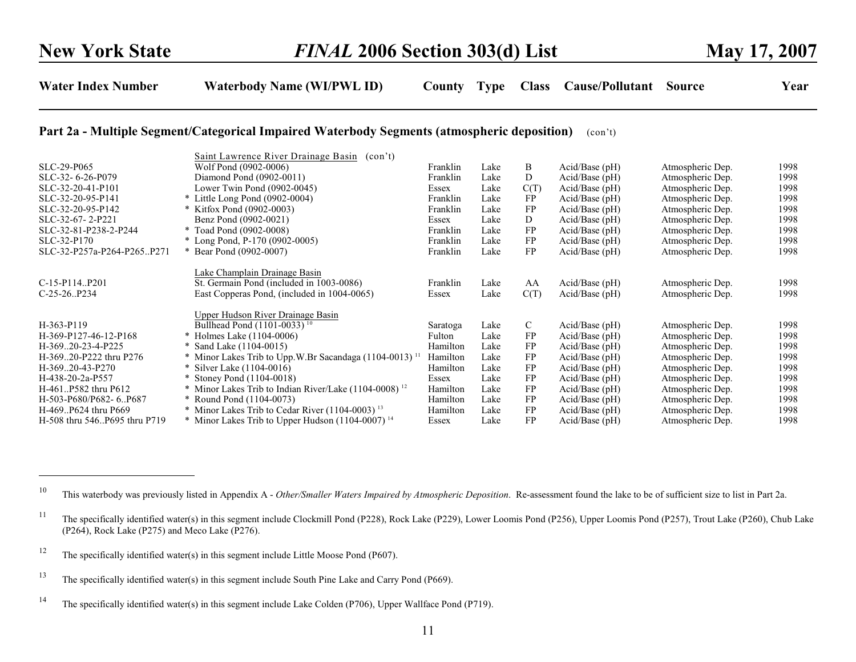| Water Index Number | <b>Waterbody Name (WI/PWL ID)</b> |  |  | County Type Class Cause/Pollutant Source |  | Year |
|--------------------|-----------------------------------|--|--|------------------------------------------|--|------|
|--------------------|-----------------------------------|--|--|------------------------------------------|--|------|

#### **Part 2a - Multiple Segment/Categorical Impaired Waterbody Segments (atmospheric deposition)** (con't)

|                              | Saint Lawrence River Drainage Basin<br>(con't)             |          |      |      |                  |                  |      |
|------------------------------|------------------------------------------------------------|----------|------|------|------------------|------------------|------|
| SLC-29-P065                  | Wolf Pond (0902-0006)                                      | Franklin | Lake | B    | $Acid/Base$ (pH) | Atmospheric Dep. | 1998 |
| SLC-32-6-26-P079             | Diamond Pond (0902-0011)                                   | Franklin | Lake | D    | $Acid/Base$ (pH) | Atmospheric Dep. | 1998 |
| SLC-32-20-41-P101            | Lower Twin Pond (0902-0045)                                | Essex    | Lake | C(T) | $Acid/Base$ (pH) | Atmospheric Dep. | 1998 |
| SLC-32-20-95-P141            | Little Long Pond $(0902-0004)$                             | Franklin | Lake | FP   | $Acid/Base$ (pH) | Atmospheric Dep. | 1998 |
| SLC-32-20-95-P142            | Kitfox Pond (0902-0003)                                    | Franklin | Lake | FP   | $Acid/Base$ (pH) | Atmospheric Dep. | 1998 |
| SLC-32-67-2-P221             | Benz Pond (0902-0021)                                      | Essex    | Lake | D    | $Acid/Base$ (pH) | Atmospheric Dep. | 1998 |
| SLC-32-81-P238-2-P244        | Toad Pond (0902-0008)                                      | Franklin | Lake | FP   | $Acid/Base$ (pH) | Atmospheric Dep. | 1998 |
| SLC-32-P170                  | Long Pond, P-170 (0902-0005)                               | Franklin | Lake | FP   | $Acid/Base$ (pH) | Atmospheric Dep. | 1998 |
| SLC-32-P257a-P264-P265P271   | Bear Pond (0902-0007)                                      | Franklin | Lake | FP   | $Acid/Base$ (pH) | Atmospheric Dep. | 1998 |
|                              | Lake Champlain Drainage Basin                              |          |      |      |                  |                  |      |
| C-15-P114.P201               | St. Germain Pond (included in 1003-0086)                   | Franklin | Lake | AA   | $Acid/Base$ (pH) | Atmospheric Dep. | 1998 |
| $C-25-26. P234$              | East Copperas Pond, (included in 1004-0065)                | Essex    | Lake | C(T) | Acid/Base (pH)   | Atmospheric Dep. | 1998 |
|                              | Upper Hudson River Drainage Basin                          |          |      |      |                  |                  |      |
| H-363-P119                   | Bullhead Pond (1101-0033) <sup>10</sup>                    | Saratoga | Lake | C    | $Acid/Base$ (pH) | Atmospheric Dep. | 1998 |
| H-369-P127-46-12-P168        | Holmes Lake (1104-0006)                                    | Fulton   | Lake | FP   | $Acid/Base$ (pH) | Atmospheric Dep. | 1998 |
| H-36920-23-4-P225            | Sand Lake (1104-0015)                                      | Hamilton | Lake | FP   | Acid/Base (pH)   | Atmospheric Dep. | 1998 |
| H-36920-P222 thru P276       | Minor Lakes Trib to Upp.W.Br Sacandaga (1104-0013)         | Hamilton | Lake | FP   | $Acid/Base$ (pH) | Atmospheric Dep. | 1998 |
| H-36920-43-P270              | Silver Lake (1104-0016)                                    | Hamilton | Lake | FP   | Acid/Base (pH)   | Atmospheric Dep. | 1998 |
| H-438-20-2a-P557             | Stoney Pond (1104-0018)                                    | Essex    | Lake | FP   | Acid/Base (pH)   | Atmospheric Dep. | 1998 |
| H-461P582 thru P612          | * Minor Lakes Trib to Indian River/Lake $(1104-0008)^{12}$ | Hamilton | Lake | FP   | $Acid/Base$ (pH) | Atmospheric Dep. | 1998 |
| H-503-P680/P682-6P687        | Round Pond (1104-0073)                                     | Hamilton | Lake | FP   | $Acid/Base$ (pH) | Atmospheric Dep. | 1998 |
| H-469P624 thru P669          | * Minor Lakes Trib to Cedar River $(1104-0003)^{13}$       | Hamilton | Lake | FP   | $Acid/Base$ (pH) | Atmospheric Dep. | 1998 |
| H-508 thru 546P695 thru P719 | * Minor Lakes Trib to Upper Hudson $(1104-0007)^{14}$      | Essex    | Lake | FP   | Acid/Base (pH)   | Atmospheric Dep. | 1998 |

<sup>&</sup>lt;sup>10</sup> This waterbody was previously listed in Appendix A - *Other/Smaller Waters Impaired by Atmospheric Deposition*. Re-assessment found the lake to be of sufficient size to list in Part 2a.

<sup>&</sup>lt;sup>11</sup> The specifically identified water(s) in this segment include Clockmill Pond (P228), Rock Lake (P229), Lower Loomis Pond (P256), Upper Loomis Pond (P257), Trout Lake (P260), Chub Lake (P264), Rock Lake (P275) and Meco Lake (P276).

<sup>&</sup>lt;sup>12</sup> The specifically identified water(s) in this segment include Little Moose Pond (P607).

<sup>&</sup>lt;sup>13</sup> The specifically identified water(s) in this segment include South Pine Lake and Carry Pond (P669).

<sup>&</sup>lt;sup>14</sup> The specifically identified water(s) in this segment include Lake Colden (P706), Upper Wallface Pond (P719).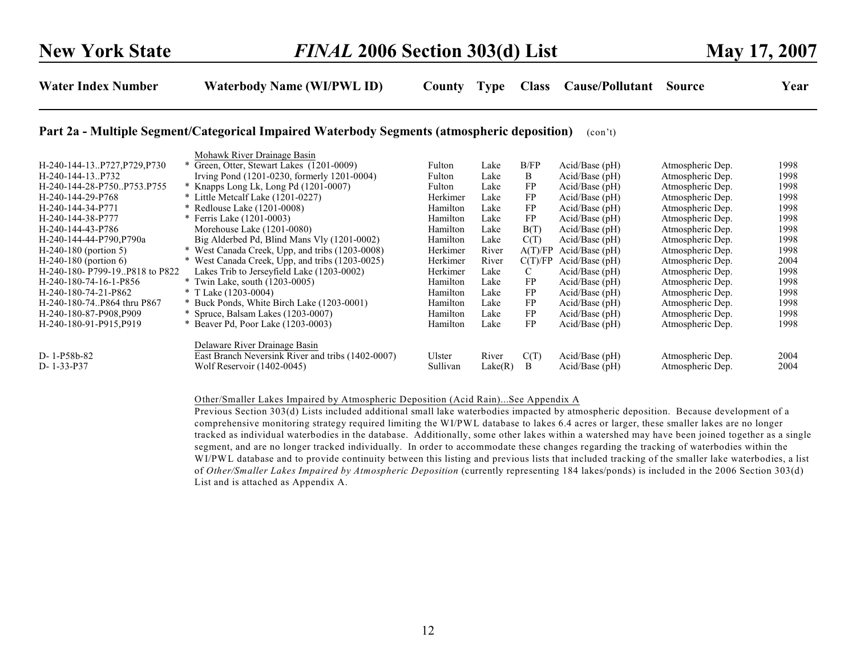| Water Index Number | Waterbody Name (WI/PWL ID) |  |  | County Type Class Cause/Pollutant Source |  | Year |
|--------------------|----------------------------|--|--|------------------------------------------|--|------|
|--------------------|----------------------------|--|--|------------------------------------------|--|------|

#### **Part 2a - Multiple Segment/Categorical Impaired Waterbody Segments (atmospheric deposition)** (con't)

|                                | Mohawk River Drainage Basin                       |          |         |           |                  |                  |      |
|--------------------------------|---------------------------------------------------|----------|---------|-----------|------------------|------------------|------|
| H-240-144-13P727.P729.P730     | * Green, Otter, Stewart Lakes (1201-0009)         | Fulton   | Lake    | B/FP      | $Acid/Base$ (pH) | Atmospheric Dep. | 1998 |
| H-240-144-13P732               | Irving Pond (1201-0230, formerly 1201-0004)       | Fulton   | Lake    | В         | $Acid/Base$ (pH) | Atmospheric Dep. | 1998 |
| H-240-144-28-P750P753.P755     | Knapps Long Lk, Long Pd (1201-0007)               | Fulton   | Lake    | FP        | $Acid/Base$ (pH) | Atmospheric Dep. | 1998 |
| H-240-144-29-P768              | $*$ Little Metcalf Lake $(1201-0227)$             | Herkimer | Lake    | FP.       | $Acid/Base$ (pH) | Atmospheric Dep. | 1998 |
| H-240-144-34-P771              | Redlouse Lake (1201-0008)                         | Hamilton | Lake    | FP        | $Acid/Base$ (pH) | Atmospheric Dep. | 1998 |
| H-240-144-38-P777              | Ferris Lake (1201-0003)                           | Hamilton | Lake    | FP        | $Acid/Base$ (pH) | Atmospheric Dep. | 1998 |
| H-240-144-43-P786              | Morehouse Lake (1201-0080)                        | Hamilton | Lake    | B(T)      | $Acid/Base$ (pH) | Atmospheric Dep. | 1998 |
| H-240-144-44-P790.P790a        | Big Alderbed Pd, Blind Mans Vly (1201-0002)       | Hamilton | Lake    | C(T)      | $Acid/Base$ (pH) | Atmospheric Dep. | 1998 |
| $H-240-180$ (portion 5)        | West Canada Creek, Upp, and tribs (1203-0008)     | Herkimer | River   | A(T)/FP   | $Acid/Base$ (pH) | Atmospheric Dep. | 1998 |
| $H-240-180$ (portion 6)        | West Canada Creek, Upp, and tribs (1203-0025)     | Herkimer | River   | C(T)/FP   | Acid/Base (pH)   | Atmospheric Dep. | 2004 |
| H-240-180- P799-19P818 to P822 | Lakes Trib to Jerseyfield Lake (1203-0002)        | Herkimer | Lake    | C         | $Acid/Base$ (pH) | Atmospheric Dep. | 1998 |
| H-240-180-74-16-1-P856         | Twin Lake, south (1203-0005)                      | Hamilton | Lake    | FP        | Acid/Base $(pH)$ | Atmospheric Dep. | 1998 |
| H-240-180-74-21-P862           | $*$ T Lake (1203-0004)                            | Hamilton | Lake    | FP        | $Acid/Base$ (pH) | Atmospheric Dep. | 1998 |
| H-240-180-74P864 thru P867     | * Buck Ponds, White Birch Lake (1203-0001)        | Hamilton | Lake    | <b>FP</b> | $Acid/Base$ (pH) | Atmospheric Dep. | 1998 |
| H-240-180-87-P908,P909         | Spruce, Balsam Lakes (1203-0007)                  | Hamilton | Lake    | FP.       | $Acid/Base$ (pH) | Atmospheric Dep. | 1998 |
| H-240-180-91-P915,P919         | Beaver Pd, Poor Lake (1203-0003)                  | Hamilton | Lake    | <b>FP</b> | $Acid/Base$ (pH) | Atmospheric Dep. | 1998 |
|                                |                                                   |          |         |           |                  |                  |      |
|                                | Delaware River Drainage Basin                     |          |         |           |                  |                  |      |
| D- 1-P58b-82                   | East Branch Neversink River and tribs (1402-0007) | Ulster   | River   | C(T)      | $Acid/Base$ (pH) | Atmospheric Dep. | 2004 |
| D- 1-33-P37                    | Wolf Reservoir (1402-0045)                        | Sullivan | Lake(R) | B         | $Acid/Base$ (pH) | Atmospheric Dep. | 2004 |
|                                |                                                   |          |         |           |                  |                  |      |

#### Other/Smaller Lakes Impaired by Atmospheric Deposition (Acid Rain)...See Appendix A

Previous Section 303(d) Lists included additional small lake waterbodies impacted by atmospheric deposition. Because development of a comprehensive monitoring strategy required limiting the WI/PWL database to lakes 6.4 acres or larger, these smaller lakes are no longer tracked as individual waterbodies in the database. Additionally, some other lakes within a watershed may have been joined together as a single segment, and are no longer tracked individually. In order to accommodate these changes regarding the tracking of waterbodies within the WI/PWL database and to provide continuity between this listing and previous lists that included tracking of the smaller lake waterbodies, a list of *Other/Smaller Lakes Impaired by Atmospheric Deposition* (currently representing 184 lakes/ponds) is included in the 2006 Section 303(d) List and is attached as Appendix A.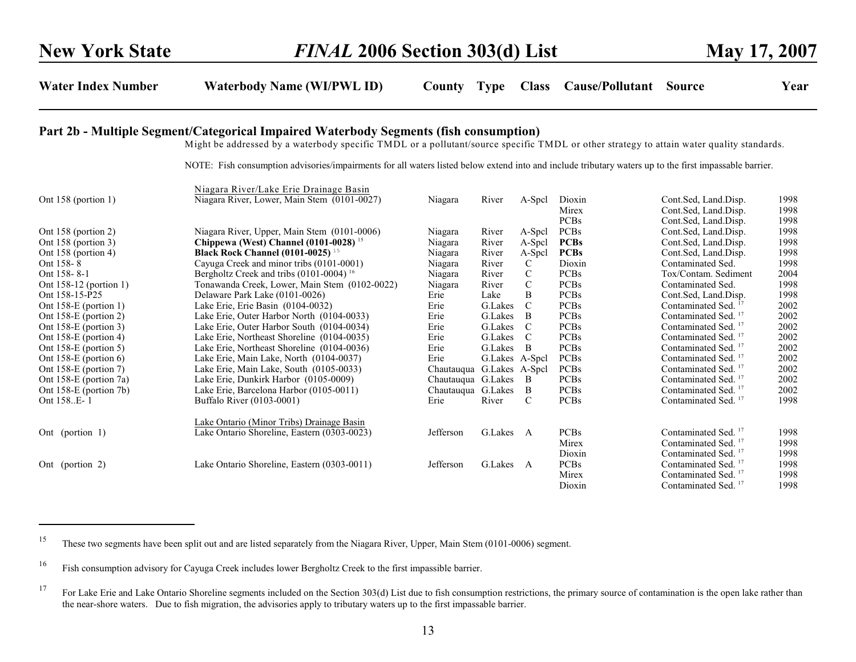| <b>Water Index Number</b> | Waterbody Name (WI/PWL ID) |  |  | County Type Class Cause/Pollutant Source |  | Y ear |
|---------------------------|----------------------------|--|--|------------------------------------------|--|-------|
|---------------------------|----------------------------|--|--|------------------------------------------|--|-------|

#### **Part 2b - Multiple Segment/Categorical Impaired Waterbody Segments (fish consumption)**

Might be addressed by a waterbody specific TMDL or a pollutant/source specific TMDL or other strategy to attain water quality standards.

NOTE: Fish consumption advisories/impairments for all waters listed below extend into and include tributary waters up to the first impassable barrier.

|                          | Niagara River/Lake Erie Drainage Basin              |                    |                |               |             |                                 |      |
|--------------------------|-----------------------------------------------------|--------------------|----------------|---------------|-------------|---------------------------------|------|
| Ont $158$ (portion 1)    | Niagara River, Lower, Main Stem (0101-0027)         | Niagara            | River          | A-Spcl        | Dioxin      | Cont.Sed, Land.Disp.            | 1998 |
|                          |                                                     |                    |                |               | Mirex       | Cont.Sed, Land.Disp.            | 1998 |
|                          |                                                     |                    |                |               | <b>PCBs</b> | Cont.Sed, Land.Disp.            | 1998 |
| Ont 158 (portion 2)      | Niagara River, Upper, Main Stem (0101-0006)         | Niagara            | River          | A-Spcl        | <b>PCBs</b> | Cont.Sed, Land.Disp.            | 1998 |
| Ont $158$ (portion 3)    | Chippewa (West) Channel (0101-0028) <sup>15</sup>   | Niagara            | River          | A-Spcl        | <b>PCBs</b> | Cont.Sed, Land.Disp.            | 1998 |
| Ont 158 (portion 4)      | <b>Black Rock Channel (0101-0025)</b> $15$          | Niagara            | River          | A-Spcl        | <b>PCBs</b> | Cont.Sed, Land.Disp.            | 1998 |
| Ont 158-8                | Cayuga Creek and minor tribs (0101-0001)            | Niagara            | River          | C             | Dioxin      | Contaminated Sed.               | 1998 |
| Ont 158-8-1              | Bergholtz Creek and tribs (0101-0004) <sup>16</sup> | Niagara            | River          | C             | <b>PCBs</b> | Tox/Contam. Sediment            | 2004 |
| Ont 158-12 (portion 1)   | Tonawanda Creek, Lower, Main Stem (0102-0022)       | Niagara            | River          | $\mathcal{C}$ | <b>PCBs</b> | Contaminated Sed.               | 1998 |
| Ont 158-15-P25           | Delaware Park Lake (0101-0026)                      | Erie               | Lake           | B             | <b>PCBs</b> | Cont.Sed, Land.Disp.            | 1998 |
| Ont $158-E$ (portion 1)  | Lake Erie, Erie Basin (0104-0032)                   | Erie               | G.Lakes        | $\mathcal{C}$ | <b>PCBs</b> | Contaminated Sed. <sup>17</sup> | 2002 |
| Ont $158-E$ (portion 2)  | Lake Erie, Outer Harbor North (0104-0033)           | Erie               | G.Lakes        | B             | <b>PCBs</b> | Contaminated Sed. <sup>17</sup> | 2002 |
| Ont $158-E$ (portion 3)  | Lake Erie, Outer Harbor South (0104-0034)           | Erie               | G.Lakes        | C             | <b>PCBs</b> | Contaminated Sed. <sup>17</sup> | 2002 |
| Ont $158-E$ (portion 4)  | Lake Erie, Northeast Shoreline (0104-0035)          | Erie               | G.Lakes        | C             | <b>PCBs</b> | Contaminated Sed. <sup>17</sup> | 2002 |
| Ont $158-E$ (portion 5)  | Lake Erie, Northeast Shoreline (0104-0036)          | Erie               | G.Lakes        | B             | <b>PCBs</b> | Contaminated Sed. <sup>17</sup> | 2002 |
| Ont 158-E (portion $6$ ) | Lake Erie, Main Lake, North (0104-0037)             | Erie               | G.Lakes A-Spcl |               | <b>PCBs</b> | Contaminated Sed. <sup>17</sup> | 2002 |
| Ont 158-E (portion 7)    | Lake Erie, Main Lake, South (0105-0033)             | Chautauqua         | G.Lakes A-Spcl |               | <b>PCBs</b> | Contaminated Sed. <sup>17</sup> | 2002 |
| Ont 158-E (portion 7a)   | Lake Erie, Dunkirk Harbor (0105-0009)               | Chautauqua G.Lakes |                | B             | <b>PCBs</b> | Contaminated Sed. <sup>17</sup> | 2002 |
| Ont 158-E (portion 7b)   | Lake Erie, Barcelona Harbor (0105-0011)             | Chautauqua         | G.Lakes        | B             | <b>PCBs</b> | Contaminated Sed. <sup>17</sup> | 2002 |
| Ont 158E-1               | Buffalo River (0103-0001)                           | Erie               | River          | $\mathcal{C}$ | <b>PCBs</b> | Contaminated Sed. <sup>17</sup> | 1998 |
|                          | Lake Ontario (Minor Tribs) Drainage Basin           |                    |                |               |             |                                 |      |
| Ont (portion 1)          | Lake Ontario Shoreline, Eastern (0303-0023)         | Jefferson          | G.Lakes A      |               | <b>PCBs</b> | Contaminated Sed. <sup>17</sup> | 1998 |
|                          |                                                     |                    |                |               | Mirex       | Contaminated Sed. <sup>17</sup> | 1998 |
|                          |                                                     |                    |                |               | Dioxin      | Contaminated Sed. <sup>17</sup> | 1998 |
| Ont (portion 2)          | Lake Ontario Shoreline, Eastern (0303-0011)         | Jefferson          | G.Lakes A      |               | <b>PCBs</b> | Contaminated Sed. <sup>17</sup> | 1998 |
|                          |                                                     |                    |                |               | Mirex       | Contaminated Sed. <sup>17</sup> | 1998 |
|                          |                                                     |                    |                |               | Dioxin      | Contaminated Sed. <sup>17</sup> | 1998 |
|                          |                                                     |                    |                |               |             |                                 |      |

These two segments have been split out and are listed separately from the Niagara River, Upper, Main Stem (0101-0006) segment. 15

Fish consumption advisory for Cayuga Creek includes lower Bergholtz Creek to the first impassible barrier. 16

For Lake Erie and Lake Ontario Shoreline segments included on the Section 303(d) List due to fish consumption restrictions, the primary source of contamination is the open lake rather than the near-shore waters. Due to fish migration, the advisories apply to tributary waters up to the first impassable barrier.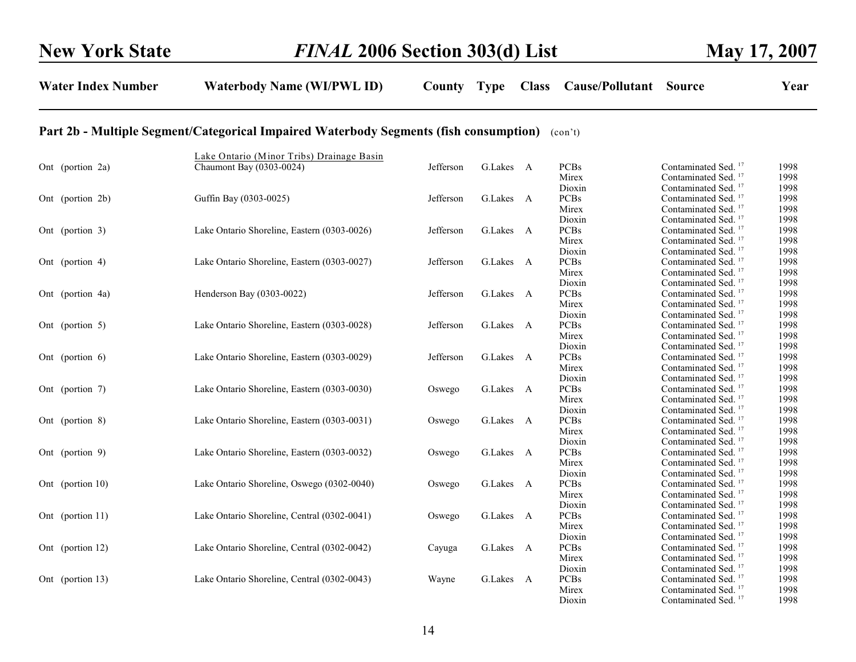| Water Index Number | Waterbody Name (WI/PWL ID) | $C$ ounty |  | Type Class Cause/Pollutant Source |  | Y ear |
|--------------------|----------------------------|-----------|--|-----------------------------------|--|-------|
|--------------------|----------------------------|-----------|--|-----------------------------------|--|-------|

|                  | Lake Ontario (Minor Tribs) Drainage Basin   |           |           |             |                                 |      |
|------------------|---------------------------------------------|-----------|-----------|-------------|---------------------------------|------|
| Ont (portion 2a) | Chaumont Bay (0303-0024)                    | Jefferson | G.Lakes A | <b>PCBs</b> | Contaminated Sed. <sup>17</sup> | 1998 |
|                  |                                             |           |           | Mirex       | Contaminated Sed. <sup>17</sup> | 1998 |
|                  |                                             |           |           | Dioxin      | Contaminated Sed. <sup>17</sup> | 1998 |
| Ont (portion 2b) | Guffin Bay (0303-0025)                      | Jefferson | G.Lakes A | <b>PCBs</b> | Contaminated Sed. <sup>17</sup> | 1998 |
|                  |                                             |           |           | Mirex       | Contaminated Sed. <sup>17</sup> | 1998 |
|                  |                                             |           |           | Dioxin      | Contaminated Sed. <sup>17</sup> | 1998 |
| Ont (portion 3)  | Lake Ontario Shoreline, Eastern (0303-0026) | Jefferson | G.Lakes A | <b>PCBs</b> | Contaminated Sed. <sup>17</sup> | 1998 |
|                  |                                             |           |           | Mirex       | Contaminated Sed. <sup>17</sup> | 1998 |
|                  |                                             |           |           | Dioxin      | Contaminated Sed. <sup>17</sup> | 1998 |
| Ont (portion 4)  | Lake Ontario Shoreline, Eastern (0303-0027) | Jefferson | G.Lakes A | <b>PCBs</b> | Contaminated Sed. <sup>17</sup> | 1998 |
|                  |                                             |           |           | Mirex       | Contaminated Sed. <sup>17</sup> | 1998 |
|                  |                                             |           |           | Dioxin      | Contaminated Sed. <sup>17</sup> | 1998 |
| Ont (portion 4a) | Henderson Bay (0303-0022)                   | Jefferson | G.Lakes A | <b>PCBs</b> | Contaminated Sed. <sup>17</sup> | 1998 |
|                  |                                             |           |           | Mirex       | Contaminated Sed. <sup>17</sup> | 1998 |
|                  |                                             |           |           | Dioxin      | Contaminated Sed. <sup>17</sup> | 1998 |
| Ont (portion 5)  | Lake Ontario Shoreline, Eastern (0303-0028) | Jefferson | G.Lakes A | <b>PCBs</b> | Contaminated Sed. <sup>17</sup> | 1998 |
|                  |                                             |           |           | Mirex       | Contaminated Sed. <sup>17</sup> | 1998 |
|                  |                                             |           |           | Dioxin      | Contaminated Sed. <sup>17</sup> | 1998 |
| Ont (portion 6)  | Lake Ontario Shoreline, Eastern (0303-0029) | Jefferson | G.Lakes A | <b>PCBs</b> | Contaminated Sed. <sup>17</sup> | 1998 |
|                  |                                             |           |           | Mirex       | Contaminated Sed. <sup>17</sup> | 1998 |
|                  |                                             |           |           | Dioxin      | Contaminated Sed. <sup>17</sup> | 1998 |
| Ont (portion 7)  | Lake Ontario Shoreline, Eastern (0303-0030) | Oswego    | G.Lakes A | <b>PCBs</b> | Contaminated Sed. <sup>17</sup> | 1998 |
|                  |                                             |           |           | Mirex       | Contaminated Sed. <sup>17</sup> | 1998 |
|                  |                                             |           |           | Dioxin      | Contaminated Sed. <sup>17</sup> | 1998 |
| Ont (portion 8)  | Lake Ontario Shoreline, Eastern (0303-0031) | Oswego    | G.Lakes A | <b>PCBs</b> | Contaminated Sed. <sup>17</sup> | 1998 |
|                  |                                             |           |           | Mirex       | Contaminated Sed. <sup>17</sup> | 1998 |
|                  |                                             |           |           | Dioxin      | Contaminated Sed. <sup>17</sup> | 1998 |
| Ont (portion 9)  | Lake Ontario Shoreline, Eastern (0303-0032) | Oswego    | G.Lakes A | <b>PCBs</b> | Contaminated Sed. <sup>17</sup> | 1998 |
|                  |                                             |           |           | Mirex       | Contaminated Sed. <sup>17</sup> | 1998 |
|                  |                                             |           |           | Dioxin      | Contaminated Sed. <sup>17</sup> | 1998 |
| Ont (portion 10) | Lake Ontario Shoreline, Oswego (0302-0040)  | Oswego    | G.Lakes A | <b>PCBs</b> | Contaminated Sed. <sup>17</sup> | 1998 |
|                  |                                             |           |           | Mirex       | Contaminated Sed. <sup>17</sup> | 1998 |
|                  |                                             |           |           | Dioxin      | Contaminated Sed. <sup>17</sup> | 1998 |
| Ont (portion 11) | Lake Ontario Shoreline, Central (0302-0041) | Oswego    | G.Lakes A | PCBs        | Contaminated Sed. <sup>17</sup> | 1998 |
|                  |                                             |           |           | Mirex       | Contaminated Sed. <sup>17</sup> | 1998 |
|                  |                                             |           |           | Dioxin      | Contaminated Sed. <sup>17</sup> | 1998 |
| Ont (portion 12) | Lake Ontario Shoreline, Central (0302-0042) | Cayuga    | G.Lakes A | <b>PCBs</b> | Contaminated Sed. <sup>17</sup> | 1998 |
|                  |                                             |           |           | Mirex       | Contaminated Sed. <sup>17</sup> | 1998 |
|                  |                                             |           |           | Dioxin      | Contaminated Sed. <sup>17</sup> | 1998 |
| Ont (portion 13) | Lake Ontario Shoreline, Central (0302-0043) | Wayne     | G.Lakes A | <b>PCBs</b> | Contaminated Sed. <sup>17</sup> | 1998 |
|                  |                                             |           |           | Mirex       | Contaminated Sed. <sup>17</sup> | 1998 |
|                  |                                             |           |           | Dioxin      | Contaminated Sed. <sup>17</sup> | 1998 |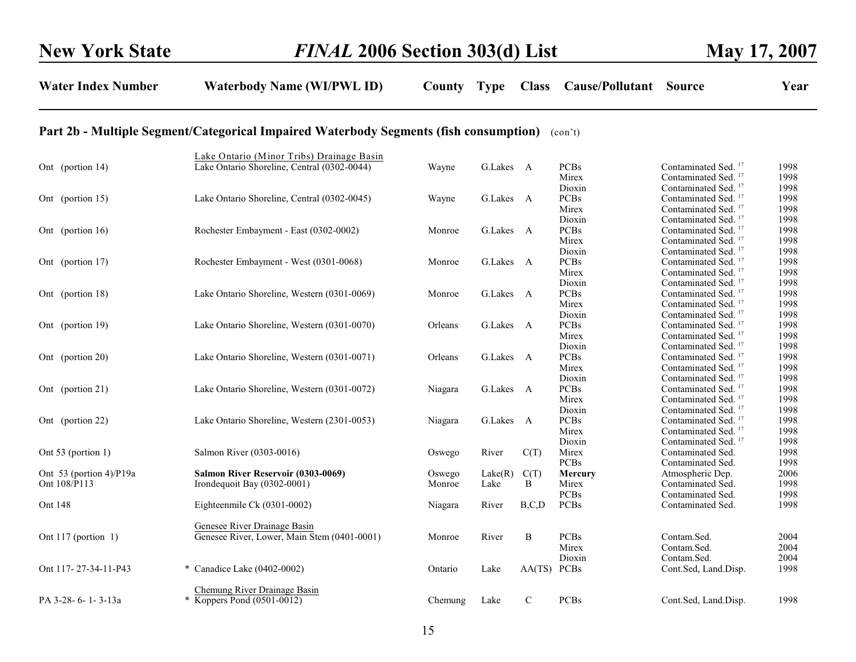|                            | Lake Ontario (Minor Tribs) Drainage Basin   |         |           |             |                |                                 |      |
|----------------------------|---------------------------------------------|---------|-----------|-------------|----------------|---------------------------------|------|
| Ont (portion 14)           | Lake Ontario Shoreline, Central (0302-0044) | Wayne   | G.Lakes A |             | <b>PCBs</b>    | Contaminated Sed. <sup>17</sup> | 1998 |
|                            |                                             |         |           |             | Mirex          | Contaminated Sed. <sup>17</sup> | 1998 |
|                            |                                             |         |           |             | Dioxin         | Contaminated Sed. <sup>17</sup> | 1998 |
| Ont (portion 15)           | Lake Ontario Shoreline, Central (0302-0045) | Wayne   | G.Lakes A |             | <b>PCBs</b>    | Contaminated Sed. <sup>17</sup> | 1998 |
|                            |                                             |         |           |             | Mirex          | Contaminated Sed. <sup>17</sup> | 1998 |
|                            |                                             |         |           |             | Dioxin         | Contaminated Sed. <sup>17</sup> | 1998 |
| Ont (portion 16)           | Rochester Embayment - East (0302-0002)      | Monroe  | G.Lakes A |             | <b>PCBs</b>    | Contaminated Sed. <sup>17</sup> | 1998 |
|                            |                                             |         |           |             | Mirex          | Contaminated Sed. <sup>17</sup> | 1998 |
|                            |                                             |         |           |             | Dioxin         | Contaminated Sed. <sup>17</sup> | 1998 |
| Ont (portion 17)           | Rochester Embayment - West (0301-0068)      | Monroe  | G.Lakes A |             | <b>PCBs</b>    | Contaminated Sed. <sup>17</sup> | 1998 |
|                            |                                             |         |           |             | Mirex          | Contaminated Sed. <sup>17</sup> | 1998 |
|                            |                                             |         |           |             | Dioxin         | Contaminated Sed. <sup>17</sup> | 1998 |
| Ont (portion 18)           | Lake Ontario Shoreline, Western (0301-0069) | Monroe  | G.Lakes A |             | <b>PCBs</b>    | Contaminated Sed. <sup>17</sup> | 1998 |
|                            |                                             |         |           |             | Mirex          | Contaminated Sed. <sup>17</sup> | 1998 |
|                            |                                             |         |           |             | Dioxin         | Contaminated Sed. <sup>17</sup> | 1998 |
| Ont (portion 19)           | Lake Ontario Shoreline, Western (0301-0070) | Orleans | G.Lakes A |             | <b>PCBs</b>    | Contaminated Sed. <sup>17</sup> | 1998 |
|                            |                                             |         |           |             | Mirex          | Contaminated Sed. <sup>17</sup> | 1998 |
|                            |                                             |         |           |             | Dioxin         | Contaminated Sed. <sup>17</sup> | 1998 |
| Ont (portion 20)           | Lake Ontario Shoreline, Western (0301-0071) | Orleans | G.Lakes A |             | <b>PCBs</b>    | Contaminated Sed. <sup>17</sup> | 1998 |
|                            |                                             |         |           |             | Mirex          | Contaminated Sed. <sup>17</sup> | 1998 |
|                            |                                             |         |           |             | Dioxin         | Contaminated Sed. <sup>17</sup> | 1998 |
| Ont (portion 21)           | Lake Ontario Shoreline, Western (0301-0072) | Niagara | G.Lakes A |             | <b>PCBs</b>    | Contaminated Sed. <sup>17</sup> | 1998 |
|                            |                                             |         |           |             | Mirex          | Contaminated Sed. <sup>17</sup> | 1998 |
|                            |                                             |         |           |             | Dioxin         | Contaminated Sed. <sup>17</sup> | 1998 |
| Ont (portion 22)           | Lake Ontario Shoreline, Western (2301-0053) | Niagara | G.Lakes A |             | <b>PCBs</b>    | Contaminated Sed. <sup>17</sup> | 1998 |
|                            |                                             |         |           |             | Mirex          | Contaminated Sed. <sup>17</sup> | 1998 |
|                            |                                             |         |           |             | Dioxin         | Contaminated Sed. <sup>17</sup> | 1998 |
| Ont 53 (portion 1)         | Salmon River (0303-0016)                    | Oswego  | River     | C(T)        | Mirex          | Contaminated Sed.               | 1998 |
|                            |                                             |         |           |             | <b>PCBs</b>    | Contaminated Sed.               | 1998 |
| Ont 53 (portion $4$ )/P19a | Salmon River Reservoir (0303-0069)          | Oswego  | Lake(R)   | C(T)        | <b>Mercury</b> | Atmospheric Dep.                | 2006 |
| Ont 108/P113               | Irondequoit Bay (0302-0001)                 | Monroe  | Lake      | B           | Mirex          | Contaminated Sed.               | 1998 |
|                            |                                             |         |           |             | <b>PCBs</b>    | Contaminated Sed.               | 1998 |
| Ont 148                    | Eighteenmile Ck $(0301-0002)$               | Niagara | River     | B, C, D     | <b>PCBs</b>    | Contaminated Sed.               | 1998 |
|                            | Genesee River Drainage Basin                |         |           |             |                |                                 |      |
| Ont $117$ (portion 1)      | Genesee River, Lower, Main Stem (0401-0001) | Monroe  | River     | B           | <b>PCBs</b>    | Contam.Sed.                     | 2004 |
|                            |                                             |         |           |             | Mirex          | Contam.Sed.                     | 2004 |
|                            |                                             |         |           |             | Dioxin         | Contam.Sed.                     | 2004 |
| Ont 117-27-34-11-P43       | * Canadice Lake (0402-0002)                 | Ontario | Lake      | AA(TS) PCBs |                | Cont.Sed, Land.Disp.            | 1998 |
|                            | Chemung River Drainage Basin                |         |           |             |                |                                 |      |
| PA 3-28-6-1-3-13a          | * Koppers Pond (0501-0012)                  | Chemung | Lake      | $\mathbf C$ | <b>PCBs</b>    | Cont.Sed, Land.Disp.            | 1998 |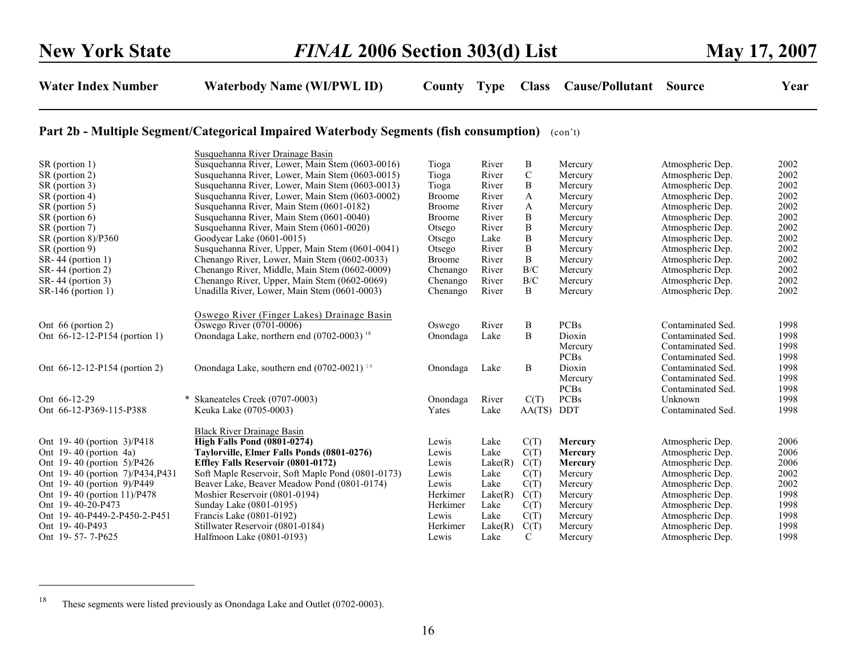|                                 | Susquehanna River Drainage Basin                      |               |         |              |                |                   |      |
|---------------------------------|-------------------------------------------------------|---------------|---------|--------------|----------------|-------------------|------|
| SR (portion 1)                  | Susquehanna River, Lower, Main Stem (0603-0016)       | Tioga         | River   | В            | Mercury        | Atmospheric Dep.  | 2002 |
| SR (portion 2)                  | Susquehanna River, Lower, Main Stem (0603-0015)       | Tioga         | River   | $\mathbf C$  | Mercury        | Atmospheric Dep.  | 2002 |
| SR (portion 3)                  | Susquehanna River, Lower, Main Stem (0603-0013)       | Tioga         | River   | B            | Mercury        | Atmospheric Dep.  | 2002 |
| SR (portion 4)                  | Susquehanna River, Lower, Main Stem (0603-0002)       | <b>Broome</b> | River   | А            | Mercury        | Atmospheric Dep.  | 2002 |
| SR (portion 5)                  | Susquehanna River, Main Stem (0601-0182)              | <b>Broome</b> | River   | Α            | Mercury        | Atmospheric Dep.  | 2002 |
| SR (portion 6)                  | Susquehanna River, Main Stem (0601-0040)              | <b>Broome</b> | River   | B            | Mercury        | Atmospheric Dep.  | 2002 |
| SR (portion 7)                  | Susquehanna River, Main Stem (0601-0020)              | Otsego        | River   | B            | Mercury        | Atmospheric Dep.  | 2002 |
| $SR$ (portion 8)/P360           | Goodyear Lake (0601-0015)                             | Otsego        | Lake    | $\, {\bf B}$ | Mercury        | Atmospheric Dep.  | 2002 |
| SR (portion 9)                  | Susquehanna River, Upper, Main Stem (0601-0041)       | Otsego        | River   | B            | Mercury        | Atmospheric Dep.  | 2002 |
| $SR-44$ (portion 1)             | Chenango River, Lower, Main Stem (0602-0033)          | <b>Broome</b> | River   | $\, {\bf B}$ | Mercury        | Atmospheric Dep.  | 2002 |
| $SR-44$ (portion 2)             | Chenango River, Middle, Main Stem (0602-0009)         | Chenango      | River   | B/C          | Mercury        | Atmospheric Dep.  | 2002 |
| $SR-44$ (portion 3)             | Chenango River, Upper, Main Stem (0602-0069)          | Chenango      | River   | $\rm B/C$    | Mercury        | Atmospheric Dep.  | 2002 |
| $SR-146$ (portion 1)            | Unadilla River, Lower, Main Stem (0601-0003)          | Chenango      | River   | B            | Mercury        | Atmospheric Dep.  | 2002 |
|                                 |                                                       |               |         |              |                |                   |      |
|                                 | Oswego River (Finger Lakes) Drainage Basin            |               |         |              |                |                   |      |
| Ont $66$ (portion 2)            | Oswego River (0701-0006)                              | Oswego        | River   | B            | <b>PCBs</b>    | Contaminated Sed. | 1998 |
| Ont 66-12-12-P154 (portion 1)   | Onondaga Lake, northern end (0702-0003) <sup>18</sup> | Onondaga      | Lake    | B            | Dioxin         | Contaminated Sed. | 1998 |
|                                 |                                                       |               |         |              | Mercury        | Contaminated Sed. | 1998 |
|                                 |                                                       |               |         |              | <b>PCBs</b>    | Contaminated Sed. | 1998 |
| Ont 66-12-12-P154 (portion 2)   | Onondaga Lake, southern end (0702-0021) <sup>18</sup> | Onondaga      | Lake    | B            | Dioxin         | Contaminated Sed. | 1998 |
|                                 |                                                       |               |         |              | Mercury        | Contaminated Sed. | 1998 |
|                                 |                                                       |               |         |              | <b>PCBs</b>    | Contaminated Sed. | 1998 |
| Ont 66-12-29                    | * Skaneateles Creek (0707-0003)                       | Onondaga      | River   | C(T)         | <b>PCBs</b>    | Unknown           | 1998 |
| Ont 66-12-P369-115-P388         | Keuka Lake (0705-0003)                                | Yates         | Lake    | AA(TS)       | DDT            | Contaminated Sed. | 1998 |
|                                 | <b>Black River Drainage Basin</b>                     |               |         |              |                |                   |      |
| Ont 19-40 (portion $3$ )/P418   | <b>High Falls Pond (0801-0274)</b>                    | Lewis         | Lake    | C(T)         | <b>Mercury</b> | Atmospheric Dep.  | 2006 |
| Ont 19-40 (portion 4a)          | Taylorville, Elmer Falls Ponds (0801-0276)            | Lewis         | Lake    | C(T)         | <b>Mercury</b> | Atmospheric Dep.  | 2006 |
| Ont 19-40 (portion $5$ )/P426   | <b>Effley Falls Reservoir (0801-0172)</b>             | Lewis         | Lake(R) | C(T)         | <b>Mercury</b> | Atmospheric Dep.  | 2006 |
| Ont 19-40 (portion 7)/P434,P431 | Soft Maple Reservoir, Soft Maple Pond (0801-0173)     | Lewis         | Lake    | C(T)         | Mercury        | Atmospheric Dep.  | 2002 |
| Ont 19-40 (portion 9)/P449      | Beaver Lake, Beaver Meadow Pond (0801-0174)           | Lewis         | Lake    | C(T)         | Mercury        | Atmospheric Dep.  | 2002 |
| Ont 19-40 (portion 11)/P478     | Moshier Reservoir (0801-0194)                         | Herkimer      | Lake(R) | C(T)         | Mercury        | Atmospheric Dep.  | 1998 |
| Ont 19-40-20-P473               | Sunday Lake (0801-0195)                               | Herkimer      | Lake    | C(T)         | Mercury        | Atmospheric Dep.  | 1998 |
| Ont 19-40-P449-2-P450-2-P451    | Francis Lake (0801-0192)                              | Lewis         | Lake    | C(T)         | Mercury        | Atmospheric Dep.  | 1998 |
| Ont 19-40-P493                  | Stillwater Reservoir (0801-0184)                      | Herkimer      | Lake(R) | C(T)         | Mercury        | Atmospheric Dep.  | 1998 |
| Ont 19-57-7-P625                | Halfmoon Lake (0801-0193)                             | Lewis         | Lake    | C            | Mercury        | Atmospheric Dep.  | 1998 |
|                                 |                                                       |               |         |              |                |                   |      |

These segments were listed previously as Onondaga Lake and Outlet (0702-0003). 18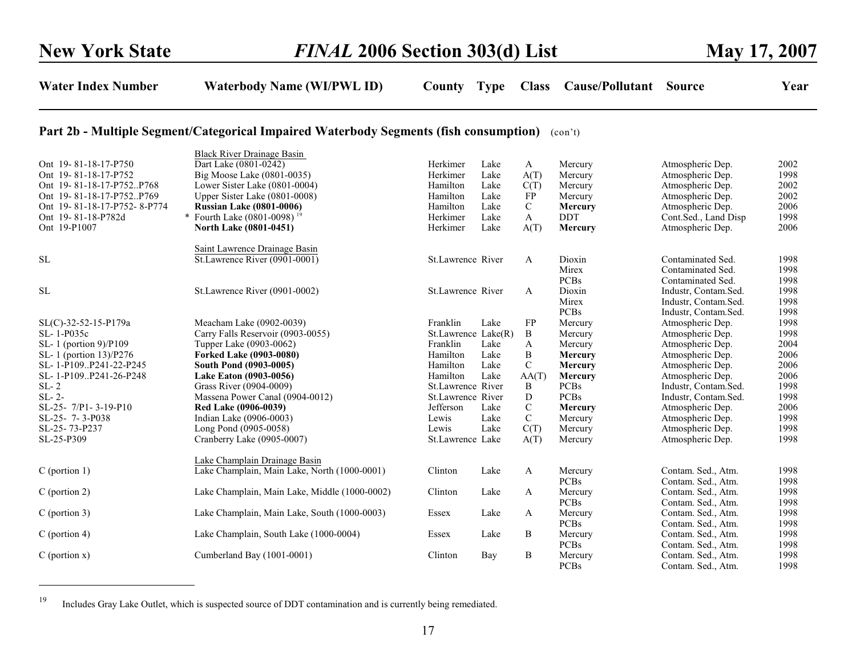| Ont 19-81-18-17-P750<br>Ont 19-81-18-17-P752<br>Ont 19-81-18-17-P752P768<br>Ont 19-81-18-17-P752P769<br>Ont 19-81-18-17-P752-8-P774<br>Ont 19-81-18-P782d<br>Ont 19-P1007 | <b>Black River Drainage Basin</b><br>Dart Lake (0801-0242)<br>Big Moose Lake (0801-0035)<br>Lower Sister Lake (0801-0004)<br>Upper Sister Lake (0801-0008)<br><b>Russian Lake (0801-0006)</b><br>* Fourth Lake $(0801-0098)^{19}$<br>North Lake (0801-0451) | Herkimer<br>Herkimer<br>Hamilton<br>Hamilton<br>Hamilton<br>Herkimer<br>Herkimer | Lake<br>Lake<br>Lake<br>Lake<br>Lake<br>Lake<br>Lake | A<br>A(T)<br>C(T)<br><b>FP</b><br>C<br>A<br>A(T) | Mercury<br>Mercury<br>Mercury<br>Mercury<br><b>Mercury</b><br><b>DDT</b><br>Mercury | Atmospheric Dep.<br>Atmospheric Dep.<br>Atmospheric Dep.<br>Atmospheric Dep.<br>Atmospheric Dep.<br>Cont.Sed., Land Disp<br>Atmospheric Dep. | 2002<br>1998<br>2002<br>2002<br>2006<br>1998<br>2006 |
|---------------------------------------------------------------------------------------------------------------------------------------------------------------------------|-------------------------------------------------------------------------------------------------------------------------------------------------------------------------------------------------------------------------------------------------------------|----------------------------------------------------------------------------------|------------------------------------------------------|--------------------------------------------------|-------------------------------------------------------------------------------------|----------------------------------------------------------------------------------------------------------------------------------------------|------------------------------------------------------|
| <b>SL</b>                                                                                                                                                                 | Saint Lawrence Drainage Basin<br>St.Lawrence River (0901-0001)                                                                                                                                                                                              | St.Lawrence River                                                                |                                                      | A                                                | Dioxin<br>Mirex                                                                     | Contaminated Sed.<br>Contaminated Sed.                                                                                                       | 1998<br>1998                                         |
| <b>SL</b>                                                                                                                                                                 | St.Lawrence River (0901-0002)                                                                                                                                                                                                                               | St.Lawrence River                                                                |                                                      | A                                                | <b>PCBs</b><br>Dioxin<br>Mirex<br><b>PCBs</b>                                       | Contaminated Sed.<br>Industr, Contam.Sed.<br>Industr, Contam.Sed.                                                                            | 1998<br>1998<br>1998<br>1998                         |
| $SL(C)$ -32-52-15-P179a                                                                                                                                                   | Meacham Lake (0902-0039)                                                                                                                                                                                                                                    | Franklin                                                                         | Lake                                                 | FP                                               | Mercury                                                                             | Industr, Contam.Sed.<br>Atmospheric Dep.                                                                                                     | 1998                                                 |
| SL-1-P035c                                                                                                                                                                | Carry Falls Reservoir (0903-0055)                                                                                                                                                                                                                           | St.Lawrence Lake(R)                                                              |                                                      | B                                                | Mercury                                                                             | Atmospheric Dep.                                                                                                                             | 1998                                                 |
| SL-1 (portion $9$ )/P109                                                                                                                                                  | Tupper Lake (0903-0062)                                                                                                                                                                                                                                     | Franklin                                                                         | Lake                                                 | A                                                | Mercury                                                                             | Atmospheric Dep.                                                                                                                             | 2004                                                 |
| SL-1 (portion $13$ )/P276                                                                                                                                                 | Forked Lake (0903-0080)                                                                                                                                                                                                                                     | Hamilton                                                                         | Lake                                                 | B                                                | <b>Mercury</b>                                                                      | Atmospheric Dep.                                                                                                                             | 2006                                                 |
| SL-1-P109P241-22-P245                                                                                                                                                     | South Pond (0903-0005)                                                                                                                                                                                                                                      | Hamilton                                                                         | Lake                                                 | $\mathbf C$                                      | Mercury                                                                             | Atmospheric Dep.                                                                                                                             | 2006                                                 |
| SL-1-P109P241-26-P248                                                                                                                                                     | Lake Eaton (0903-0056)                                                                                                                                                                                                                                      | Hamilton                                                                         | Lake                                                 | AA(T)                                            | <b>Mercury</b>                                                                      | Atmospheric Dep.                                                                                                                             | 2006                                                 |
| $SL-2$                                                                                                                                                                    | Grass River (0904-0009)                                                                                                                                                                                                                                     | St.Lawrence River                                                                |                                                      | B                                                | <b>PCBs</b>                                                                         | Industr, Contam.Sed.                                                                                                                         | 1998                                                 |
| $SL-2$ -                                                                                                                                                                  | Massena Power Canal (0904-0012)                                                                                                                                                                                                                             | St.Lawrence River                                                                |                                                      | D                                                | <b>PCBs</b>                                                                         | Industr, Contam.Sed.                                                                                                                         | 1998                                                 |
| SL-25-7/P1-3-19-P10                                                                                                                                                       | Red Lake (0906-0039)                                                                                                                                                                                                                                        | Jefferson                                                                        | Lake                                                 | $\mathbf C$                                      | <b>Mercury</b>                                                                      | Atmospheric Dep.                                                                                                                             | 2006                                                 |
| SL-25-7-3-P038                                                                                                                                                            | Indian Lake (0906-0003)                                                                                                                                                                                                                                     | Lewis                                                                            | Lake                                                 | $\mathbf C$                                      | Mercury                                                                             | Atmospheric Dep.                                                                                                                             | 1998                                                 |
| SL-25-73-P237                                                                                                                                                             | Long Pond (0905-0058)                                                                                                                                                                                                                                       | Lewis                                                                            | Lake                                                 | C(T)                                             | Mercury                                                                             | Atmospheric Dep.                                                                                                                             | 1998                                                 |
| SL-25-P309                                                                                                                                                                | Cranberry Lake (0905-0007)                                                                                                                                                                                                                                  | St.Lawrence Lake                                                                 |                                                      | A(T)                                             | Mercury                                                                             | Atmospheric Dep.                                                                                                                             | 1998                                                 |
|                                                                                                                                                                           | Lake Champlain Drainage Basin                                                                                                                                                                                                                               |                                                                                  |                                                      |                                                  |                                                                                     |                                                                                                                                              |                                                      |
| $C$ (portion 1)                                                                                                                                                           | Lake Champlain, Main Lake, North (1000-0001)                                                                                                                                                                                                                | Clinton                                                                          | Lake                                                 | A                                                | Mercury                                                                             | Contam. Sed., Atm.                                                                                                                           | 1998                                                 |
|                                                                                                                                                                           |                                                                                                                                                                                                                                                             |                                                                                  |                                                      |                                                  | <b>PCBs</b>                                                                         | Contam. Sed., Atm.                                                                                                                           | 1998                                                 |
| $C$ (portion 2)                                                                                                                                                           | Lake Champlain, Main Lake, Middle (1000-0002)                                                                                                                                                                                                               | Clinton                                                                          | Lake                                                 | A                                                | Mercury                                                                             | Contam. Sed., Atm.                                                                                                                           | 1998                                                 |
|                                                                                                                                                                           |                                                                                                                                                                                                                                                             |                                                                                  |                                                      |                                                  | <b>PCBs</b>                                                                         | Contam. Sed., Atm.                                                                                                                           | 1998                                                 |
| $C$ (portion 3)                                                                                                                                                           | Lake Champlain, Main Lake, South (1000-0003)                                                                                                                                                                                                                | Essex                                                                            | Lake                                                 | A                                                | Mercury                                                                             | Contam. Sed., Atm.                                                                                                                           | 1998                                                 |
|                                                                                                                                                                           |                                                                                                                                                                                                                                                             |                                                                                  |                                                      |                                                  | <b>PCBs</b>                                                                         | Contam. Sed., Atm.                                                                                                                           | 1998                                                 |
| $C$ (portion 4)                                                                                                                                                           | Lake Champlain, South Lake (1000-0004)                                                                                                                                                                                                                      | <b>Essex</b>                                                                     | Lake                                                 | B                                                | Mercury                                                                             | Contam. Sed., Atm.                                                                                                                           | 1998                                                 |
|                                                                                                                                                                           |                                                                                                                                                                                                                                                             | Clinton                                                                          |                                                      | B                                                | <b>PCBs</b>                                                                         | Contam. Sed., Atm.                                                                                                                           | 1998<br>1998                                         |
| $C$ (portion x)                                                                                                                                                           | Cumberland Bay (1001-0001)                                                                                                                                                                                                                                  |                                                                                  | Bay                                                  |                                                  | Mercury<br><b>PCBs</b>                                                              | Contam. Sed., Atm.<br>Contam. Sed., Atm.                                                                                                     | 1998                                                 |
|                                                                                                                                                                           |                                                                                                                                                                                                                                                             |                                                                                  |                                                      |                                                  |                                                                                     |                                                                                                                                              |                                                      |

<sup>&</sup>lt;sup>19</sup> Includes Gray Lake Outlet, which is suspected source of DDT contamination and is currently being remediated.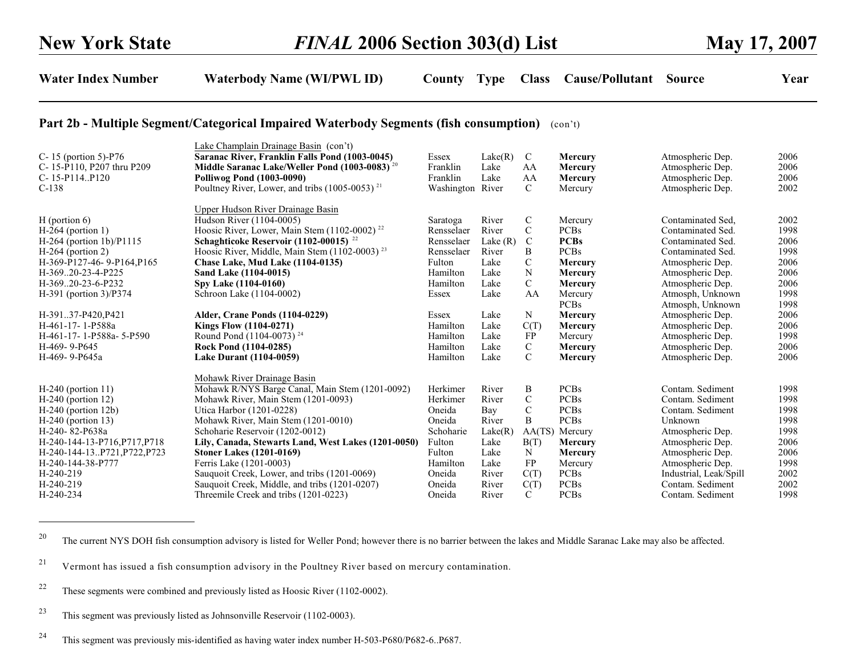#### **Part 2b - Multiple Segment/Categorical Impaired Waterbody Segments (fish consumption)** (con't)

|                               | Lake Champlain Drainage Basin (con't)                     |                  |            |               |                |                        |      |
|-------------------------------|-----------------------------------------------------------|------------------|------------|---------------|----------------|------------------------|------|
| C- 15 (portion 5)- $P76$      | Saranac River, Franklin Falls Pond (1003-0045)            | Essex            | Lake(R)    | C             | <b>Mercury</b> | Atmospheric Dep.       | 2006 |
| C-15-P110, P207 thru P209     | Middle Saranac Lake/Weller Pond (1003-0083) <sup>20</sup> | Franklin         | Lake       | AA            | <b>Mercury</b> | Atmospheric Dep.       | 2006 |
| C-15-P114.P120                | <b>Polliwog Pond (1003-0090)</b>                          | Franklin         | Lake       | AA            | <b>Mercury</b> | Atmospheric Dep.       | 2006 |
| $C-138$                       | Poultney River, Lower, and tribs $(1005-0053)^{21}$       | Washington River |            | $\mathcal{C}$ | Mercury        | Atmospheric Dep.       | 2002 |
|                               |                                                           |                  |            |               |                |                        |      |
|                               | Upper Hudson River Drainage Basin                         |                  |            |               |                |                        |      |
| $H$ (portion 6)               | Hudson River (1104-0005)                                  | Saratoga         | River      | C             | Mercury        | Contaminated Sed.      | 2002 |
| $H-264$ (portion 1)           | Hoosic River, Lower, Main Stem $(1102-0002)^{22}$         | Rensselaer       | River      | C             | <b>PCBs</b>    | Contaminated Sed.      | 1998 |
| $H-264$ (portion 1b)/P1115    | Schaghticoke Reservoir (1102-00015) <sup>22</sup>         | Rensselaer       | Lake $(R)$ | $\mathcal{C}$ | <b>PCBs</b>    | Contaminated Sed.      | 2006 |
| $H-264$ (portion 2)           | Hoosic River, Middle, Main Stem (1102-0003) <sup>23</sup> | Rensselaer       | River      | B             | <b>PCBs</b>    | Contaminated Sed.      | 1998 |
| H-369-P127-46-9-P164, P165    | Chase Lake, Mud Lake (1104-0135)                          | Fulton           | Lake       | C             | <b>Mercury</b> | Atmospheric Dep.       | 2006 |
| H-36920-23-4-P225             | Sand Lake (1104-0015)                                     | Hamilton         | Lake       | N             | <b>Mercury</b> | Atmospheric Dep.       | 2006 |
| H-36920-23-6-P232             | Spy Lake (1104-0160)                                      | Hamilton         | Lake       | $\mathbf C$   | <b>Mercury</b> | Atmospheric Dep.       | 2006 |
| $H-391$ (portion 3)/P374      | Schroon Lake (1104-0002)                                  | Essex            | Lake       | AA            | Mercury        | Atmosph, Unknown       | 1998 |
|                               |                                                           |                  |            |               | <b>PCBs</b>    | Atmosph, Unknown       | 1998 |
| H-39137-P420, P421            | <b>Alder, Crane Ponds (1104-0229)</b>                     | Essex            | Lake       | N             | <b>Mercury</b> | Atmospheric Dep.       | 2006 |
| H-461-17-1-P588a              | <b>Kings Flow (1104-0271)</b>                             | Hamilton         | Lake       | C(T)          | Mercury        | Atmospheric Dep.       | 2006 |
| H-461-17-1-P588a-5-P590       | Round Pond (1104-0073) <sup>24</sup>                      | Hamilton         | Lake       | FP            | Mercury        | Atmospheric Dep.       | 1998 |
| H-469-9-P645                  | Rock Pond (1104-0285)                                     | Hamilton         | Lake       | $\mathbf C$   | <b>Mercury</b> | Atmospheric Dep.       | 2006 |
| H-469-9-P645a                 | <b>Lake Durant (1104-0059)</b>                            | Hamilton         | Lake       | $\mathcal{C}$ | <b>Mercury</b> | Atmospheric Dep.       | 2006 |
|                               |                                                           |                  |            |               |                |                        |      |
|                               | Mohawk River Drainage Basin                               |                  |            |               |                |                        |      |
| $H-240$ (portion 11)          | Mohawk R/NYS Barge Canal, Main Stem (1201-0092)           | Herkimer         | River      | B             | <b>PCBs</b>    | Contam. Sediment       | 1998 |
| $H-240$ (portion 12)          | Mohawk River, Main Stem (1201-0093)                       | Herkimer         | River      | $\mathsf{C}$  | <b>PCBs</b>    | Contam. Sediment       | 1998 |
| $H-240$ (portion 12b)         | Utica Harbor (1201-0228)                                  | Oneida           | Bay        | $\mathsf{C}$  | <b>PCBs</b>    | Contam. Sediment       | 1998 |
| $H-240$ (portion 13)          | Mohawk River, Main Stem (1201-0010)                       | Oneida           | River      | B             | <b>PCBs</b>    | Unknown                | 1998 |
| H-240-82-P638a                | Schoharie Reservoir (1202-0012)                           | Schoharie        | Lake(R)    | AA(TS)        | Mercury        | Atmospheric Dep.       | 1998 |
| H-240-144-13-P716, P717, P718 | Lily, Canada, Stewarts Land, West Lakes (1201-0050)       | Fulton           | Lake       | B(T)          | <b>Mercury</b> | Atmospheric Dep.       | 2006 |
| H-240-144-13P721,P722,P723    | <b>Stoner Lakes (1201-0169)</b>                           | Fulton           | Lake       | N             | <b>Mercury</b> | Atmospheric Dep.       | 2006 |
| H-240-144-38-P777             | Ferris Lake (1201-0003)                                   | Hamilton         | Lake       | FP            | Mercury        | Atmospheric Dep.       | 1998 |
| H-240-219                     | Sauguoit Creek, Lower, and tribs (1201-0069)              | Oneida           | River      | C(T)          | <b>PCBs</b>    | Industrial, Leak/Spill | 2002 |
| H-240-219                     | Sauquoit Creek, Middle, and tribs (1201-0207)             | Oneida           | River      | C(T)          | <b>PCBs</b>    | Contam. Sediment       | 2002 |
| H-240-234                     | Threemile Creek and tribs (1201-0223)                     | Oneida           | River      | C             | <b>PCBs</b>    | Contam. Sediment       | 1998 |

<sup>&</sup>lt;sup>20</sup> The current NYS DOH fish consumption advisory is listed for Weller Pond; however there is no barrier between the lakes and Middle Saranac Lake may also be affected.

<sup>22</sup> These segments were combined and previously listed as Hoosic River (1102-0002).

<sup>23</sup> This segment was previously listed as Johnsonville Reservoir (1102-0003).

<sup>24</sup> This segment was previously mis-identified as having water index number H-503-P680/P682-6..P687.

Vermont has issued a fish consumption advisory in the Poultney River based on mercury contamination. 21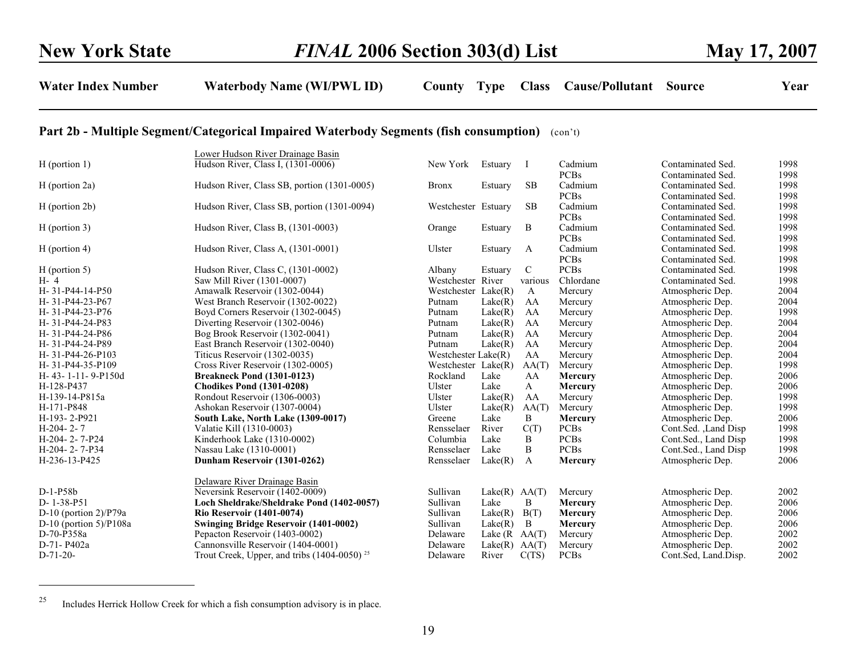|                           | Lower Hudson River Drainage Basin                |                     |                     |              |                |                      |      |
|---------------------------|--------------------------------------------------|---------------------|---------------------|--------------|----------------|----------------------|------|
| $H$ (portion 1)           | Hudson River, Class I, (1301-0006)               | New York            | Estuary             | - 1          | Cadmium        | Contaminated Sed.    | 1998 |
|                           |                                                  |                     |                     |              | <b>PCBs</b>    | Contaminated Sed.    | 1998 |
| $H$ (portion 2a)          | Hudson River, Class SB, portion (1301-0005)      | <b>Bronx</b>        | Estuary             | SB           | Cadmium        | Contaminated Sed.    | 1998 |
|                           |                                                  |                     |                     |              | <b>PCBs</b>    | Contaminated Sed.    | 1998 |
| $H$ (portion 2b)          | Hudson River, Class SB, portion (1301-0094)      | Westchester Estuary |                     | <b>SB</b>    | Cadmium        | Contaminated Sed.    | 1998 |
|                           |                                                  |                     |                     |              | <b>PCBs</b>    | Contaminated Sed.    | 1998 |
| H (portion 3)             | Hudson River, Class B, (1301-0003)               | Orange              | Estuary             | B            | Cadmium        | Contaminated Sed.    | 1998 |
|                           |                                                  |                     |                     |              | <b>PCBs</b>    | Contaminated Sed.    | 1998 |
| $H$ (portion 4)           | Hudson River, Class A, (1301-0001)               | Ulster              | Estuary             | A            | Cadmium        | Contaminated Sed.    | 1998 |
|                           |                                                  |                     |                     |              | <b>PCBs</b>    | Contaminated Sed.    | 1998 |
| $H$ (portion 5)           | Hudson River, Class C, (1301-0002)               | Albany              | Estuary             | $\mathsf{C}$ | <b>PCBs</b>    | Contaminated Sed.    | 1998 |
| H- 4                      | Saw Mill River (1301-0007)                       | Westchester River   |                     | various      | Chlordane      | Contaminated Sed.    | 1998 |
| H-31-P44-14-P50           | Amawalk Reservoir (1302-0044)                    | Westchester Lake(R) |                     | $\mathbf{A}$ | Mercury        | Atmospheric Dep.     | 2004 |
| H-31-P44-23-P67           | West Branch Reservoir (1302-0022)                | Putnam              | Lake(R)             | AA           | Mercury        | Atmospheric Dep.     | 2004 |
| H-31-P44-23-P76           | Boyd Corners Reservoir (1302-0045)               | Putnam              | Lake(R)             | AA           | Mercury        | Atmospheric Dep.     | 1998 |
| H-31-P44-24-P83           | Diverting Reservoir (1302-0046)                  | Putnam              | Lake(R)             | AA           | Mercury        | Atmospheric Dep.     | 2004 |
| H-31-P44-24-P86           | Bog Brook Reservoir (1302-0041)                  | Putnam              | Lake(R)             | AA           | Mercury        | Atmospheric Dep.     | 2004 |
| H-31-P44-24-P89           | East Branch Reservoir (1302-0040)                | Putnam              | Lake(R)             | AA           | Mercury        | Atmospheric Dep.     | 2004 |
| H-31-P44-26-P103          | Titicus Reservoir (1302-0035)                    | Westchester Lake(R) |                     | AA           | Mercury        | Atmospheric Dep.     | 2004 |
| H-31-P44-35-P109          | Cross River Reservoir (1302-0005)                | Westchester Lake(R) |                     | AA(T)        | Mercury        | Atmospheric Dep.     | 1998 |
| H-43-1-11-9-P150d         | <b>Breakneck Pond (1301-0123)</b>                | Rockland            | Lake                | AA           | Mercury        | Atmospheric Dep.     | 2006 |
| H-128-P437                | <b>Chodikes Pond (1301-0208)</b>                 | Ulster              | Lake                | A            | <b>Mercury</b> | Atmospheric Dep.     | 2006 |
| H-139-14-P815a            | Rondout Reservoir (1306-0003)                    | Ulster              | Lake(R)             | AA           | Mercury        | Atmospheric Dep.     | 1998 |
| H-171-P848                | Ashokan Reservoir (1307-0004)                    | Ulster              | Lake(R)             | AA(T)        | Mercury        | Atmospheric Dep.     | 1998 |
| H-193-2-P921              | South Lake, North Lake (1309-0017)               | Greene              | Lake                | Β            | <b>Mercury</b> | Atmospheric Dep.     | 2006 |
| $H-204-2-7$               | Valatie Kill (1310-0003)                         | Rensselaer          | River               | C(T)         | <b>PCBs</b>    | Cont.Sed., Land Disp | 1998 |
| H-204-2-7-P24             | Kinderhook Lake (1310-0002)                      | Columbia            | Lake                | B            | <b>PCBs</b>    | Cont.Sed., Land Disp | 1998 |
| H-204-2-7-P34             | Nassau Lake (1310-0001)                          | Rensselaer          | Lake                | B            | <b>PCBs</b>    | Cont.Sed., Land Disp | 1998 |
| H-236-13-P425             | Dunham Reservoir (1301-0262)                     | Rensselaer          | Lake(R)             | A            | <b>Mercury</b> | Atmospheric Dep.     | 2006 |
|                           | Delaware River Drainage Basin                    |                     |                     |              |                |                      |      |
| $D-1-P58b$                | Neversink Reservoir (1402-0009)                  | Sullivan            | Lake $(R)$ AA $(T)$ |              | Mercury        | Atmospheric Dep.     | 2002 |
| D-1-38-P51                | Loch Sheldrake/Sheldrake Pond (1402-0057)        | Sullivan            | Lake                | Β            | <b>Mercury</b> | Atmospheric Dep.     | 2006 |
| $D-10$ (portion 2)/P79a   | <b>Rio Reservoir (1401-0074)</b>                 | Sullivan            | Lake(R)             | B(T)         | <b>Mercury</b> | Atmospheric Dep.     | 2006 |
| D-10 (portion $5$ )/P108a | <b>Swinging Bridge Reservoir (1401-0002)</b>     | Sullivan            | Lake(R)             | B            | <b>Mercury</b> | Atmospheric Dep.     | 2006 |
| D-70-P358a                | Pepacton Reservoir (1403-0002)                   | Delaware            | Lake (R             | AA(T)        | Mercury        | Atmospheric Dep.     | 2002 |
| D-71-P402a                | Cannonsville Reservoir (1404-0001)               | Delaware            | Lake(R)             | AA(T)        | Mercury        | Atmospheric Dep.     | 2002 |
| $D-71-20-$                | Trout Creek, Upper, and tribs $(1404-0050)^{25}$ | Delaware            | River               | C(TS)        | <b>PCBs</b>    | Cont.Sed, Land.Disp. | 2002 |

Includes Herrick Hollow Creek for which a fish consumption advisory is in place. 25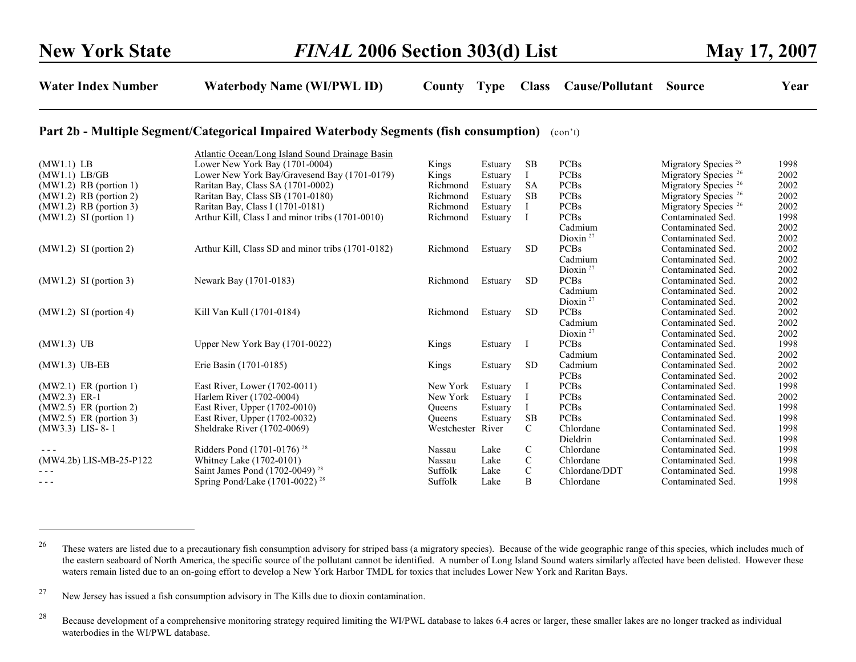|                          | Atlantic Ocean/Long Island Sound Drainage Basin   |               |         |               |                      |                                 |      |
|--------------------------|---------------------------------------------------|---------------|---------|---------------|----------------------|---------------------------------|------|
| $(MW1.1)$ LB             | Lower New York Bay (1701-0004)                    | Kings         | Estuary | SB            | <b>PCBs</b>          | Migratory Species <sup>26</sup> | 1998 |
| $(MW1.1)$ LB/GB          | Lower New York Bay/Gravesend Bay (1701-0179)      | Kings         | Estuary |               | <b>PCBs</b>          | Migratory Species <sup>26</sup> | 2002 |
| $(MW1.2)$ RB (portion 1) | Raritan Bay, Class SA (1701-0002)                 | Richmond      | Estuary | <b>SA</b>     | <b>PCBs</b>          | Migratory Species <sup>26</sup> | 2002 |
| $(MW1.2)$ RB (portion 2) | Raritan Bay, Class SB (1701-0180)                 | Richmond      | Estuary | <b>SB</b>     | <b>PCBs</b>          | Migratory Species <sup>26</sup> | 2002 |
| $(MW1.2)$ RB (portion 3) | Raritan Bay, Class I (1701-0181)                  | Richmond      | Estuary |               | <b>PCBs</b>          | Migratory Species <sup>26</sup> | 2002 |
| $(MW1.2)$ SI (portion 1) | Arthur Kill, Class I and minor tribs (1701-0010)  | Richmond      | Estuary |               | <b>PCBs</b>          | Contaminated Sed.               | 1998 |
|                          |                                                   |               |         |               | Cadmium              | Contaminated Sed.               | 2002 |
|                          |                                                   |               |         |               | Dioxin $27$          | Contaminated Sed.               | 2002 |
| $(MW1.2)$ SI (portion 2) | Arthur Kill, Class SD and minor tribs (1701-0182) | Richmond      | Estuary | <b>SD</b>     | <b>PCBs</b>          | Contaminated Sed.               | 2002 |
|                          |                                                   |               |         |               | Cadmium              | Contaminated Sed.               | 2002 |
|                          |                                                   |               |         |               | Dioxin <sup>27</sup> | Contaminated Sed.               | 2002 |
| $(MW1.2)$ SI (portion 3) | Newark Bay (1701-0183)                            | Richmond      | Estuary | <b>SD</b>     | <b>PCBs</b>          | Contaminated Sed.               | 2002 |
|                          |                                                   |               |         |               | Cadmium              | Contaminated Sed.               | 2002 |
|                          |                                                   |               |         |               | Dioxin <sup>27</sup> | Contaminated Sed.               | 2002 |
| $(MW1.2)$ SI (portion 4) | Kill Van Kull (1701-0184)                         | Richmond      | Estuary | <b>SD</b>     | <b>PCBs</b>          | Contaminated Sed.               | 2002 |
|                          |                                                   |               |         |               | Cadmium              | Contaminated Sed.               | 2002 |
|                          |                                                   |               |         |               | Dioxin $27$          | Contaminated Sed.               | 2002 |
| $(MW1.3)$ UB             | Upper New York Bay (1701-0022)                    | Kings         | Estuary |               | <b>PCBs</b>          | Contaminated Sed.               | 1998 |
|                          |                                                   |               |         |               | Cadmium              | Contaminated Sed.               | 2002 |
| $(MW1.3)$ UB-EB          | Erie Basin (1701-0185)                            | Kings         | Estuary | SD.           | Cadmium              | Contaminated Sed.               | 2002 |
|                          |                                                   |               |         |               | <b>PCBs</b>          | Contaminated Sed.               | 2002 |
| $(MW2.1)$ ER (portion 1) | East River, Lower (1702-0011)                     | New York      | Estuary |               | <b>PCBs</b>          | Contaminated Sed.               | 1998 |
| $(MW2.3)$ ER-1           | Harlem River (1702-0004)                          | New York      | Estuary |               | <b>PCBs</b>          | Contaminated Sed.               | 2002 |
| $(MW2.5)$ ER (portion 2) | East River, Upper (1702-0010)                     | <b>Oueens</b> | Estuary |               | <b>PCBs</b>          | Contaminated Sed.               | 1998 |
| $(MW2.5)$ ER (portion 3) | East River, Upper (1702-0032)                     | Oueens        | Estuary | <b>SB</b>     | <b>PCBs</b>          | Contaminated Sed.               | 1998 |
| $(MW3.3)$ LIS-8-1        | Sheldrake River (1702-0069)                       | Westchester   | River   | $\mathcal{C}$ | Chlordane            | Contaminated Sed.               | 1998 |
|                          |                                                   |               |         |               | Dieldrin             | Contaminated Sed.               | 1998 |
|                          | Ridders Pond (1701-0176) <sup>28</sup>            | Nassau        | Lake    | $\mathsf{C}$  | Chlordane            | Contaminated Sed.               | 1998 |
| (MW4.2b) LIS-MB-25-P122  | Whitney Lake (1702-0101)                          | Nassau        | Lake    | $\mathbf C$   | Chlordane            | Contaminated Sed.               | 1998 |
|                          | Saint James Pond $(1702-0049)^{28}$               | Suffolk       | Lake    | $\mathbf C$   | Chlordane/DDT        | Contaminated Sed.               | 1998 |
|                          | Spring Pond/Lake $(1701-0022)^{28}$               | Suffolk       | Lake    | B             | Chlordane            | Contaminated Sed.               | 1998 |
|                          |                                                   |               |         |               |                      |                                 |      |

<sup>&</sup>lt;sup>26</sup> These waters are listed due to a precautionary fish consumption advisory for striped bass (a migratory species). Because of the wide geographic range of this species, which includes much of the eastern seaboard of North America, the specific source of the pollutant cannot be identified. A number of Long Island Sound waters similarly affected have been delisted. However these waters remain listed due to an on-going effort to develop a New York Harbor TMDL for toxics that includes Lower New York and Raritan Bays.

New Jersey has issued a fish consumption advisory in The Kills due to dioxin contamination. 27

<sup>&</sup>lt;sup>28</sup> Because development of a comprehensive monitoring strategy required limiting the WI/PWL database to lakes 6.4 acres or larger, these smaller lakes are no longer tracked as individual waterbodies in the WI/PWL database.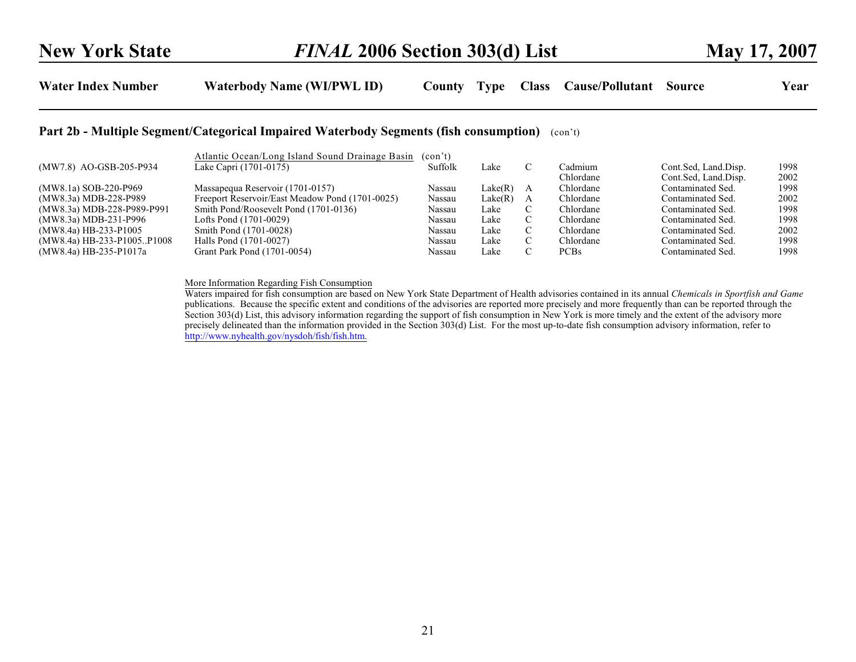| Water Index Number | Waterbody Name (WI/PWL ID) |  |  |  | County Type Class Cause/Pollutant Source |  | Year |
|--------------------|----------------------------|--|--|--|------------------------------------------|--|------|
|--------------------|----------------------------|--|--|--|------------------------------------------|--|------|

#### **Part 2b - Multiple Segment/Categorical Impaired Waterbody Segments (fish consumption)** (con't)

|                              | Atlantic Ocean/Long Island Sound Drainage Basin | (con't)        |         |   |             |                      |      |
|------------------------------|-------------------------------------------------|----------------|---------|---|-------------|----------------------|------|
| (MW7.8) AO-GSB-205-P934      | Lake Capri (1701-0175)                          | <b>Suffolk</b> | Lake    |   | Cadmium     | Cont.Sed, Land.Disp. | 1998 |
|                              |                                                 |                |         |   | Chlordane   | Cont.Sed, Land.Disp. | 2002 |
| (MW8.1a) SOB-220-P969        | Massapequa Reservoir (1701-0157)                | Nassau         | Lake(R) |   | Chlordane   | Contaminated Sed.    | 1998 |
| (MW8.3a) MDB-228-P989        | Freeport Reservoir/East Meadow Pond (1701-0025) | Nassau         | Lake(R) |   | Chlordane   | Contaminated Sed.    | 2002 |
| (MW8.3a) MDB-228-P989-P991   | Smith Pond/Roosevelt Pond (1701-0136)           | Nassau         | Lake    |   | Chlordane   | Contaminated Sed.    | 1998 |
| (MW8.3a) MDB-231-P996        | Lofts Pond (1701-0029)                          | Nassau         | Lake    | C | Chlordane   | Contaminated Sed.    | 1998 |
| (MW8.4a) HB-233-P1005        | Smith Pond (1701-0028)                          | Nassau         | Lake    | C | Chlordane   | Contaminated Sed.    | 2002 |
| $(MW8.4a)$ HB-233-P1005P1008 | Halls Pond (1701-0027)                          | Nassau         | Lake    | C | Chlordane   | Contaminated Sed.    | 1998 |
| (MW8.4a) HB-235-P1017a       | Grant Park Pond (1701-0054)                     | Nassau         | Lake    | C | <b>PCBs</b> | Contaminated Sed.    | 1998 |

More Information Regarding Fish Consumption

Waters impaired for fish consumption are based on New York State Department of Health advisories contained in its annual *Chemicals in Sportfish and Game* publications. Because the specific extent and conditions of the advisories are reported more precisely and more frequently than can be reported through the Section 303(d) List, this advisory information regarding the support of fish consumption in New York is more timely and the extent of the advisory more precisely delineated than the information provided in the Section 303(d) List. For the most up-to-date fish consumption advisory information, refer to <http://www.nyhealth.gov/nysdoh/fish/fish.htm.>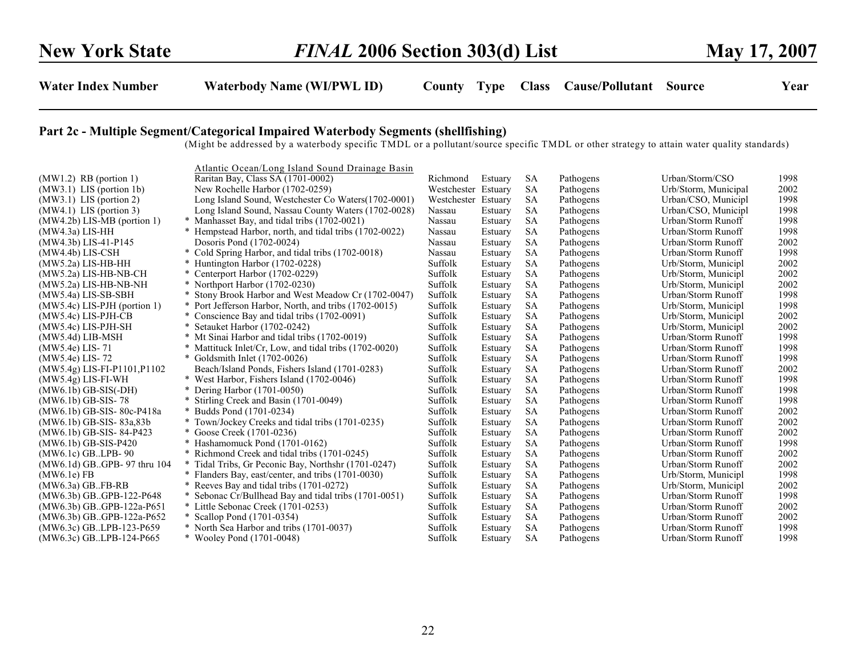#### **Part 2c - Multiple Segment/Categorical Impaired Waterbody Segments (shellfishing)**

(Might be addressed by a waterbody specific TMDL or a pollutant/source specific TMDL or other strategy to attain water quality standards)

|                                | Atlantic Ocean/Long Island Sound Drainage Basin          |                     |         |           |           |                      |      |
|--------------------------------|----------------------------------------------------------|---------------------|---------|-----------|-----------|----------------------|------|
| $(MW1.2)$ RB (portion 1)       | Raritan Bay, Class SA (1701-0002)                        | Richmond            | Estuary | SА        | Pathogens | Urban/Storm/CSO      | 1998 |
| $(MW3.1)$ LIS (portion 1b)     | New Rochelle Harbor (1702-0259)                          | Westchester Estuary |         | <b>SA</b> | Pathogens | Urb/Storm, Municipal | 2002 |
| $(MW3.1)$ LIS (portion 2)      | Long Island Sound, Westchester Co Waters(1702-0001)      | Westchester Estuary |         | <b>SA</b> | Pathogens | Urban/CSO, Municipl  | 1998 |
| $(MW4.1)$ LIS (portion 3)      | Long Island Sound, Nassau County Waters (1702-0028)      | Nassau              | Estuary | <b>SA</b> | Pathogens | Urban/CSO, Municipl  | 1998 |
| $(MW4.2b)$ LIS-MB (portion 1)  | * Manhasset Bay, and tidal tribs (1702-0021)             | Nassau              | Estuary | <b>SA</b> | Pathogens | Urban/Storm Runoff   | 1998 |
| (MW4.3a) LIS-HH                | Hempstead Harbor, north, and tidal tribs (1702-0022)     | Nassau              | Estuary | <b>SA</b> | Pathogens | Urban/Storm Runoff   | 1998 |
| (MW4.3b) LIS-41-P145           | Dosoris Pond (1702-0024)                                 | Nassau              | Estuary | <b>SA</b> | Pathogens | Urban/Storm Runoff   | 2002 |
| (MW4.4b) LIS-CSH               | * Cold Spring Harbor, and tidal tribs (1702-0018)        | Nassau              | Estuary | <b>SA</b> | Pathogens | Urban/Storm Runoff   | 1998 |
| $(MW5.2a)$ LIS-HB-HH           | Huntington Harbor (1702-0228)                            | Suffolk             | Estuary | <b>SA</b> | Pathogens | Urb/Storm, Municipl  | 2002 |
| $(MW5.2a)$ LIS-HB-NB-CH        | Centerport Harbor (1702-0229)                            | Suffolk             | Estuary | <b>SA</b> | Pathogens | Urb/Storm, Municipl  | 2002 |
| $(MW5.2a)$ LIS-HB-NB-NH        | * Northport Harbor $(1702-0230)$                         | Suffolk             | Estuary | <b>SA</b> | Pathogens | Urb/Storm, Municipl  | 2002 |
| (MW5.4a) LIS-SB-SBH            | Stony Brook Harbor and West Meadow Cr (1702-0047)        | Suffolk             | Estuary | <b>SA</b> | Pathogens | Urban/Storm Runoff   | 1998 |
| $(MW5.4c)$ LIS-PJH (portion 1) | * Port Jefferson Harbor, North, and tribs (1702-0015)    | Suffolk             | Estuary | <b>SA</b> | Pathogens | Urb/Storm, Municipl  | 1998 |
| (MW5.4c) LIS-PJH-CB            | Conscience Bay and tidal tribs (1702-0091)               | Suffolk             | Estuary | <b>SA</b> | Pathogens | Urb/Storm, Municipl  | 2002 |
| (MW5.4c) LIS-PJH-SH            | Setauket Harbor (1702-0242)                              | Suffolk             | Estuary | <b>SA</b> | Pathogens | Urb/Storm, Municipl  | 2002 |
| (MW5.4d) LIB-MSH               | Mt Sinai Harbor and tidal tribs (1702-0019)              | Suffolk             | Estuary | <b>SA</b> | Pathogens | Urban/Storm Runoff   | 1998 |
| (MW5.4e) LIS-71                | Mattituck Inlet/Cr, Low, and tidal tribs (1702-0020)     | Suffolk             | Estuary | <b>SA</b> | Pathogens | Urban/Storm Runoff   | 1998 |
| (MW5.4e) LIS-72                | * Goldsmith Inlet $(1702-0026)$                          | Suffolk             | Estuary | <b>SA</b> | Pathogens | Urban/Storm Runoff   | 1998 |
| (MW5.4g) LIS-FI-P1101, P1102   | Beach/Island Ponds, Fishers Island (1701-0283)           | Suffolk             | Estuary | <b>SA</b> | Pathogens | Urban/Storm Runoff   | 2002 |
| $(MW5.4g)$ LIS-FI-WH           | * West Harbor, Fishers Island (1702-0046)                | Suffolk             | Estuary | <b>SA</b> | Pathogens | Urban/Storm Runoff   | 1998 |
| $(MW6.1b)$ GB-SIS(-DH)         | Dering Harbor $(1701-0050)$                              | Suffolk             | Estuary | <b>SA</b> | Pathogens | Urban/Storm Runoff   | 1998 |
| (MW6.1b) GB-SIS-78             | Stirling Creek and Basin (1701-0049)                     | Suffolk             | Estuary | <b>SA</b> | Pathogens | Urban/Storm Runoff   | 1998 |
| (MW6.1b) GB-SIS-80c-P418a      | * Budds Pond (1701-0234)                                 | Suffolk             | Estuary | <b>SA</b> | Pathogens | Urban/Storm Runoff   | 2002 |
| (MW6.1b) GB-SIS-83a,83b        | Town/Jockey Creeks and tidal tribs (1701-0235)           | Suffolk             | Estuary | <b>SA</b> | Pathogens | Urban/Storm Runoff   | 2002 |
| (MW6.1b) GB-SIS-84-P423        | Goose Creek (1701-0236)                                  | Suffolk             | Estuary | <b>SA</b> | Pathogens | Urban/Storm Runoff   | 2002 |
| (MW6.1b) GB-SIS-P420           | Hashamomuck Pond (1701-0162)                             | Suffolk             | Estuary | <b>SA</b> | Pathogens | Urban/Storm Runoff   | 1998 |
| (MW6.1c) GBLPB-90              | * Richmond Creek and tidal tribs (1701-0245)             | Suffolk             | Estuary | <b>SA</b> | Pathogens | Urban/Storm Runoff   | 2002 |
| (MW6.1d) GB., GPB-97 thru 104  | Tidal Tribs, Gr Peconic Bay, Northshr (1701-0247)        | Suffolk             | Estuary | <b>SA</b> | Pathogens | Urban/Storm Runoff   | 2002 |
| (MW6.1e) FB                    | * Flanders Bay, east/center, and tribs (1701-0030)       | Suffolk             | Estuary | <b>SA</b> | Pathogens | Urb/Storm, Municipl  | 1998 |
| $(MW6.3a)$ GB. FB-RB           | Reeves Bay and tidal tribs (1701-0272)                   | Suffolk             | Estuary | <b>SA</b> | Pathogens | Urb/Storm, Municipl  | 2002 |
| (MW6.3b) GB., GPB-122-P648     | *<br>Sebonac Cr/Bullhead Bay and tidal tribs (1701-0051) | Suffolk             | Estuary | <b>SA</b> | Pathogens | Urban/Storm Runoff   | 1998 |
| (MW6.3b) GBGPB-122a-P651       | * Little Sebonac Creek (1701-0253)                       | Suffolk             | Estuary | <b>SA</b> | Pathogens | Urban/Storm Runoff   | 2002 |
| (MW6.3b) GBGPB-122a-P652       | Scallop Pond (1701-0354)                                 | Suffolk             | Estuary | <b>SA</b> | Pathogens | Urban/Storm Runoff   | 2002 |
| (MW6.3c) GBLPB-123-P659        | * North Sea Harbor and tribs (1701-0037)                 | Suffolk             | Estuary | <b>SA</b> | Pathogens | Urban/Storm Runoff   | 1998 |
| (MW6.3c) GBLPB-124-P665        | * Wooley Pond (1701-0048)                                | Suffolk             | Estuary | <b>SA</b> | Pathogens | Urban/Storm Runoff   | 1998 |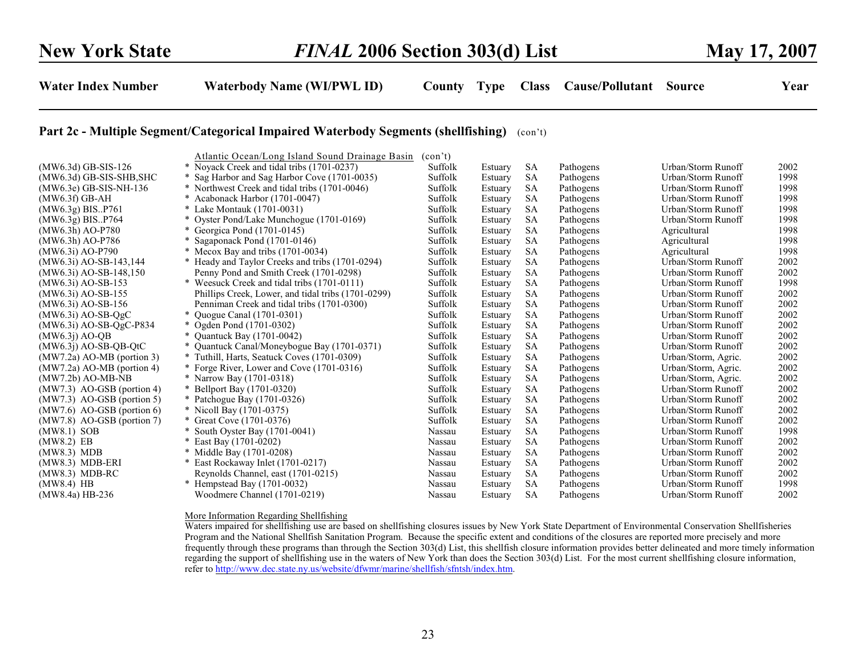#### **Part 2c - Multiple Segment/Categorical Impaired Waterbody Segments (shellfishing)** (con't)

Atlantic Ocean/Long Island Sound Drainage Basin (con't)

| (MW6.3d) GB-SIS-126          | * Novack Creek and tidal tribs (1701-0237)         | Suffolk | Estuary | <b>SA</b> | Pathogens | Urban/Storm Runoff  | 2002 |
|------------------------------|----------------------------------------------------|---------|---------|-----------|-----------|---------------------|------|
| (MW6.3d) GB-SIS-SHB,SHC      | Sag Harbor and Sag Harbor Cove (1701-0035)         | Suffolk | Estuary | <b>SA</b> | Pathogens | Urban/Storm Runoff  | 1998 |
| (MW6.3e) GB-SIS-NH-136       | * Northwest Creek and tidal tribs (1701-0046)      | Suffolk | Estuary | <b>SA</b> | Pathogens | Urban/Storm Runoff  | 1998 |
| (MW6.3f) GB-AH               | * Acabonack Harbor (1701-0047)                     | Suffolk | Estuary | <b>SA</b> | Pathogens | Urban/Storm Runoff  | 1998 |
| (MW6.3g) BISP761             | Lake Montauk (1701-0031)                           | Suffolk | Estuary | <b>SA</b> | Pathogens | Urban/Storm Runoff  | 1998 |
| (MW6.3g) BISP764             | * Oyster Pond/Lake Munchogue (1701-0169)           | Suffolk | Estuary | <b>SA</b> | Pathogens | Urban/Storm Runoff  | 1998 |
| (MW6.3h) AO-P780             | Georgica Pond (1701-0145)                          | Suffolk | Estuary | <b>SA</b> | Pathogens | Agricultural        | 1998 |
| (MW6.3h) AO-P786             | Sagaponack Pond (1701-0146)                        | Suffolk | Estuary | <b>SA</b> | Pathogens | Agricultural        | 1998 |
| (MW6.3i) AO-P790             | Mecox Bay and tribs (1701-0034)                    | Suffolk | Estuary | <b>SA</b> | Pathogens | Agricultural        | 1998 |
| (MW6.3i) AO-SB-143,144       | * Heady and Taylor Creeks and tribs (1701-0294)    | Suffolk | Estuary | <b>SA</b> | Pathogens | Urban/Storm Runoff  | 2002 |
| (MW6.3i) AO-SB-148,150       | Penny Pond and Smith Creek (1701-0298)             | Suffolk | Estuary | <b>SA</b> | Pathogens | Urban/Storm Runoff  | 2002 |
| (MW6.3i) AO-SB-153           | Weesuck Creek and tidal tribs (1701-0111)          | Suffolk | Estuary | <b>SA</b> | Pathogens | Urban/Storm Runoff  | 1998 |
| (MW6.3i) AO-SB-155           | Phillips Creek, Lower, and tidal tribs (1701-0299) | Suffolk | Estuary | <b>SA</b> | Pathogens | Urban/Storm Runoff  | 2002 |
| (MW6.3i) AO-SB-156           | Penniman Creek and tidal tribs (1701-0300)         | Suffolk | Estuary | <b>SA</b> | Pathogens | Urban/Storm Runoff  | 2002 |
| (MW6.3i) AO-SB-OgC           | * Ouogue Canal $(1701-0301)$                       | Suffolk | Estuary | <b>SA</b> | Pathogens | Urban/Storm Runoff  | 2002 |
| (MW6.3i) AO-SB-QgC-P834      | * Ogden Pond $(1701-0302)$                         | Suffolk | Estuary | <b>SA</b> | Pathogens | Urban/Storm Runoff  | 2002 |
| (MW6.3j) AO-QB               | <b>Ouantuck Bay (1701-0042)</b>                    | Suffolk | Estuary | <b>SA</b> | Pathogens | Urban/Storm Runoff  | 2002 |
| (MW6.3j) AO-SB-OB-OtC        | Quantuck Canal/Moneybogue Bay (1701-0371)          | Suffolk | Estuary | <b>SA</b> | Pathogens | Urban/Storm Runoff  | 2002 |
| $(MW7.2a)$ AO-MB (portion 3) | Tuthill, Harts, Seatuck Coves (1701-0309)          | Suffolk | Estuary | <b>SA</b> | Pathogens | Urban/Storm, Agric. | 2002 |
| $(MW7.2a)$ AO-MB (portion 4) | Forge River, Lower and Cove (1701-0316)            | Suffolk | Estuary | <b>SA</b> | Pathogens | Urban/Storm, Agric. | 2002 |
| (MW7.2b) AO-MB-NB            | * Narrow Bay (1701-0318)                           | Suffolk | Estuary | <b>SA</b> | Pathogens | Urban/Storm, Agric. | 2002 |
| (MW7.3) AO-GSB (portion 4)   | Bellport Bay (1701-0320)                           | Suffolk | Estuary | <b>SA</b> | Pathogens | Urban/Storm Runoff  | 2002 |
| $(MW7.3)$ AO-GSB (portion 5) | Patchogue Bay (1701-0326)                          | Suffolk | Estuary | <b>SA</b> | Pathogens | Urban/Storm Runoff  | 2002 |
| $(MW7.6)$ AO-GSB (portion 6) | * Nicoll Bay (1701-0375)                           | Suffolk | Estuary | <b>SA</b> | Pathogens | Urban/Storm Runoff  | 2002 |
| (MW7.8) AO-GSB (portion 7)   | * Great Cove $(1701-0376)$                         | Suffolk | Estuary | <b>SA</b> | Pathogens | Urban/Storm Runoff  | 2002 |
| (MW8.1) SOB                  | South Oyster Bay (1701-0041)                       | Nassau  | Estuary | <b>SA</b> | Pathogens | Urban/Storm Runoff  | 1998 |
| (MW8.2) EB                   | East Bay (1701-0202)                               | Nassau  | Estuary | <b>SA</b> | Pathogens | Urban/Storm Runoff  | 2002 |
| (MW8.3) MDB                  | Middle Bay (1701-0208)                             | Nassau  | Estuary | <b>SA</b> | Pathogens | Urban/Storm Runoff  | 2002 |
| (MW8.3) MDB-ERI              | East Rockaway Inlet (1701-0217)                    | Nassau  | Estuary | <b>SA</b> | Pathogens | Urban/Storm Runoff  | 2002 |
| (MW8.3) MDB-RC               | Reynolds Channel, east (1701-0215)                 | Nassau  | Estuary | <b>SA</b> | Pathogens | Urban/Storm Runoff  | 2002 |
| (MW8.4) HB                   | Hempstead Bay $(1701-0032)$                        | Nassau  | Estuary | <b>SA</b> | Pathogens | Urban/Storm Runoff  | 1998 |
| (MW8.4a) HB-236              | Woodmere Channel (1701-0219)                       | Nassau  | Estuary | <b>SA</b> | Pathogens | Urban/Storm Runoff  | 2002 |

More Information Regarding Shellfishing

Waters impaired for shellfishing use are based on shellfishing closures issues by New York State Department of Environmental Conservation Shellfisheries Program and the National Shellfish Sanitation Program. Because the specific extent and conditions of the closures are reported more precisely and more frequently through these programs than through the Section 303(d) List, this shellfish closure information provides better delineated and more timely information regarding the support of shellfishing use in the waters of New York than does the Section 303(d) List. For the most current shellfishing closure information, refer to http://www.dec.state.ny.us/website/dfwmr/marine/shellfish/sfntsh/index.htm.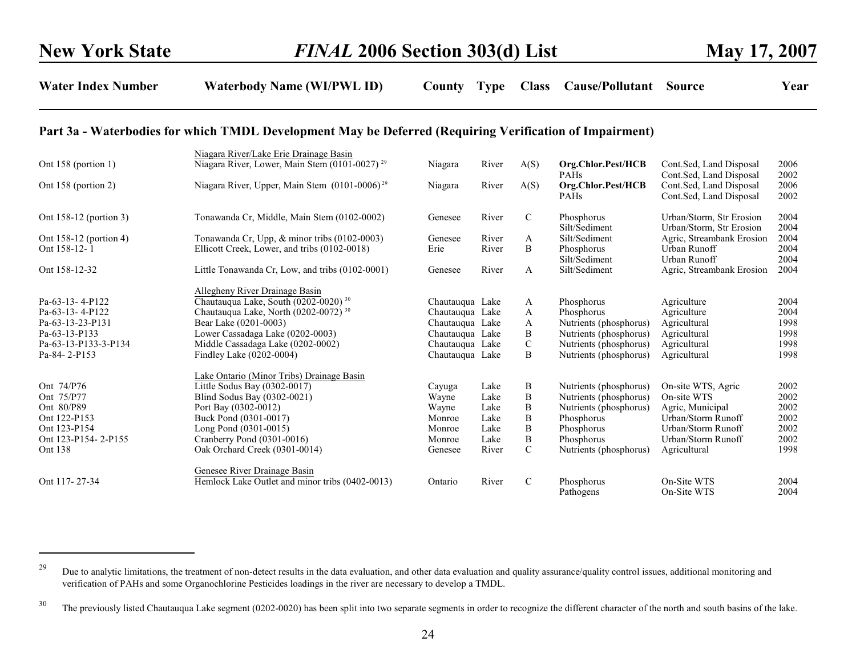| Waterbody Name (WI/PWL ID)<br>Water Index Number |  |  | County Type Class Cause/Pollutant Source |  | Year |
|--------------------------------------------------|--|--|------------------------------------------|--|------|
|--------------------------------------------------|--|--|------------------------------------------|--|------|

#### **Part 3a - Waterbodies for which TMDL Development May be Deferred (Requiring Verification of Impairment)**

|                        | Niagara River/Lake Erie Drainage Basin                    |                 |       |                  |                                   |                                                      |              |
|------------------------|-----------------------------------------------------------|-----------------|-------|------------------|-----------------------------------|------------------------------------------------------|--------------|
| Ont $158$ (portion 1)  | Niagara River, Lower, Main Stem (0101-0027) <sup>29</sup> | Niagara         | River | A(S)             | Org.Chlor.Pest/HCB<br><b>PAHs</b> | Cont.Sed, Land Disposal<br>Cont.Sed, Land Disposal   | 2006<br>2002 |
| Ont 158 (portion 2)    | Niagara River, Upper, Main Stem (0101-0006) <sup>29</sup> | Niagara         | River | A(S)             | Org.Chlor.Pest/HCB<br><b>PAHs</b> | Cont.Sed, Land Disposal<br>Cont.Sed, Land Disposal   | 2006<br>2002 |
| Ont 158-12 (portion 3) | Tonawanda Cr, Middle, Main Stem (0102-0002)               | Genesee         | River | C                | Phosphorus<br>Silt/Sediment       | Urban/Storm, Str Erosion<br>Urban/Storm, Str Erosion | 2004<br>2004 |
| Ont 158-12 (portion 4) | Tonawanda Cr, Upp, $\&$ minor tribs (0102-0003)           | Genesee         | River | А                | Silt/Sediment                     | Agric, Streambank Erosion                            | 2004         |
| Ont 158-12-1           | Ellicott Creek, Lower, and tribs (0102-0018)              | Erie            | River | B                | Phosphorus<br>Silt/Sediment       | Urban Runoff<br>Urban Runoff                         | 2004<br>2004 |
| Ont 158-12-32          | Little Tonawanda Cr, Low, and tribs (0102-0001)           | Genesee         | River | A                | Silt/Sediment                     | Agric, Streambank Erosion                            | 2004         |
|                        | Allegheny River Drainage Basin                            |                 |       |                  |                                   |                                                      |              |
| Pa-63-13-4-P122        | Chautauqua Lake, South (0202-0020) <sup>30</sup>          | Chautauqua Lake |       | A                | Phosphorus                        | Agriculture                                          | 2004         |
| Pa-63-13-4-P122        | Chautauqua Lake, North (0202-0072) <sup>30</sup>          | Chautauqua Lake |       | A                | Phosphorus                        | Agriculture                                          | 2004         |
| Pa-63-13-23-P131       | Bear Lake (0201-0003)                                     | Chautauqua Lake |       | A                | Nutrients (phosphorus)            | Agricultural                                         | 1998         |
| Pa-63-13-P133          | Lower Cassadaga Lake (0202-0003)                          | Chautauqua Lake |       | B                | Nutrients (phosphorus)            | Agricultural                                         | 1998         |
| Pa-63-13-P133-3-P134   | Middle Cassadaga Lake (0202-0002)                         | Chautauqua Lake |       | $\mathbf C$      | Nutrients (phosphorus)            | Agricultural                                         | 1998         |
| Pa-84-2-P153           | Findley Lake (0202-0004)                                  | Chautauqua Lake |       | B                | Nutrients (phosphorus)            | Agricultural                                         | 1998         |
|                        | Lake Ontario (Minor Tribs) Drainage Basin                 |                 |       |                  |                                   |                                                      |              |
| Ont 74/P76             | Little Sodus Bay (0302-0017)                              | Cayuga          | Lake  | B                | Nutrients (phosphorus)            | On-site WTS, Agric                                   | 2002         |
| Ont 75/P77             | Blind Sodus Bay (0302-0021)                               | Wayne           | Lake  | B                | Nutrients (phosphorus)            | On-site WTS                                          | 2002         |
| Ont 80/P89             | Port Bay (0302-0012)                                      | Wayne           | Lake  | B                | Nutrients (phosphorus)            | Agric, Municipal                                     | 2002         |
| Ont 122-P153           | Buck Pond (0301-0017)                                     | Monroe          | Lake  | $\boldsymbol{B}$ | Phosphorus                        | Urban/Storm Runoff                                   | 2002         |
| Ont 123-P154           | Long Pond $(0301 - 0015)$                                 | Monroe          | Lake  | $\, {\bf B}$     | Phosphorus                        | Urban/Storm Runoff                                   | 2002         |
| Ont 123-P154-2-P155    | Cranberry Pond (0301-0016)                                | Monroe          | Lake  | B                | Phosphorus                        | Urban/Storm Runoff                                   | 2002         |
| Ont 138                | Oak Orchard Creek (0301-0014)                             | Genesee         | River | $\mathbf C$      | Nutrients (phosphorus)            | Agricultural                                         | 1998         |
|                        | Genesee River Drainage Basin                              |                 |       |                  |                                   |                                                      |              |
| Ont 117-27-34          | Hemlock Lake Outlet and minor tribs (0402-0013)           | Ontario         | River | C                | Phosphorus<br>Pathogens           | On-Site WTS<br>On-Site WTS                           | 2004<br>2004 |

<sup>&</sup>lt;sup>29</sup> Due to analytic limitations, the treatment of non-detect results in the data evaluation, and other data evaluation and quality assurance/quality control issues, additional monitoring and verification of PAHs and some Organochlorine Pesticides loadings in the river are necessary to develop a TMDL.

The previously listed Chautauqua Lake segment (0202-0020) has been split into two separate segments in order to recognize the different character of the north and south basins of the lake. 30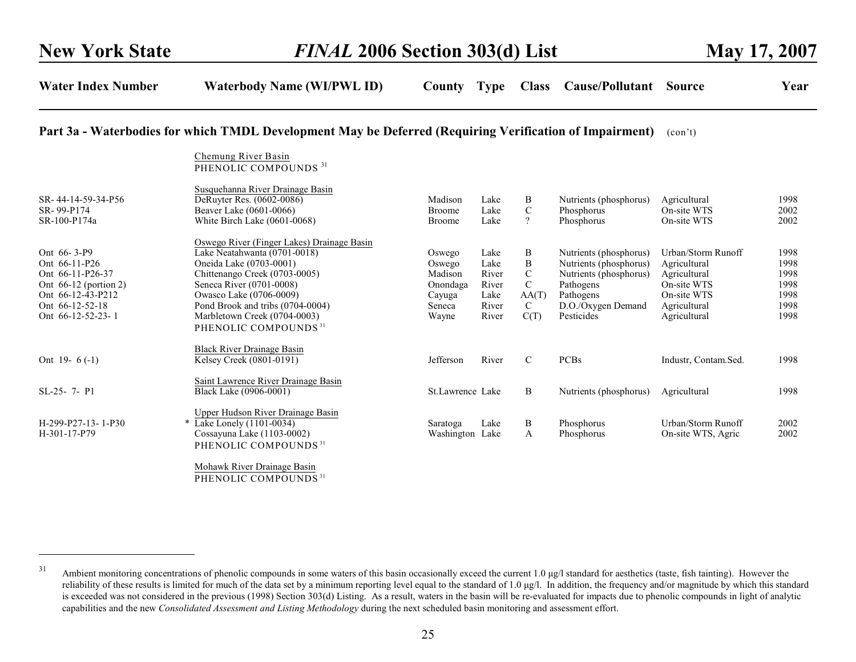| <b>New York State</b>                                                                                                                    | <i>FINAL</i> 2006 Section 303(d) List                                                                                                                                                                                                                                                                 | May 17, 2007                                                         |                                                          |                                                              |                                                                                                                                          |                                                                                                                  |                                                      |
|------------------------------------------------------------------------------------------------------------------------------------------|-------------------------------------------------------------------------------------------------------------------------------------------------------------------------------------------------------------------------------------------------------------------------------------------------------|----------------------------------------------------------------------|----------------------------------------------------------|--------------------------------------------------------------|------------------------------------------------------------------------------------------------------------------------------------------|------------------------------------------------------------------------------------------------------------------|------------------------------------------------------|
| <b>Water Index Number</b>                                                                                                                | <b>Waterbody Name (WI/PWL ID)</b>                                                                                                                                                                                                                                                                     | County                                                               | <b>Type</b>                                              | <b>Class</b>                                                 | <b>Cause/Pollutant</b>                                                                                                                   | <b>Source</b>                                                                                                    | Year                                                 |
|                                                                                                                                          | Part 3a - Waterbodies for which TMDL Development May be Deferred (Requiring Verification of Impairment)                                                                                                                                                                                               |                                                                      |                                                          |                                                              |                                                                                                                                          | (con't)                                                                                                          |                                                      |
|                                                                                                                                          | Chemung River Basin<br>PHENOLIC COMPOUNDS <sup>31</sup>                                                                                                                                                                                                                                               |                                                                      |                                                          |                                                              |                                                                                                                                          |                                                                                                                  |                                                      |
| SR-44-14-59-34-P56<br>SR-99-P174<br>SR-100-P174a                                                                                         | Susquehanna River Drainage Basin<br>DeRuyter Res. (0602-0086)<br>Beaver Lake (0601-0066)<br>White Birch Lake (0601-0068)                                                                                                                                                                              | Madison<br><b>Broome</b><br><b>Broome</b>                            | Lake<br>Lake<br>Lake                                     | B<br>$\mathbf C$<br>$\overline{?}$                           | Nutrients (phosphorus)<br>Phosphorus<br>Phosphorus                                                                                       | Agricultural<br>On-site WTS<br>On-site WTS                                                                       | 1998<br>2002<br>2002                                 |
| Ont 66-3-P9<br>Ont 66-11-P26<br>Ont 66-11-P26-37<br>Ont $66-12$ (portion 2)<br>Ont 66-12-43-P212<br>Ont 66-12-52-18<br>Ont 66-12-52-23-1 | Oswego River (Finger Lakes) Drainage Basin<br>Lake Neatahwanta (0701-0018)<br>Oneida Lake (0703-0001)<br>Chittenango Creek (0703-0005)<br>Seneca River (0701-0008)<br>Owasco Lake (0706-0009)<br>Pond Brook and tribs (0704-0004)<br>Marbletown Creek (0704-0003)<br>PHENOLIC COMPOUNDS <sup>31</sup> | Oswego<br>Oswego<br>Madison<br>Onondaga<br>Cayuga<br>Seneca<br>Wayne | Lake<br>Lake<br>River<br>River<br>Lake<br>River<br>River | B<br>B<br>$\mathsf{C}$<br>$\mathsf{C}$<br>AA(T)<br>C<br>C(T) | Nutrients (phosphorus)<br>Nutrients (phosphorus)<br>Nutrients (phosphorus)<br>Pathogens<br>Pathogens<br>D.O./Oxygen Demand<br>Pesticides | Urban/Storm Runoff<br>Agricultural<br>Agricultural<br>On-site WTS<br>On-site WTS<br>Agricultural<br>Agricultural | 1998<br>1998<br>1998<br>1998<br>1998<br>1998<br>1998 |
| Ont 19- $6(-1)$                                                                                                                          | <b>Black River Drainage Basin</b><br>Kelsey Creek (0801-0191)                                                                                                                                                                                                                                         | Jefferson                                                            | River                                                    | $\mathcal{C}$                                                | <b>PCBs</b>                                                                                                                              | Industr, Contam.Sed.                                                                                             | 1998                                                 |
| $SL-25-7-$ P1                                                                                                                            | Saint Lawrence River Drainage Basin<br>Black Lake (0906-0001)                                                                                                                                                                                                                                         | St.Lawrence Lake                                                     |                                                          | B                                                            | Nutrients (phosphorus)                                                                                                                   | Agricultural                                                                                                     | 1998                                                 |
| H-299-P27-13-1-P30<br>H-301-17-P79                                                                                                       | Upper Hudson River Drainage Basin<br>* Lake Lonely (1101-0034)<br>Cossayuna Lake (1103-0002)<br>PHENOLIC COMPOUNDS <sup>31</sup>                                                                                                                                                                      | Saratoga<br>Washington Lake                                          | Lake                                                     | B<br>A                                                       | Phosphorus<br>Phosphorus                                                                                                                 | Urban/Storm Runoff<br>On-site WTS, Agric                                                                         | 2002<br>2002                                         |
|                                                                                                                                          | Mohawk River Drainage Basin<br>PHENOLIC COMPOUNDS <sup>31</sup>                                                                                                                                                                                                                                       |                                                                      |                                                          |                                                              |                                                                                                                                          |                                                                                                                  |                                                      |

Ambient monitoring concentrations of phenolic compounds in some waters of this basin occasionally exceed the current 1.0 µg/l standard for aesthetics (taste, fish tainting). However the reliability of these results is limited for much of the data set by a minimum reporting level equal to the standard of 1.0 µg/l. In addition, the frequency and/or magnitude by which this standard is exceeded was not considered in the previous (1998) Section 303(d) Listing. As a result, waters in the basin will be re-evaluated for impacts due to phenolic compounds in light of analytic capabilities and the new *Consolidated Assessment and Listing Methodology* during the next scheduled basin monitoring and assessment effort.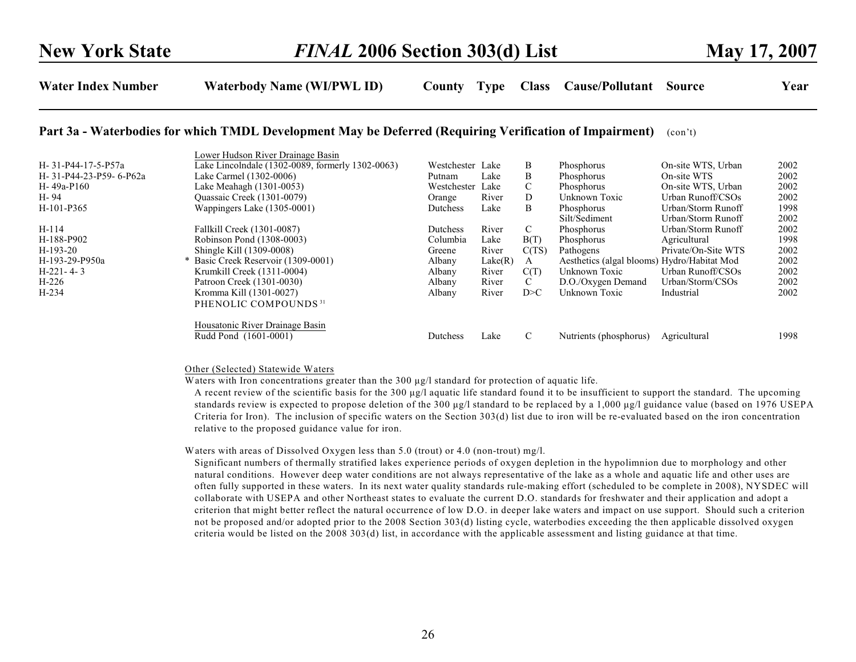| Water Index Number | Waterbody Name (WI/PWL ID) |  |  |  | County Type Class Cause/Pollutant Source |  | Year |
|--------------------|----------------------------|--|--|--|------------------------------------------|--|------|
|--------------------|----------------------------|--|--|--|------------------------------------------|--|------|

#### **Part 3a - Waterbodies for which TMDL Development May be Deferred (Requiring Verification of Impairment)** (con't)

|                          | Lower Hudson River Drainage Basin                |                  |         |             |                                             |                     |      |
|--------------------------|--------------------------------------------------|------------------|---------|-------------|---------------------------------------------|---------------------|------|
| H- 31-P44-17-5-P57a      | Lake Lincolndale (1302-0089, formerly 1302-0063) | Westchester Lake |         | B           | Phosphorus                                  | On-site WTS, Urban  | 2002 |
| H- 31-P44-23-P59- 6-P62a | Lake Carmel (1302-0006)                          | Putnam           | Lake    | В           | Phosphorus                                  | On-site WTS         | 2002 |
| H- 49a-P160              | Lake Meahagh (1301-0053)                         | Westchester      | Lake    | C.          | Phosphorus                                  | On-site WTS, Urban  | 2002 |
| H- 94                    | <b>Ouassaic Creek (1301-0079)</b>                | Orange           | River   | D           | Unknown Toxic                               | Urban Runoff/CSOs   | 2002 |
| H-101-P365               | Wappingers Lake (1305-0001)                      | <b>Dutchess</b>  | Lake    | B.          | Phosphorus                                  | Urban/Storm Runoff  | 1998 |
|                          |                                                  |                  |         |             | Silt/Sediment                               | Urban/Storm Runoff  | 2002 |
| H-114                    | Fallkill Creek (1301-0087)                       | <b>Dutchess</b>  | River   | C           | Phosphorus                                  | Urban/Storm Runoff  | 2002 |
| H-188-P902               | Robinson Pond (1308-0003)                        | Columbia         | Lake    | B(T)        | Phosphorus                                  | Agricultural        | 1998 |
| H-193-20                 | Shingle Kill (1309-0008)                         | Greene           | River   | C(TS)       | Pathogens                                   | Private/On-Site WTS | 2002 |
| H-193-29-P950a           | * Basic Creek Reservoir (1309-0001)              | Albany           | Lake(R) | A           | Aesthetics (algal blooms) Hydro/Habitat Mod |                     | 2002 |
| H-221-4-3                | Krumkill Creek (1311-0004)                       | Albany           | River   | C(T)        | Unknown Toxic                               | Urban Runoff/CSOs   | 2002 |
| H-226                    | Patroon Creek (1301-0030)                        | Albany           | River   | C           | D.O./Oxygen Demand                          | Urban/Storm/CSOs    | 2002 |
| H-234                    | Kromma Kill (1301-0027)                          | Albany           | River   | D>C         | Unknown Toxic                               | Industrial          | 2002 |
|                          | PHENOLIC COMPOUNDS <sup>31</sup>                 |                  |         |             |                                             |                     |      |
|                          | Housatonic River Drainage Basin                  |                  |         |             |                                             |                     |      |
|                          | Rudd Pond (1601-0001)                            | Dutchess         | Lake    | $\mathbf C$ | Nutrients (phosphorus)                      | Agricultural        | 1998 |

Other (Selected) Statewide Waters

Waters with Iron concentrations greater than the  $300 \mu g/l$  standard for protection of aquatic life.

A recent review of the scientific basis for the  $300 \mu g/l$  aquatic life standard found it to be insufficient to support the standard. The upcoming standards review is expected to propose deletion of the 300 µg/l standard to be replaced by a 1,000 µg/l guidance value (based on 1976 USEPA Criteria for Iron). The inclusion of specific waters on the Section 303(d) list due to iron will be re-evaluated based on the iron concentration relative to the proposed guidance value for iron.

#### Waters with areas of Dissolved Oxygen less than 5.0 (trout) or 4.0 (non-trout) mg/l.

Significant numbers of thermally stratified lakes experience periods of oxygen depletion in the hypolimnion due to morphology and other natural conditions. However deep water conditions are not always representative of the lake as a whole and aquatic life and other uses are often fully supported in these waters. In its next water quality standards rule-making effort (scheduled to be complete in 2008), NYSDEC will collaborate with USEPA and other Northeast states to evaluate the current D.O. standards for freshwater and their application and adopt a criterion that might better reflect the natural occurrence of low D.O. in deeper lake waters and impact on use support. Should such a criterion not be proposed and/or adopted prior to the 2008 Section 303(d) listing cycle, waterbodies exceeding the then applicable dissolved oxygen criteria would be listed on the  $2008303(d)$  list, in accordance with the applicable assessment and listing guidance at that time.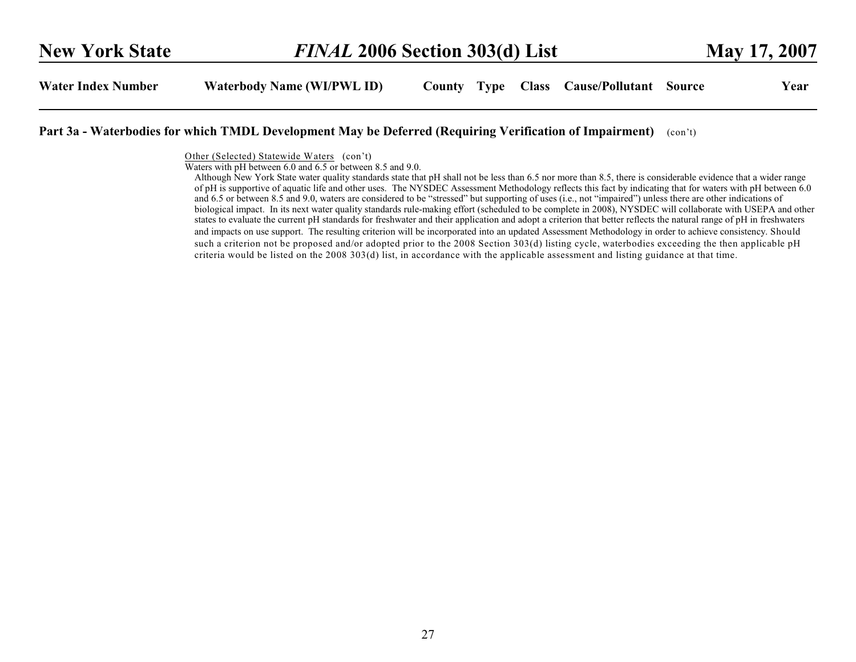| Waterbody Name (WI/PWL ID)<br>Water Index Number | County Type Class Cause/Pollutant Source | Year |
|--------------------------------------------------|------------------------------------------|------|
|--------------------------------------------------|------------------------------------------|------|

#### **Part 3a - Waterbodies for which TMDL Development May be Deferred (Requiring Verification of Impairment)** (con't)

Other (Selected) Statewide Waters (con't)

Waters with pH between 6.0 and 6.5 or between 8.5 and 9.0.

Although New York State water quality standards state that pH shall not be less than 6.5 nor more than 8.5, there is considerable evidence that a wider range of pH is supportive of aquatic life and other uses. The NYSDEC Assessment Methodology reflects this fact by indicating that for waters with pH between 6.0 and 6.5 or between 8.5 and 9.0, waters are considered to be "stressed" but supporting of uses (i.e., not "impaired") unless there are other indications of biological impact. In its next water quality standards rule-making effort (scheduled to be complete in 2008), NYSDEC will collaborate with USEPA and other states to evaluate the current pH standards for freshwater and their application and adopt a criterion that better reflects the natural range of pH in freshwaters and impacts on use support. The resulting criterion will be incorporated into an updated Assessment Methodology in order to achieve consistency. Should such a criterion not be proposed and/or adopted prior to the 2008 Section 303(d) listing cycle, waterbodies exceeding the then applicable pH criteria would be listed on the 2008 303(d) list, in accordance with the applicable assessment and listing guidance at that time.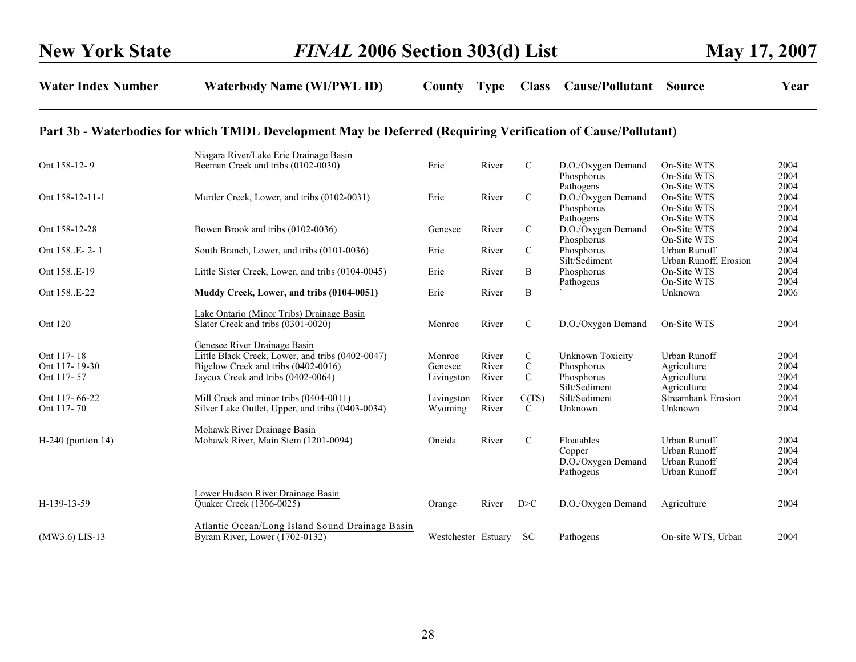| <b>Water Index Number</b>   | <b>Waterbody Name (WI/PWL ID)</b>                                                                                       | <b>County</b>            | <b>Type</b>    | <b>Class</b>              | Cause/Pollutant Source                                  |                                                                                   | Year                         |
|-----------------------------|-------------------------------------------------------------------------------------------------------------------------|--------------------------|----------------|---------------------------|---------------------------------------------------------|-----------------------------------------------------------------------------------|------------------------------|
|                             | Part 3b - Waterbodies for which TMDL Development May be Deferred (Requiring Verification of Cause/Pollutant)            |                          |                |                           |                                                         |                                                                                   |                              |
|                             | Niagara River/Lake Erie Drainage Basin                                                                                  |                          |                |                           |                                                         |                                                                                   |                              |
| Ont 158-12-9                | Beeman Creek and tribs (0102-0030)                                                                                      | Erie                     | River          | $\mathsf{C}$              | D.O./Oxygen Demand<br>Phosphorus<br>Pathogens           | On-Site WTS<br>On-Site WTS<br>On-Site WTS                                         | 2004<br>2004<br>2004         |
| Ont 158-12-11-1             | Murder Creek, Lower, and tribs (0102-0031)                                                                              | Erie                     | River          | $\mathsf{C}$              | D.O./Oxygen Demand<br>Phosphorus                        | On-Site WTS<br>On-Site WTS                                                        | 2004<br>2004                 |
| Ont 158-12-28               | Bowen Brook and tribs (0102-0036)                                                                                       | Genesee                  | River          | $\mathbf C$               | Pathogens<br>D.O./Oxygen Demand<br>Phosphorus           | On-Site WTS<br>On-Site WTS<br>On-Site WTS                                         | 2004<br>2004<br>2004         |
| Ont 158E-2-1                | South Branch, Lower, and tribs (0101-0036)                                                                              | Erie                     | River          | $\mathcal{C}$             | Phosphorus<br>Silt/Sediment                             | Urban Runoff<br>Urban Runoff, Erosion                                             | 2004<br>2004                 |
| Ont 158E-19                 | Little Sister Creek, Lower, and tribs (0104-0045)                                                                       | Erie                     | River          | B                         | Phosphorus<br>Pathogens                                 | On-Site WTS<br>On-Site WTS                                                        | 2004<br>2004                 |
| Ont 158E-22                 | Muddy Creek, Lower, and tribs (0104-0051)                                                                               | Erie                     | River          | $\mathbf{B}$              |                                                         | Unknown                                                                           | 2006                         |
| Ont 120                     | Lake Ontario (Minor Tribs) Drainage Basin<br>Slater Creek and tribs (0301-0020)                                         | Monroe                   | River          | ${\bf C}$                 | D.O./Oxygen Demand                                      | On-Site WTS                                                                       | 2004                         |
| Ont 117-18<br>Ont 117-19-30 | Genesee River Drainage Basin<br>Little Black Creek, Lower, and tribs (0402-0047)<br>Bigelow Creek and tribs (0402-0016) | Monroe<br>Genesee        | River<br>River | $\mathsf{C}$<br>${\bf C}$ | Unknown Toxicity<br>Phosphorus                          | Urban Runoff<br>Agriculture                                                       | 2004<br>2004                 |
| Ont 117-57<br>Ont 117-66-22 | Jaycox Creek and tribs (0402-0064)<br>Mill Creek and minor tribs (0404-0011)                                            | Livingston<br>Livingston | River<br>River | $\mathcal{C}$<br>C(TS)    | Phosphorus<br>Silt/Sediment<br>Silt/Sediment            | Agriculture<br>Agriculture<br><b>Streambank Erosion</b>                           | 2004<br>2004<br>2004         |
| Ont 117-70                  | Silver Lake Outlet, Upper, and tribs (0403-0034)                                                                        | Wyoming                  | River          | $\mathsf{C}$              | Unknown                                                 | Unknown                                                                           | 2004                         |
| $H-240$ (portion 14)        | Mohawk River Drainage Basin<br>Mohawk River, Main Stem (1201-0094)                                                      | Oneida                   | River          | $\mathbf C$               | Floatables<br>Copper<br>D.O./Oxygen Demand<br>Pathogens | <b>Urban Runoff</b><br><b>Urban Runoff</b><br>Urban Runoff<br><b>Urban Runoff</b> | 2004<br>2004<br>2004<br>2004 |
| H-139-13-59                 | Lower Hudson River Drainage Basin<br>Quaker Creek (1306-0025)                                                           | Orange                   | River          | D > C                     | D.O./Oxygen Demand                                      | Agriculture                                                                       | 2004                         |
| $(MW3.6)$ LIS-13            | Atlantic Ocean/Long Island Sound Drainage Basin<br>Byram River, Lower (1702-0132)                                       | Westchester Estuary      |                | <sub>SC</sub>             | Pathogens                                               | On-site WTS, Urban                                                                | 2004                         |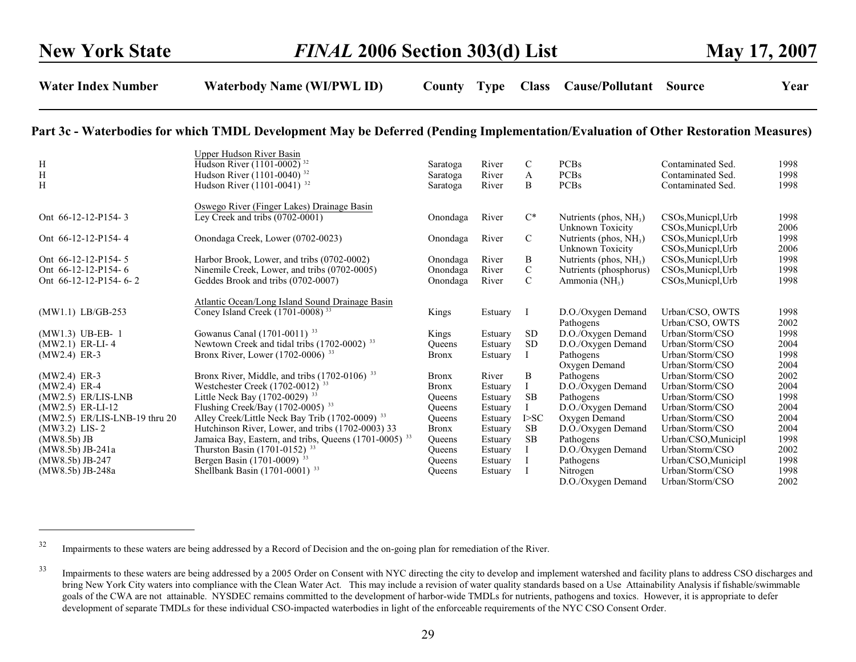| <b>Water Index Number</b><br>Waterbody Name (WI/PWL ID) |  | County Type Class Cause/Pollutant Source | Year |
|---------------------------------------------------------|--|------------------------------------------|------|
|---------------------------------------------------------|--|------------------------------------------|------|

#### **Part 3c - Waterbodies for which TMDL Development May be Deferred (Pending Implementation/Evaluation of Other Restoration Measures)**

| Η<br>H<br>H                                  | Upper Hudson River Basin<br>Hudson River (1101-0002) <sup>32</sup><br>Hudson River $(1101-0040)^{32}$<br>Hudson River $(1101-0041)^{32}$ | Saratoga<br>Saratoga<br>Saratoga | River<br>River<br>River | C<br>А<br>B                | <b>PCBs</b><br><b>PCBs</b><br><b>PCBs</b>                                | Contaminated Sed.<br>Contaminated Sed.<br>Contaminated Sed.    | 1998<br>1998<br>1998 |
|----------------------------------------------|------------------------------------------------------------------------------------------------------------------------------------------|----------------------------------|-------------------------|----------------------------|--------------------------------------------------------------------------|----------------------------------------------------------------|----------------------|
| Ont 66-12-12-P154-3                          | Oswego River (Finger Lakes) Drainage Basin<br>Ley Creek and tribs (0702-0001)                                                            | Onondaga                         | River                   | $C^*$                      | Nutrients (phos, $NH3$ )<br>Unknown Toxicity                             | CSOs, Municpl, Urb<br>CSOs, Municpl, Urb                       | 1998<br>2006         |
| Ont 66-12-12-P154-4<br>Ont 66-12-12-P154-5   | Onondaga Creek, Lower (0702-0023)<br>Harbor Brook, Lower, and tribs (0702-0002)                                                          | Onondaga<br>Onondaga             | River<br>River          | C<br>B                     | Nutrients (phos, $NH3$ )<br>Unknown Toxicity<br>Nutrients (phos, $NH3$ ) | CSOs, Municpl, Urb<br>CSOs, Municpl, Urb<br>CSOs, Municpl, Urb | 1998<br>2006<br>1998 |
| Ont 66-12-12-P154-6<br>Ont 66-12-12-P154-6-2 | Ninemile Creek, Lower, and tribs (0702-0005)<br>Geddes Brook and tribs (0702-0007)                                                       | Onondaga<br>Onondaga             | River<br>River          | ${\bf C}$<br>$\mathcal{C}$ | Nutrients (phosphorus)<br>Ammonia (NH <sub>3</sub> )                     | CSOs, Municpl, Urb<br>CSOs, Municpl, Urb                       | 1998<br>1998         |
| $(MW1.1)$ LB/GB-253                          | Atlantic Ocean/Long Island Sound Drainage Basin<br>Coney Island Creek (1701-0008) <sup>33</sup>                                          | Kings                            | Estuary                 | $\blacksquare$             | D.O./Oxygen Demand<br>Pathogens                                          | Urban/CSO, OWTS<br>Urban/CSO, OWTS                             | 1998<br>2002         |
| (MW1.3) UB-EB- 1                             | Gowanus Canal (1701-0011) <sup>33</sup>                                                                                                  | Kings                            | Estuary                 | <b>SD</b>                  | D.O./Oxygen Demand                                                       | Urban/Storm/CSO                                                | 1998                 |
| $(MW2.1)$ ER-LI-4                            | Newtown Creek and tidal tribs (1702-0002) <sup>33</sup>                                                                                  | Oueens                           | Estuary                 | <b>SD</b>                  | D.O./Oxygen Demand                                                       | Urban/Storm/CSO                                                | 2004                 |
| $(MW2.4)$ ER-3                               | Bronx River, Lower (1702-0006) <sup>33</sup>                                                                                             | <b>Bronx</b>                     | Estuary                 |                            | Pathogens<br>Oxygen Demand                                               | Urban/Storm/CSO<br>Urban/Storm/CSO                             | 1998<br>2004         |
| $(MW2.4)$ ER-3                               | Bronx River, Middle, and tribs $(1702-0106)^{33}$                                                                                        | <b>Bronx</b>                     | River                   | B                          | Pathogens                                                                | Urban/Storm/CSO                                                | 2002                 |
| $(MW2.4)$ ER-4                               | Westchester Creek $(1702-0012)^{33}$                                                                                                     | <b>Bronx</b>                     | Estuary                 |                            | D.O./Oxygen Demand                                                       | Urban/Storm/CSO                                                | 2004                 |
| (MW2.5) ER/LIS-LNB                           | Little Neck Bay $(1702-0029)^{33}$                                                                                                       | <b>Oueens</b>                    | Estuary                 | <b>SB</b>                  | Pathogens                                                                | Urban/Storm/CSO                                                | 1998                 |
| $(MW2.5)$ ER-LI-12                           | Flushing Creek/Bay $(1702-0005)^{33}$                                                                                                    | Oueens                           | Estuary                 |                            | D.O./Oxygen Demand                                                       | Urban/Storm/CSO                                                | 2004                 |
| $(MW2.5)$ ER/LIS-LNB-19 thru 20              | Alley Creek/Little Neck Bay Trib (1702-0009) <sup>33</sup>                                                                               | Oueens                           | Estuary                 | I > SC                     | Oxygen Demand                                                            | Urban/Storm/CSO                                                | 2004                 |
| $(MW3.2)$ LIS-2                              | Hutchinson River, Lower, and tribs (1702-0003) 33                                                                                        | <b>Bronx</b>                     | Estuary                 | <b>SB</b>                  | D.O./Oxygen Demand                                                       | Urban/Storm/CSO                                                | 2004                 |
| $(MW8.5b)$ JB                                | Jamaica Bay, Eastern, and tribs, Queens (1701-0005) <sup>33</sup>                                                                        | <b>Oueens</b>                    | Estuary                 | <b>SB</b>                  | Pathogens                                                                | Urban/CSO,Municipl                                             | 1998                 |
| (MW8.5b) JB-241a                             | Thurston Basin (1701-0152) $33$                                                                                                          | <b>Oueens</b>                    | Estuary                 |                            | D.O./Oxygen Demand                                                       | Urban/Storm/CSO                                                | 2002                 |
| (MW8.5b) JB-247                              | Bergen Basin (1701-0009) <sup>33</sup>                                                                                                   | Oueens                           | Estuary                 |                            | Pathogens                                                                | Urban/CSO, Municipl                                            | 1998                 |
| (MW8.5b) JB-248a                             | Shellbank Basin $(1701-0001)^{33}$                                                                                                       | Oueens                           | Estuary                 |                            | Nitrogen                                                                 | Urban/Storm/CSO                                                | 1998                 |
|                                              |                                                                                                                                          |                                  |                         |                            | D.O./Oxygen Demand                                                       | Urban/Storm/CSO                                                | 2002                 |

Impairments to these waters are being addressed by a Record of Decision and the on-going plan for remediation of the River. 32

<sup>&</sup>lt;sup>33</sup> Impairments to these waters are being addressed by a 2005 Order on Consent with NYC directing the city to develop and implement watershed and facility plans to address CSO discharges and bring New York City waters into compliance with the Clean Water Act. This may include a revision of water quality standards based on a Use Attainability Analysis if fishable/swimmable goals of the CWA are not attainable. NYSDEC remains committed to the development of harbor-wide TMDLs for nutrients, pathogens and toxics. However, it is appropriate to defer development of separate TMDLs for these individual CSO-impacted waterbodies in light of the enforceable requirements of the NYC CSO Consent Order.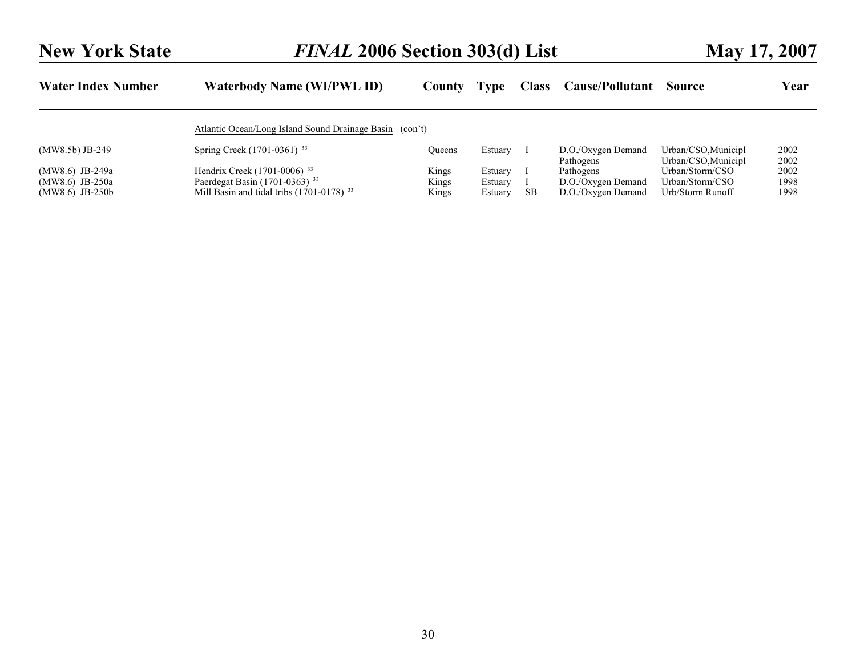| <b>Water Index Number</b>              | <b>Waterbody Name (WI/PWL ID)</b>                                                   | County         | <b>Type</b>        |    | <b>Class</b> Cause/Pollutant             | <b>Source</b>                              | Year         |
|----------------------------------------|-------------------------------------------------------------------------------------|----------------|--------------------|----|------------------------------------------|--------------------------------------------|--------------|
|                                        | Atlantic Ocean/Long Island Sound Drainage Basin (con't)                             |                |                    |    |                                          |                                            |              |
| $(MW8.5b)$ JB-249                      | Spring Creek (1701-0361) <sup>33</sup>                                              | <b>Oueens</b>  | Estuary 1          |    | D.O./Oxygen Demand<br>Pathogens          | Urban/CSO, Municipl<br>Urban/CSO, Municipl | 2002<br>2002 |
| $(MW8.6)$ JB-249a                      | Hendrix Creek (1701-0006) <sup>33</sup>                                             | Kings          | Estuary            |    | Pathogens                                | Urban/Storm/CSO                            | 2002         |
| $(MW8.6)$ JB-250a<br>$(MW8.6)$ JB-250b | Paerdegat Basin $(1701-0363)^{33}$<br>Mill Basin and tidal tribs $(1701-0178)^{33}$ | Kings<br>Kings | Estuary<br>Estuary | SВ | D.O./Oxygen Demand<br>D.O./Oxygen Demand | Urban/Storm/CSO<br>Urb/Storm Runoff        | 1998<br>1998 |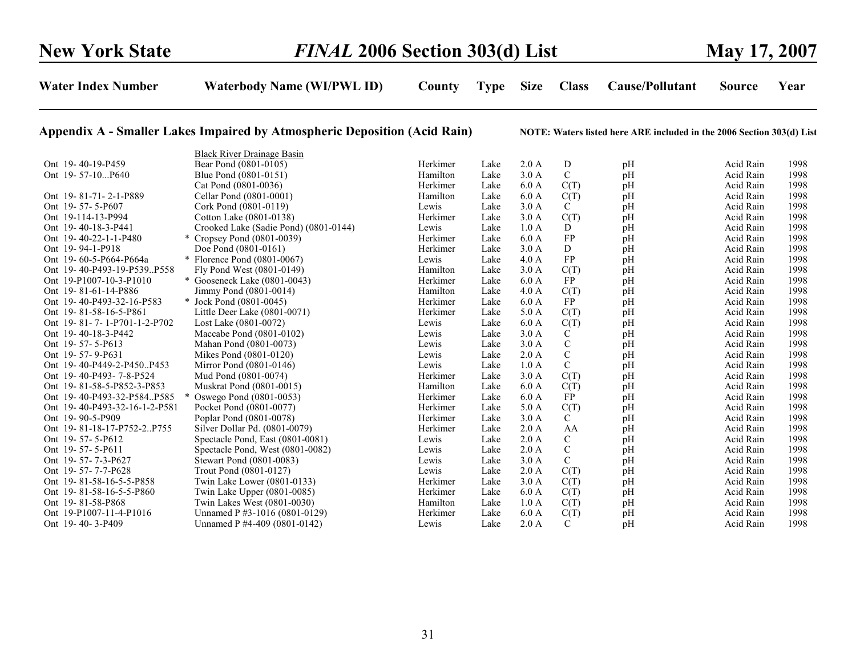#### **Appendix A - Smaller Lakes Impaired by Atmospheric Deposition (Acid Rain) NOTE: Waters listed here ARE included in the 2006 Section 303(d) List**

|                               | <b>Black River Drainage Basin</b>     |          |      |       |               |    |           |      |
|-------------------------------|---------------------------------------|----------|------|-------|---------------|----|-----------|------|
| Ont 19-40-19-P459             | Bear Pond (0801-0105)                 | Herkimer | Lake | 2.0 A | D             | pH | Acid Rain | 1998 |
| Ont 19-57-10P640              | Blue Pond (0801-0151)                 | Hamilton | Lake | 3.0A  | $\mathcal{C}$ | pH | Acid Rain | 1998 |
|                               | Cat Pond (0801-0036)                  | Herkimer | Lake | 6.0 A | C(T)          | pH | Acid Rain | 1998 |
| Ont 19-81-71-2-1-P889         | Cellar Pond (0801-0001)               | Hamilton | Lake | 6.0 A | C(T)          | pH | Acid Rain | 1998 |
| Ont 19-57-5-P607              | Cork Pond (0801-0119)                 | Lewis    | Lake | 3.0 A | C             | pH | Acid Rain | 1998 |
| Ont 19-114-13-P994            | Cotton Lake (0801-0138)               | Herkimer | Lake | 3.0 A | C(T)          | pH | Acid Rain | 1998 |
| Ont 19-40-18-3-P441           | Crooked Lake (Sadie Pond) (0801-0144) | Lewis    | Lake | 1.0A  | D             | pH | Acid Rain | 1998 |
| Ont 19-40-22-1-1-P480         | * Cropsey Pond $(0801-0039)$          | Herkimer | Lake | 6.0 A | FP            | pH | Acid Rain | 1998 |
| Ont 19-94-1-P918              | Doe Pond (0801-0161)                  | Herkimer | Lake | 3.0A  | D             | pH | Acid Rain | 1998 |
| Ont 19-60-5-P664-P664a        | * Florence Pond (0801-0067)           | Lewis    | Lake | 4.0 A | <b>FP</b>     | pH | Acid Rain | 1998 |
| Ont 19-40-P493-19-P539P558    | Fly Pond West (0801-0149)             | Hamilton | Lake | 3.0A  | C(T)          | pH | Acid Rain | 1998 |
| Ont 19-P1007-10-3-P1010       | * Gooseneck Lake (0801-0043)          | Herkimer | Lake | 6.0 A | FP            | pH | Acid Rain | 1998 |
| Ont 19-81-61-14-P886          | Jimmy Pond (0801-0014)                | Hamilton | Lake | 4.0 A | C(T)          | pH | Acid Rain | 1998 |
| Ont 19-40-P493-32-16-P583     | * Jock Pond (0801-0045)               | Herkimer | Lake | 6.0 A | FP            | pH | Acid Rain | 1998 |
| Ont 19-81-58-16-5-P861        | Little Deer Lake (0801-0071)          | Herkimer | Lake | 5.0 A | C(T)          | pH | Acid Rain | 1998 |
| Ont 19-81-7-1-P701-1-2-P702   | Lost Lake (0801-0072)                 | Lewis    | Lake | 6.0 A | C(T)          | pH | Acid Rain | 1998 |
| Ont 19-40-18-3-P442           | Maccabe Pond (0801-0102)              | Lewis    | Lake | 3.0 A | $\mathsf{C}$  | pH | Acid Rain | 1998 |
| Ont 19-57-5-P613              | Mahan Pond (0801-0073)                | Lewis    | Lake | 3.0 A | $\mathcal{C}$ | pH | Acid Rain | 1998 |
| Ont 19-57-9-P631              | Mikes Pond (0801-0120)                | Lewis    | Lake | 2.0 A | $\mathsf{C}$  | pH | Acid Rain | 1998 |
| Ont 19-40-P449-2-P450P453     | Mirror Pond (0801-0146)               | Lewis    | Lake | 1.0A  | $\mathcal{C}$ | pH | Acid Rain | 1998 |
| Ont 19-40-P493-7-8-P524       | Mud Pond (0801-0074)                  | Herkimer | Lake | 3.0A  | C(T)          | pH | Acid Rain | 1998 |
| Ont 19-81-58-5-P852-3-P853    | Muskrat Pond (0801-0015)              | Hamilton | Lake | 6.0 A | C(T)          | pH | Acid Rain | 1998 |
| Ont 19-40-P493-32-P584P585    | * Oswego Pond $(0801 - 0053)$         | Herkimer | Lake | 6.0 A | FP            | pH | Acid Rain | 1998 |
| Ont 19-40-P493-32-16-1-2-P581 | Pocket Pond (0801-0077)               | Herkimer | Lake | 5.0 A | C(T)          | pH | Acid Rain | 1998 |
| Ont 19-90-5-P909              | Poplar Pond (0801-0078)               | Herkimer | Lake | 3.0 A | $\mathcal{C}$ | pH | Acid Rain | 1998 |
| Ont 19-81-18-17-P752-2P755    | Silver Dollar Pd. (0801-0079)         | Herkimer | Lake | 2.0 A | AA            | pH | Acid Rain | 1998 |
| Ont 19-57-5-P612              | Spectacle Pond, East (0801-0081)      | Lewis    | Lake | 2.0A  | $\mathbf C$   | pH | Acid Rain | 1998 |
| Ont 19-57-5-P611              | Spectacle Pond, West (0801-0082)      | Lewis    | Lake | 2.0A  | $\mathbf C$   | pH | Acid Rain | 1998 |
| Ont 19-57-7-3-P627            | Stewart Pond (0801-0083)              | Lewis    | Lake | 3.0 A | $\mathcal{C}$ | pH | Acid Rain | 1998 |
| Ont 19-57-7-7-P628            | Trout Pond (0801-0127)                | Lewis    | Lake | 2.0 A | C(T)          | pH | Acid Rain | 1998 |
| Ont 19-81-58-16-5-5-P858      | Twin Lake Lower (0801-0133)           | Herkimer | Lake | 3.0 A | C(T)          | pH | Acid Rain | 1998 |
| Ont 19-81-58-16-5-5-P860      | Twin Lake Upper (0801-0085)           | Herkimer | Lake | 6.0 A | C(T)          | pH | Acid Rain | 1998 |
| Ont 19-81-58-P868             | Twin Lakes West (0801-0030)           | Hamilton | Lake | 1.0A  | C(T)          | pH | Acid Rain | 1998 |
| Ont 19-P1007-11-4-P1016       | Unnamed P #3-1016 (0801-0129)         | Herkimer | Lake | 6.0 A | C(T)          | pH | Acid Rain | 1998 |
| Ont 19-40-3-P409              | Unnamed P #4-409 (0801-0142)          | Lewis    | Lake | 2.0A  | C             | pH | Acid Rain | 1998 |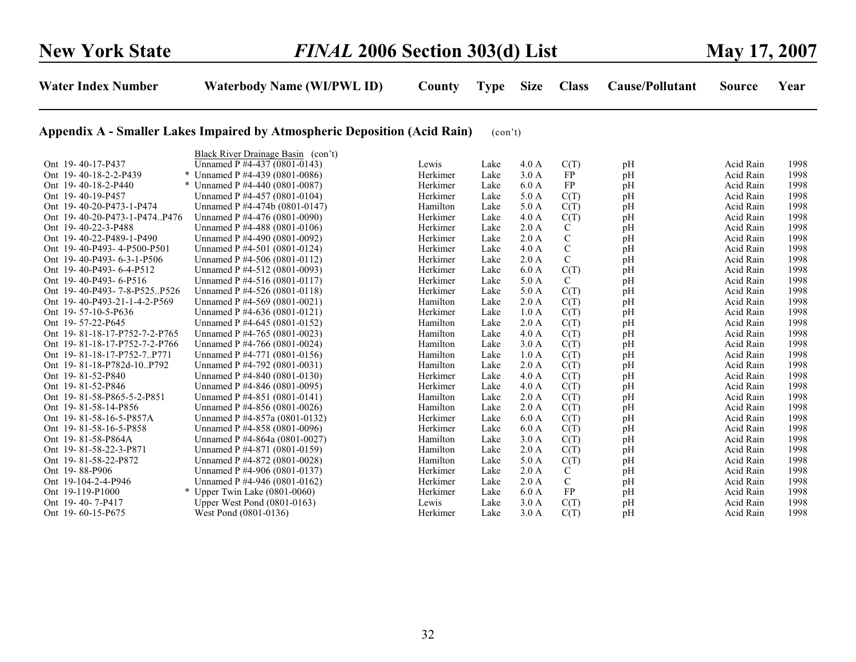| <b>Water Index Number</b>     | <b>Waterbody Name (WI/PWL ID)</b>                                         | County   | <b>Type</b> | <b>Size</b> | <b>Class</b>  | <b>Cause/Pollutant</b> | <b>Source</b> | Year |
|-------------------------------|---------------------------------------------------------------------------|----------|-------------|-------------|---------------|------------------------|---------------|------|
|                               | Appendix A - Smaller Lakes Impaired by Atmospheric Deposition (Acid Rain) |          | (con't)     |             |               |                        |               |      |
|                               | Black River Drainage Basin (con't)                                        |          |             |             |               |                        |               |      |
| Ont 19-40-17-P437             | Unnamed P #4-437 (0801-0143)                                              | Lewis    | Lake        | 4.0A        | C(T)          | pH                     | Acid Rain     | 1998 |
| Ont 19-40-18-2-2-P439         | * Unnamed P #4-439 (0801-0086)                                            | Herkimer | Lake        | 3.0 A       | FP            | pH                     | Acid Rain     | 1998 |
| Ont 19-40-18-2-P440           | * Unnamed P $#4-440(0801-0087)$                                           | Herkimer | Lake        | 6.0A        | FP            | pH                     | Acid Rain     | 1998 |
| Ont 19-40-19-P457             | Unnamed P #4-457 (0801-0104)                                              | Herkimer | Lake        | 5.0 A       | C(T)          | pH                     | Acid Rain     | 1998 |
| Ont 19-40-20-P473-1-P474      | Unnamed P #4-474b (0801-0147)                                             | Hamilton | Lake        | 5.0 A       | C(T)          | pH                     | Acid Rain     | 1998 |
| Ont 19-40-20-P473-1-P474P476  | Unnamed P #4-476 (0801-0090)                                              | Herkimer | Lake        | 4.0 A       | C(T)          | pH                     | Acid Rain     | 1998 |
| Ont 19-40-22-3-P488           | Unnamed P #4-488 (0801-0106)                                              | Herkimer | Lake        | 2.0A        | $\mathbf C$   | pH                     | Acid Rain     | 1998 |
| Ont 19-40-22-P489-1-P490      | Unnamed P #4-490 (0801-0092)                                              | Herkimer | Lake        | 2.0A        | $\mathbf C$   | pH                     | Acid Rain     | 1998 |
| Ont 19-40-P493-4-P500-P501    | Unnamed P #4-501 (0801-0124)                                              | Herkimer | Lake        | 4.0A        | $\mathbf C$   | pH                     | Acid Rain     | 1998 |
| Ont 19-40-P493-6-3-1-P506     | Unnamed P #4-506 (0801-0112)                                              | Herkimer | Lake        | 2.0A        | $\mathcal{C}$ | pH                     | Acid Rain     | 1998 |
| Ont 19-40-P493-6-4-P512       | Unnamed P #4-512 (0801-0093)                                              | Herkimer | Lake        | 6.0 A       | C(T)          | pH                     | Acid Rain     | 1998 |
| Ont 19-40-P493-6-P516         | Unnamed P #4-516 (0801-0117)                                              | Herkimer | Lake        | 5.0 A       | $\mathcal{C}$ | pH                     | Acid Rain     | 1998 |
| Ont 19-40-P493-7-8-P525P526   | Unnamed P #4-526 (0801-0118)                                              | Herkimer | Lake        | 5.0 A       | C(T)          | pH                     | Acid Rain     | 1998 |
| Ont 19-40-P493-21-1-4-2-P569  | Unnamed P #4-569 (0801-0021)                                              | Hamilton | Lake        | 2.0A        | C(T)          | pH                     | Acid Rain     | 1998 |
| Ont 19-57-10-5-P636           | Unnamed P #4-636 (0801-0121)                                              | Herkimer | Lake        | 1.0A        | C(T)          | pH                     | Acid Rain     | 1998 |
| Ont 19-57-22-P645             | Unnamed P #4-645 (0801-0152)                                              | Hamilton | Lake        | 2.0A        | C(T)          | pH                     | Acid Rain     | 1998 |
| Ont 19-81-18-17-P752-7-2-P765 | Unnamed P #4-765 (0801-0023)                                              | Hamilton | Lake        | 4.0 A       | C(T)          | pH                     | Acid Rain     | 1998 |
| Ont 19-81-18-17-P752-7-2-P766 | Unnamed P #4-766 (0801-0024)                                              | Hamilton | Lake        | 3.0A        | C(T)          | pH                     | Acid Rain     | 1998 |
| Ont 19-81-18-17-P752-7P771    | Unnamed P #4-771 (0801-0156)                                              | Hamilton | Lake        | 1.0A        | C(T)          | pH                     | Acid Rain     | 1998 |
| Ont 19-81-18-P782d-10P792     | Unnamed P #4-792 (0801-0031)                                              | Hamilton | Lake        | 2.0 A       | C(T)          | pH                     | Acid Rain     | 1998 |
| Ont 19-81-52-P840             | Unnamed P #4-840 (0801-0130)                                              | Herkimer | Lake        | 4.0 A       | C(T)          | pH                     | Acid Rain     | 1998 |
| Ont 19-81-52-P846             | Unnamed P #4-846 (0801-0095)                                              | Herkimer | Lake        | 4.0 A       | C(T)          | pH                     | Acid Rain     | 1998 |
| Ont 19-81-58-P865-5-2-P851    | Unnamed P #4-851 (0801-0141)                                              | Hamilton | Lake        | 2.0A        | C(T)          | pH                     | Acid Rain     | 1998 |
| Ont 19-81-58-14-P856          | Unnamed P #4-856 (0801-0026)                                              | Hamilton | Lake        | 2.0A        | C(T)          | pH                     | Acid Rain     | 1998 |
| Ont 19-81-58-16-5-P857A       | Unnamed P #4-857a (0801-0132)                                             | Herkimer | Lake        | 6.0A        | C(T)          | pH                     | Acid Rain     | 1998 |
| Ont 19-81-58-16-5-P858        | Unnamed P #4-858 (0801-0096)                                              | Herkimer | Lake        | 6.0A        | C(T)          | pH                     | Acid Rain     | 1998 |
| Ont 19-81-58-P864A            | Unnamed P #4-864a (0801-0027)                                             | Hamilton | Lake        | 3.0A        | C(T)          | pH                     | Acid Rain     | 1998 |
| Ont 19-81-58-22-3-P871        | Unnamed P #4-871 (0801-0159)                                              | Hamilton | Lake        | 2.0 A       | C(T)          | pH                     | Acid Rain     | 1998 |
| Ont 19-81-58-22-P872          | Unnamed P #4-872 (0801-0028)                                              | Hamilton | Lake        | 5.0 A       | C(T)          | pH                     | Acid Rain     | 1998 |
| Ont 19-88-P906                | Unnamed P #4-906 (0801-0137)                                              | Herkimer | Lake        | 2.0A        | $\mathsf{C}$  | pH                     | Acid Rain     | 1998 |
| Ont 19-104-2-4-P946           | Unnamed P #4-946 (0801-0162)                                              | Herkimer | Lake        | 2.0A        | $\mathcal{C}$ | pH                     | Acid Rain     | 1998 |
| Ont 19-119-P1000              | * Upper Twin Lake (0801-0060)                                             | Herkimer | Lake        | 6.0A        | FP            | pH                     | Acid Rain     | 1998 |
| Ont 19-40-7-P417              | Upper West Pond (0801-0163)                                               | Lewis    | Lake        | 3.0A        | C(T)          | pH                     | Acid Rain     | 1998 |
| Ont 19-60-15-P675             | West Pond (0801-0136)                                                     | Herkimer | Lake        | 3.0A        | C(T)          | pH                     | Acid Rain     | 1998 |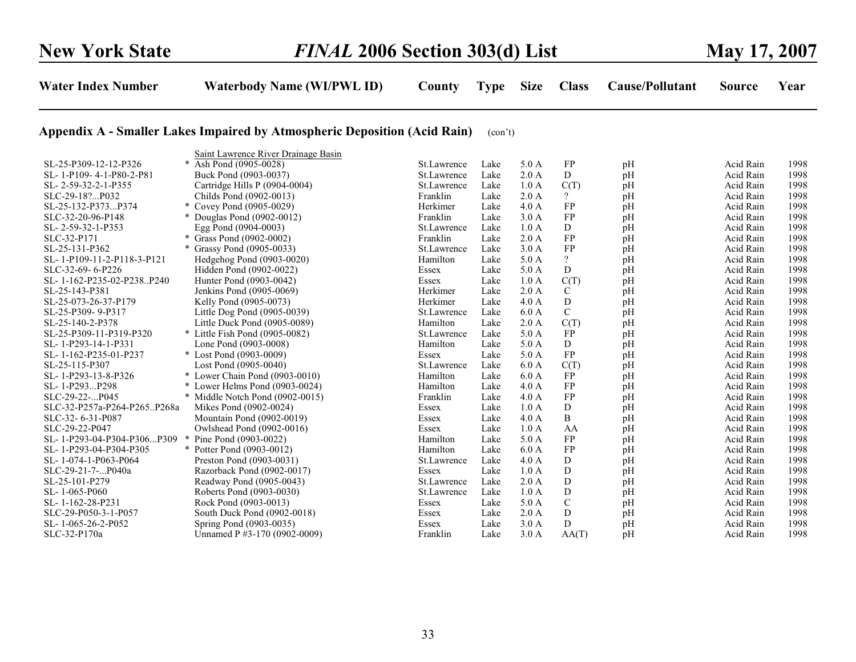| <b>Water Index Number</b> | <b>Waterbody Name (WI/PWL ID)</b> | County | Type | <b>Size</b> | <b>Class</b> | <b>Cause/Pollutant</b> | <b>Source</b> | Year |
|---------------------------|-----------------------------------|--------|------|-------------|--------------|------------------------|---------------|------|
|                           |                                   |        |      |             |              |                        |               |      |

# **Appendix A - Smaller Lakes Impaired by Atmospheric Deposition (Acid Rain)** (con't)

|                             | Saint Lawrence River Drainage Basin |              |      |       |                |    |           |      |
|-----------------------------|-------------------------------------|--------------|------|-------|----------------|----|-----------|------|
| SL-25-P309-12-12-P326       | * Ash Pond (0905-0028)              | St.Lawrence  | Lake | 5.0 A | FP             | pH | Acid Rain | 1998 |
| SL-1-P109-4-1-P80-2-P81     | Buck Pond (0903-0037)               | St.Lawrence  | Lake | 2.0A  | D              | pH | Acid Rain | 1998 |
| SL-2-59-32-2-1-P355         | Cartridge Hills P (0904-0004)       | St.Lawrence  | Lake | 1.0 A | C(T)           | pH | Acid Rain | 1998 |
| SLC-29-18?P032              | Childs Pond (0902-0013)             | Franklin     | Lake | 2.0A  | $\overline{?}$ | pH | Acid Rain | 1998 |
| SL-25-132-P373P374          | * Covey Pond (0905-0029)            | Herkimer     | Lake | 4.0 A | FP             | pH | Acid Rain | 1998 |
| SLC-32-20-96-P148           | * Douglas Pond $(0902-0012)$        | Franklin     | Lake | 3.0 A | <b>FP</b>      | pH | Acid Rain | 1998 |
| SL-2-59-32-1-P353           | Egg Pond (0904-0003)                | St.Lawrence  | Lake | 1.0A  | D              | pH | Acid Rain | 1998 |
| SLC-32-P171                 | * Grass Pond (0902-0002)            | Franklin     | Lake | 2.0 A | <b>FP</b>      | pH | Acid Rain | 1998 |
| SL-25-131-P362              | * Grassy Pond (0905-0033)           | St.Lawrence  | Lake | 3.0A  | FP             | pH | Acid Rain | 1998 |
| SL-1-P109-11-2-P118-3-P121  | Hedgehog Pond (0903-0020)           | Hamilton     | Lake | 5.0 A | $\overline{?}$ | pH | Acid Rain | 1998 |
| SLC-32-69-6-P226            | Hidden Pond (0902-0022)             | Essex        | Lake | 5.0 A | D              | pH | Acid Rain | 1998 |
| SL-1-162-P235-02-P238P240   | Hunter Pond (0903-0042)             | Essex        | Lake | 1.0A  | C(T)           | pH | Acid Rain | 1998 |
| SL-25-143-P381              | Jenkins Pond (0905-0069)            | Herkimer     | Lake | 2.0A  | C              | pH | Acid Rain | 1998 |
| SL-25-073-26-37-P179        | Kelly Pond (0905-0073)              | Herkimer     | Lake | 4.0A  | D              | pH | Acid Rain | 1998 |
| SL-25-P309-9-P317           | Little Dog Pond (0905-0039)         | St.Lawrence  | Lake | 6.0 A | $\mathcal{C}$  | pH | Acid Rain | 1998 |
| SL-25-140-2-P378            | Little Duck Pond (0905-0089)        | Hamilton     | Lake | 2.0 A | C(T)           | pH | Acid Rain | 1998 |
| SL-25-P309-11-P319-P320     | * Little Fish Pond (0905-0082)      | St.Lawrence  | Lake | 5.0 A | FP             | pH | Acid Rain | 1998 |
| SL-1-P293-14-1-P331         | Lone Pond (0903-0008)               | Hamilton     | Lake | 5.0 A | D              | pH | Acid Rain | 1998 |
| SL-1-162-P235-01-P237       | * Lost Pond (0903-0009)             | <b>Essex</b> | Lake | 5.0 A | <b>FP</b>      | pH | Acid Rain | 1998 |
| SL-25-115-P307              | Lost Pond (0905-0040)               | St.Lawrence  | Lake | 6.0 A | C(T)           | pH | Acid Rain | 1998 |
| SL-1-P293-13-8-P326         | * Lower Chain Pond (0903-0010)      | Hamilton     | Lake | 6.0 A | FP             | pH | Acid Rain | 1998 |
| SL-1-P293P298               | $*$ Lower Helms Pond (0903-0024)    | Hamilton     | Lake | 4.0 A | FP             | pH | Acid Rain | 1998 |
| SLC-29-22-P045              | * Middle Notch Pond (0902-0015)     | Franklin     | Lake | 4.0 A | <b>FP</b>      | pH | Acid Rain | 1998 |
| SLC-32-P257a-P264-P265P268a | Mikes Pond (0902-0024)              | Essex        | Lake | 1.0A  | D              | pH | Acid Rain | 1998 |
| SLC-32-6-31-P087            | Mountain Pond (0902-0019)           | Essex        | Lake | 4.0 A | B              | pH | Acid Rain | 1998 |
| SLC-29-22-P047              | Owlshead Pond (0902-0016)           | Essex        | Lake | 1.0A  | AA             | pH | Acid Rain | 1998 |
| SL-1-P293-04-P304-P306P309  | Pine Pond (0903-0022)               | Hamilton     | Lake | 5.0 A | FP             | pH | Acid Rain | 1998 |
| SL-1-P293-04-P304-P305      | * Potter Pond (0903-0012)           | Hamilton     | Lake | 6.0 A | FP             | pH | Acid Rain | 1998 |
| SL-1-074-1-P063-P064        | Preston Pond (0903-0031)            | St.Lawrence  | Lake | 4.0 A | D              | pH | Acid Rain | 1998 |
| SLC-29-21-7-P040a           | Razorback Pond (0902-0017)          | <b>Essex</b> | Lake | 1.0 A | D              | pH | Acid Rain | 1998 |
| SL-25-101-P279              | Readway Pond (0905-0043)            | St.Lawrence  | Lake | 2.0A  | D              | pH | Acid Rain | 1998 |
| SL-1-065-P060               | Roberts Pond (0903-0030)            | St.Lawrence  | Lake | 1.0A  | D              | pH | Acid Rain | 1998 |
| SL-1-162-28-P231            | Rock Pond (0903-0013)               | Essex        | Lake | 5.0 A | $\mathsf{C}$   | pH | Acid Rain | 1998 |
| SLC-29-P050-3-1-P057        | South Duck Pond (0902-0018)         | Essex        | Lake | 2.0 A | D              | pH | Acid Rain | 1998 |
| SL-1-065-26-2-P052          | Spring Pond (0903-0035)             | <b>Essex</b> | Lake | 3.0A  | D              | pH | Acid Rain | 1998 |
| SLC-32-P170a                | Unnamed P #3-170 (0902-0009)        | Franklin     | Lake | 3.0A  | AA(T)          | pH | Acid Rain | 1998 |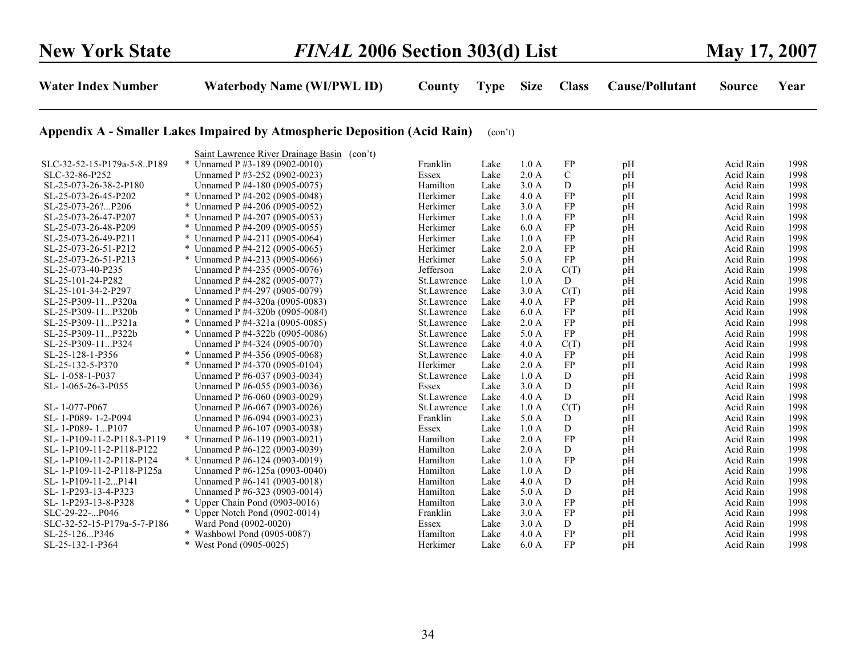| <b>Water Index Number</b>   | <b>Waterbody Name (WI/PWL ID)</b>                                         | County      | <b>Type</b> | <b>Size</b> | <b>Class</b> | Cause/Pollutant | <b>Source</b> | Year |
|-----------------------------|---------------------------------------------------------------------------|-------------|-------------|-------------|--------------|-----------------|---------------|------|
|                             | Appendix A - Smaller Lakes Impaired by Atmospheric Deposition (Acid Rain) |             | (con't)     |             |              |                 |               |      |
|                             | Saint Lawrence River Drainage Basin (con't)                               |             |             |             |              |                 |               |      |
| SLC-32-52-15-P179a-5-8P189  | Unnamed P #3-189 (0902-0010)<br>*                                         | Franklin    | Lake        | 1.0A        | FP           | pH              | Acid Rain     | 1998 |
| SLC-32-86-P252              | Unnamed P #3-252 (0902-0023)                                              | Essex       | Lake        | 2.0 A       | $\mathbf C$  | pH              | Acid Rain     | 1998 |
| SL-25-073-26-38-2-P180      | Unnamed P #4-180 (0905-0075)                                              | Hamilton    | Lake        | 3.0 A       | D            | pH              | Acid Rain     | 1998 |
| SL-25-073-26-45-P202        | * Unnamed P $#4-202(0905-0048)$                                           | Herkimer    | Lake        | 4.0 A       | FP           | pH              | Acid Rain     | 1998 |
| SL-25-073-26?P206           | Unnamed P #4-206 (0905-0052)                                              | Herkimer    | Lake        | 3.0 A       | FP           | pH              | Acid Rain     | 1998 |
| SL-25-073-26-47-P207        | Unnamed P #4-207 (0905-0053)<br>$\ast$                                    | Herkimer    | Lake        | 1.0A        | FP           | pH              | Acid Rain     | 1998 |
| SL-25-073-26-48-P209        | * Unnamed P $#4-209(0905-0055)$                                           | Herkimer    | Lake        | 6.0A        | FP           | pH              | Acid Rain     | 1998 |
| SL-25-073-26-49-P211        | * Unnamed P #4-211 (0905-0064)                                            | Herkimer    | Lake        | 1.0A        | <b>FP</b>    | pH              | Acid Rain     | 1998 |
| SL-25-073-26-51-P212        | Unnamed P #4-212 (0905-0065)<br>*                                         | Herkimer    | Lake        | 2.0 A       | FP           | pH              | Acid Rain     | 1998 |
| SL-25-073-26-51-P213        | * Unnamed P $#4-213(0905-0066)$                                           | Herkimer    | Lake        | 5.0 A       | FP           | pH              | Acid Rain     | 1998 |
| SL-25-073-40-P235           | Unnamed P #4-235 (0905-0076)                                              | Jefferson   | Lake        | 2.0 A       | C(T)         | pH              | Acid Rain     | 1998 |
| SL-25-101-24-P282           | Unnamed P #4-282 (0905-0077)                                              | St.Lawrence | Lake        | 1.0A        | D            | pH              | Acid Rain     | 1998 |
| SL-25-101-34-2-P297         | Unnamed P #4-297 (0905-0079)                                              | St.Lawrence | Lake        | 3.0 A       | C(T)         | pH              | Acid Rain     | 1998 |
| SL-25-P309-11P320a          | * Unnamed P #4-320a (0905-0083)                                           | St.Lawrence | Lake        | 4.0 A       | FP           | pH              | Acid Rain     | 1998 |
| SL-25-P309-11P320b          | * Unnamed P #4-320b (0905-0084)                                           | St.Lawrence | Lake        | 6.0A        | FP           | pH              | Acid Rain     | 1998 |
| SL-25-P309-11P321a          | * Unnamed P $#4-321a(0905-0085)$                                          | St.Lawrence | Lake        | 2.0 A       | FP           | pH              | Acid Rain     | 1998 |
| SL-25-P309-11P322b          | * Unnamed P #4-322b (0905-0086)                                           | St.Lawrence | Lake        | 5.0 A       | ${\rm FP}$   | pH              | Acid Rain     | 1998 |
| SL-25-P309-11P324           | Unnamed P #4-324 (0905-0070)                                              | St.Lawrence | Lake        | 4.0 A       | C(T)         | pH              | Acid Rain     | 1998 |
| SL-25-128-1-P356            | * Unnamed P #4-356 (0905-0068)                                            | St.Lawrence | Lake        | 4.0 A       | FP           | pH              | Acid Rain     | 1998 |
| SL-25-132-5-P370            | * Unnamed P #4-370 (0905-0104)                                            | Herkimer    | Lake        | 2.0 A       | <b>FP</b>    | pH              | Acid Rain     | 1998 |
| SL-1-058-1-P037             | Unnamed P #6-037 (0903-0034)                                              | St.Lawrence | Lake        | 1.0A        | D            | pH              | Acid Rain     | 1998 |
| SL-1-065-26-3-P055          | Unnamed P #6-055 (0903-0036)                                              | Essex       | Lake        | 3.0 A       | D            | pH              | Acid Rain     | 1998 |
|                             | Unnamed P #6-060 (0903-0029)                                              | St.Lawrence | Lake        | 4.0A        | D            | pH              | Acid Rain     | 1998 |
| SL-1-077-P067               | Unnamed P #6-067 (0903-0026)                                              | St.Lawrence | Lake        | 1.0A        | C(T)         | pH              | Acid Rain     | 1998 |
| SL-1-P089-1-2-P094          | Unnamed P #6-094 (0903-0023)                                              | Franklin    | Lake        | 5.0 A       | D            | pH              | Acid Rain     | 1998 |
| SL-1-P089-1P107             | Unnamed P #6-107 (0903-0038)                                              | Essex       | Lake        | 1.0A        | D            | pH              | Acid Rain     | 1998 |
| SL-1-P109-11-2-P118-3-P119  | * Unnamed P $#6-119(0903-0021)$                                           | Hamilton    | Lake        | 2.0 A       | FP           | pH              | Acid Rain     | 1998 |
| SL-1-P109-11-2-P118-P122    | Unnamed P #6-122 (0903-0039)                                              | Hamilton    | Lake        | 2.0 A       | D            | pH              | Acid Rain     | 1998 |
| SL-1-P109-11-2-P118-P124    | * Unnamed P #6-124 (0903-0019)                                            | Hamilton    | Lake        | 1.0A        | <b>FP</b>    | pH              | Acid Rain     | 1998 |
| SL-1-P109-11-2-P118-P125a   | Unnamed P #6-125a (0903-0040)                                             | Hamilton    | Lake        | 1.0A        | D            | pH              | Acid Rain     | 1998 |
| SL-1-P109-11-2P141          | Unnamed P #6-141 (0903-0018)                                              | Hamilton    | Lake        | 4.0 A       | D            | pH              | Acid Rain     | 1998 |
| SL-1-P293-13-4-P323         | Unnamed P #6-323 (0903-0014)                                              | Hamilton    | Lake        | 5.0 A       | D            | pH              | Acid Rain     | 1998 |
| SL-1-P293-13-8-P328         | * Upper Chain Pond $(0903-0016)$                                          | Hamilton    | Lake        | 3.0 A       | FP           | pH              | Acid Rain     | 1998 |
| SLC-29-22-P046              | * Upper Notch Pond (0902-0014)                                            | Franklin    | Lake        | 3.0 A       | FP           | pH              | Acid Rain     | 1998 |
| SLC-32-52-15-P179a-5-7-P186 | Ward Pond (0902-0020)                                                     | Essex       | Lake        | 3.0A        | D            | pH              | Acid Rain     | 1998 |
| SL-25-126P346               | * Washbowl Pond (0905-0087)                                               | Hamilton    | Lake        | 4.0 A       | FP           | pH              | Acid Rain     | 1998 |
| SL-25-132-1-P364            | * West Pond (0905-0025)                                                   | Herkimer    | Lake        | 6.0 A       | FP.          | pH              | Acid Rain     | 1998 |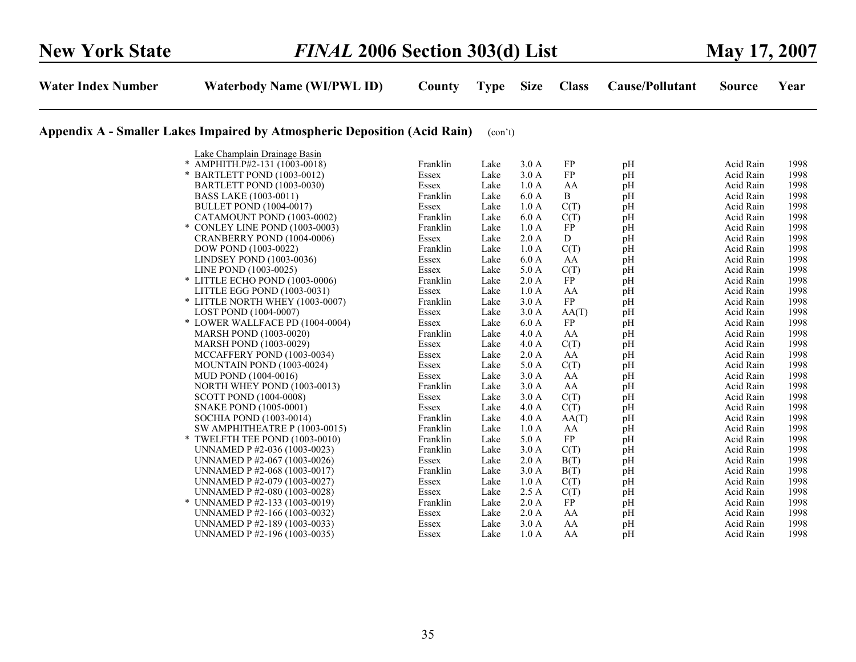| <b>Water Index Number</b> | <b>Waterbody Name (WI/PWL ID)</b>                                         | County   | <b>Type</b> | <b>Size</b> | <b>Class</b> | Cause/Pollutant | <b>Source</b> | Year |
|---------------------------|---------------------------------------------------------------------------|----------|-------------|-------------|--------------|-----------------|---------------|------|
|                           | Appendix A - Smaller Lakes Impaired by Atmospheric Deposition (Acid Rain) |          | (con't)     |             |              |                 |               |      |
|                           |                                                                           |          |             |             |              |                 |               |      |
|                           | Lake Champlain Drainage Basin<br>* AMPHITH.P#2-131 (1003-0018)            | Franklin | Lake        | 3.0 A       | <b>FP</b>    | pH              | Acid Rain     | 1998 |
|                           | * BARTLETT POND (1003-0012)                                               | Essex    | Lake        | 3.0 A       | FP           | pH              | Acid Rain     | 1998 |
|                           | <b>BARTLETT POND (1003-0030)</b>                                          | Essex    | Lake        | 1.0A        | AA           | pH              | Acid Rain     | 1998 |
|                           | BASS LAKE (1003-0011)                                                     | Franklin | Lake        | 6.0 A       | B            | pH              | Acid Rain     | 1998 |
|                           | <b>BULLET POND (1004-0017)</b>                                            | Essex    | Lake        | 1.0A        | C(T)         | pH              | Acid Rain     | 1998 |
|                           | CATAMOUNT POND (1003-0002)                                                | Franklin | Lake        | 6.0 A       | C(T)         | pH              | Acid Rain     | 1998 |
|                           | * CONLEY LINE POND (1003-0003)                                            | Franklin | Lake        | 1.0A        | FP           | pH              | Acid Rain     | 1998 |
|                           | CRANBERRY POND (1004-0006)                                                | Essex    | Lake        | 2.0 A       | D            | pH              | Acid Rain     | 1998 |
|                           | DOW POND (1003-0022)                                                      | Franklin | Lake        | 1.0A        | C(T)         | pH              | Acid Rain     | 1998 |
|                           | LINDSEY POND (1003-0036)                                                  | Essex    | Lake        | 6.0 A       | AA           | pH              | Acid Rain     | 1998 |
|                           | LINE POND (1003-0025)                                                     | Essex    | Lake        | 5.0 A       | C(T)         | pH              | Acid Rain     | 1998 |
|                           | * LITTLE ECHO POND (1003-0006)                                            | Franklin | Lake        | 2.0 A       | FP           | pH              | Acid Rain     | 1998 |
|                           | LITTLE EGG POND (1003-0031)                                               | Essex    | Lake        | 1.0 A       | AA           | pH              | Acid Rain     | 1998 |
|                           | * LITTLE NORTH WHEY (1003-0007)                                           | Franklin | Lake        | 3.0 A       | FP           | pH              | Acid Rain     | 1998 |
|                           | LOST POND (1004-0007)                                                     | Essex    | Lake        | 3.0 A       | AA(T)        | pH              | Acid Rain     | 1998 |
|                           | * LOWER WALLFACE PD (1004-0004)                                           | Essex    | Lake        | 6.0 A       | FP           | pH              | Acid Rain     | 1998 |
|                           | <b>MARSH POND (1003-0020)</b>                                             | Franklin | Lake        | 4.0 A       | AA           | pH              | Acid Rain     | 1998 |
|                           | <b>MARSH POND (1003-0029)</b>                                             | Essex    | Lake        | 4.0 A       | C(T)         | pH              | Acid Rain     | 1998 |
|                           | MCCAFFERY POND (1003-0034)                                                | Essex    | Lake        | 2.0 A       | AA           | pH              | Acid Rain     | 1998 |
|                           | MOUNTAIN POND (1003-0024)                                                 | Essex    | Lake        | 5.0 A       | C(T)         | pH              | Acid Rain     | 1998 |
|                           | MUD POND (1004-0016)                                                      | Essex    | Lake        | 3.0 A       | AA           | pH              | Acid Rain     | 1998 |
|                           | NORTH WHEY POND (1003-0013)                                               | Franklin | Lake        | 3.0 A       | AA           | pH              | Acid Rain     | 1998 |
|                           | <b>SCOTT POND (1004-0008)</b>                                             | Essex    | Lake        | 3.0 A       | C(T)         | pH              | Acid Rain     | 1998 |
|                           | <b>SNAKE POND (1005-0001)</b>                                             | Essex    | Lake        | 4.0 A       | C(T)         | pH              | Acid Rain     | 1998 |
|                           | SOCHIA POND (1003-0014)                                                   | Franklin | Lake        | 4.0 A       | AA(T)        | pH              | Acid Rain     | 1998 |
|                           | SW AMPHITHEATRE P (1003-0015)                                             | Franklin | Lake        | 1.0A        | AA           | pH              | Acid Rain     | 1998 |
|                           | * TWELFTH TEE POND (1003-0010)                                            | Franklin | Lake        | 5.0 A       | <b>FP</b>    | pH              | Acid Rain     | 1998 |
|                           | UNNAMED P #2-036 (1003-0023)                                              | Franklin | Lake        | 3.0 A       | C(T)         | pH              | Acid Rain     | 1998 |
|                           | UNNAMED P #2-067 (1003-0026)                                              | Essex    | Lake        | 2.0 A       | B(T)         | pH              | Acid Rain     | 1998 |
|                           | UNNAMED P #2-068 (1003-0017)                                              | Franklin | Lake        | 3.0 A       | B(T)         | pH              | Acid Rain     | 1998 |
|                           | UNNAMED P #2-079 (1003-0027)                                              | Essex    | Lake        | 1.0A        | C(T)         | pH              | Acid Rain     | 1998 |
|                           | UNNAMED P #2-080 (1003-0028)                                              | Essex    | Lake        | 2.5A        | C(T)         | pH              | Acid Rain     | 1998 |
|                           | * UNNAMED P #2-133 (1003-0019)                                            | Franklin | Lake        | 2.0 A       | FP           | pH              | Acid Rain     | 1998 |
|                           | UNNAMED P #2-166 (1003-0032)                                              | Essex    | Lake        | 2.0 A       | AA           | pH              | Acid Rain     | 1998 |
|                           | UNNAMED P #2-189 (1003-0033)                                              | Essex    | Lake        | 3.0 A       | AA           | pH              | Acid Rain     | 1998 |
|                           | UNNAMED P #2-196 (1003-0035)                                              | Essex    | Lake        | 1.0A        | AA           | pH              | Acid Rain     | 1998 |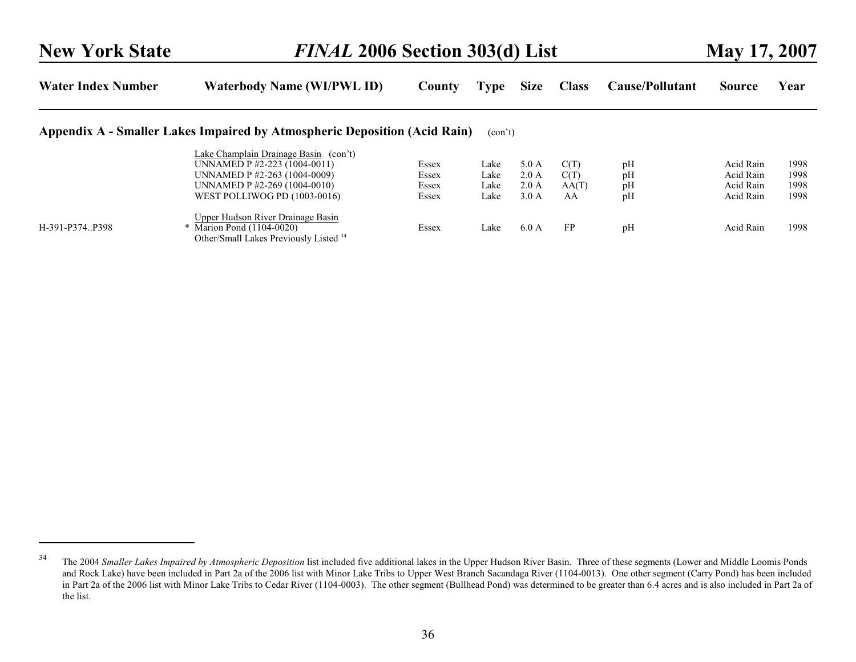| <b>New York State</b>     | <i>FINAL</i> 2006 Section 303(d) List                                                                        |                |              |                |               |                 |                        | May 17, 2007 |  |
|---------------------------|--------------------------------------------------------------------------------------------------------------|----------------|--------------|----------------|---------------|-----------------|------------------------|--------------|--|
| <b>Water Index Number</b> | <b>Waterbody Name (WI/PWL ID)</b>                                                                            | County         | <b>Type</b>  | <b>Size</b>    | <b>Class</b>  | Cause/Pollutant | <b>Source</b>          | Year         |  |
|                           | Appendix A - Smaller Lakes Impaired by Atmospheric Deposition (Acid Rain)                                    |                | (con't)      |                |               |                 |                        |              |  |
|                           | Lake Champlain Drainage Basin (con't)                                                                        |                |              |                |               |                 |                        |              |  |
|                           | UNNAMED P #2-223 (1004-0011)<br>UNNAMED P #2-263 (1004-0009)                                                 | Essex<br>Essex | Lake<br>Lake | 5.0 A<br>2.0 A | C(T)          | pН              | Acid Rain<br>Acid Rain | 1998<br>1998 |  |
|                           | UNNAMED P #2-269 (1004-0010)                                                                                 | Essex          | Lake         | 2.0 A          | C(T)<br>AA(T) | pН<br>pH        | Acid Rain              | 1998         |  |
|                           | WEST POLLIWOG PD (1003-0016)                                                                                 | Essex          | Lake         | 3.0 A          | AA            | pH              | Acid Rain              | 1998         |  |
| H-391-P374P398            | Upper Hudson River Drainage Basin<br>$*$ Marion Pond $(1104-0020)$<br>Other/Small Lakes Previously Listed 34 | Essex          | Lake         | 6.0 A          | <b>FP</b>     | pH              | Acid Rain              | 1998         |  |

<sup>&</sup>lt;sup>34</sup> The 2004 *Smaller Lakes Impaired by Atmospheric Deposition* list included five additional lakes in the Upper Hudson River Basin. Three of these segments (Lower and Middle Loomis Ponds and Rock Lake) have been included in Part 2a of the 2006 list with Minor Lake Tribs to Upper West Branch Sacandaga River (1104-0013). One other segment (Carry Pond) has been included in Part 2a of the 2006 list with Minor Lake Tribs to Cedar River (1104-0003). The other segment (Bullhead Pond) was determined to be greater than 6.4 acres and is also included in Part 2a of the list.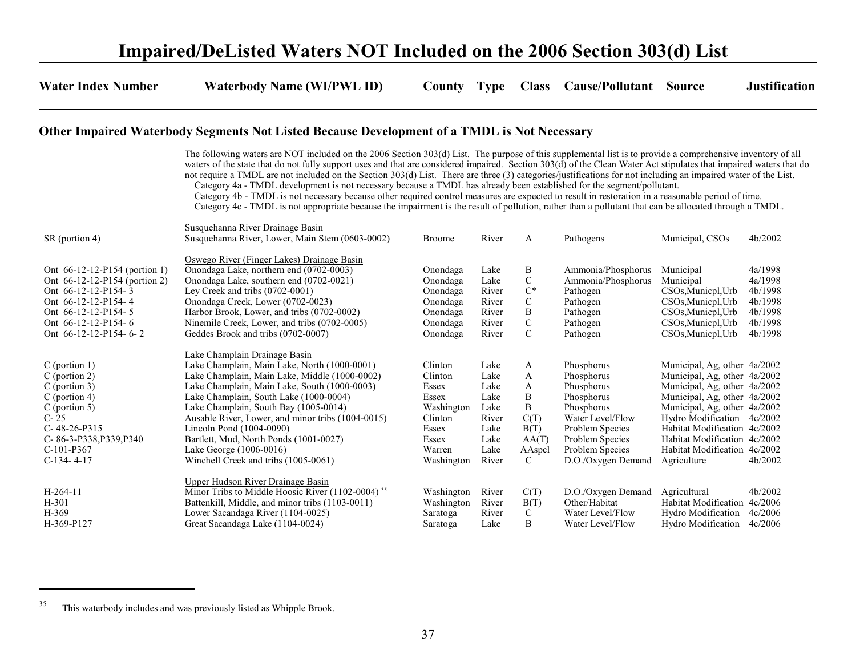| Water Index Number | Waterbody Name (WI/PWL ID) |  |  | County Type Class Cause/Pollutant Source |  | <b>Justification</b> |
|--------------------|----------------------------|--|--|------------------------------------------|--|----------------------|
|--------------------|----------------------------|--|--|------------------------------------------|--|----------------------|

#### **Other Impaired Waterbody Segments Not Listed Because Development of a TMDL is Not Necessary**

The following waters are NOT included on the 2006 Section 303(d) List. The purpose of this supplemental list is to provide a comprehensive inventory of all waters of the state that do not fully support uses and that are considered impaired. Section 303(d) of the Clean Water Act stipulates that impaired waters that do not require a TMDL are not included on the Section 303(d) List. There are three (3) categories/justifications for not including an impaired water of the List. Category 4a - TMDL development is not necessary because a TMDL has already been established for the segment/pollutant.

Category 4b - TMDL is not necessary because other required control measures are expected to result in restoration in a reasonable period of time.

Category 4c - TMDL is not appropriate because the impairment is the result of pollution, rather than a pollutant that can be allocated through a TMDL.

| SR (portion 4)                                                                                                                                                                       | Susquehanna River Drainage Basin<br>Susquehanna River, Lower, Main Stem (0603-0002)                                                                                                                                                                                                                                                                                                                                                                             | <b>Broome</b>                                                                                           | River                                                                          | А                                                             | Pathogens                                                                                                                                                             | Municipal, CSOs                                                                                                                                                                                                                                                                                          | 4b/2002                                                                   |
|--------------------------------------------------------------------------------------------------------------------------------------------------------------------------------------|-----------------------------------------------------------------------------------------------------------------------------------------------------------------------------------------------------------------------------------------------------------------------------------------------------------------------------------------------------------------------------------------------------------------------------------------------------------------|---------------------------------------------------------------------------------------------------------|--------------------------------------------------------------------------------|---------------------------------------------------------------|-----------------------------------------------------------------------------------------------------------------------------------------------------------------------|----------------------------------------------------------------------------------------------------------------------------------------------------------------------------------------------------------------------------------------------------------------------------------------------------------|---------------------------------------------------------------------------|
| Ont 66-12-12-P154 (portion 1)<br>Ont 66-12-12-P154 (portion 2)<br>Ont 66-12-12-P154-3<br>Ont 66-12-12-P154-4<br>Ont 66-12-12-P154-5<br>Ont 66-12-12-P154-6<br>Ont 66-12-12-P154-6-2  | Oswego River (Finger Lakes) Drainage Basin<br>Onondaga Lake, northern end (0702-0003)<br>Onondaga Lake, southern end (0702-0021)<br>Ley Creek and tribs (0702-0001)<br>Onondaga Creek, Lower (0702-0023)<br>Harbor Brook, Lower, and tribs (0702-0002)<br>Ninemile Creek, Lower, and tribs (0702-0005)<br>Geddes Brook and tribs (0702-0007)                                                                                                                    | Onondaga<br>Onondaga<br>Onondaga<br>Onondaga<br>Onondaga<br>Onondaga<br>Onondaga                        | Lake<br>Lake<br>River<br>River<br>River<br>River<br>River                      | В<br>$\mathsf{C}$<br>$C^*$<br>C<br>B<br>$\mathsf{C}$<br>C     | Ammonia/Phosphorus<br>Ammonia/Phosphorus<br>Pathogen<br>Pathogen<br>Pathogen<br>Pathogen<br>Pathogen                                                                  | Municipal<br>Municipal<br>CSO <sub>s</sub> , Municpl, Urb<br>CSOs, Municpl, Urb<br>CSO <sub>s</sub> , Municpl, Urb<br>CSOs, Municpl, Urb<br>CSO <sub>s</sub> , Municpl, Urb                                                                                                                              | 4a/1998<br>4a/1998<br>4b/1998<br>4b/1998<br>4b/1998<br>4b/1998<br>4b/1998 |
| $C$ (portion 1)<br>$C$ (portion 2)<br>$C$ (portion 3)<br>$C$ (portion 4)<br>$C$ (portion 5)<br>$C - 25$<br>$C-48-26-P315$<br>C-86-3-P338, P339, P340<br>$C-101-P367$<br>$C-134-4-17$ | Lake Champlain Drainage Basin<br>Lake Champlain, Main Lake, North (1000-0001)<br>Lake Champlain, Main Lake, Middle (1000-0002)<br>Lake Champlain, Main Lake, South (1000-0003)<br>Lake Champlain, South Lake (1000-0004)<br>Lake Champlain, South Bay (1005-0014)<br>Ausable River, Lower, and minor tribs (1004-0015)<br>Lincoln Pond (1004-0090)<br>Bartlett, Mud, North Ponds (1001-0027)<br>Lake George (1006-0016)<br>Winchell Creek and tribs (1005-0061) | Clinton<br>Clinton<br>Essex<br>Essex<br>Washington<br>Clinton<br>Essex<br>Essex<br>Warren<br>Washington | Lake<br>Lake<br>Lake<br>Lake<br>Lake<br>River<br>Lake<br>Lake<br>Lake<br>River | А<br>A<br>A<br>B<br>B<br>C(T)<br>B(T)<br>AA(T)<br>AAspel<br>C | Phosphorus<br>Phosphorus<br>Phosphorus<br>Phosphorus<br>Phosphorus<br>Water Level/Flow<br>Problem Species<br>Problem Species<br>Problem Species<br>D.O./Oxygen Demand | Municipal, Ag, other 4a/2002<br>Municipal, Ag, other 4a/2002<br>Municipal, Ag, other 4a/2002<br>Municipal, Ag, other 4a/2002<br>Municipal, Ag, other 4a/2002<br><b>Hydro Modification</b><br>Habitat Modification 4c/2002<br>Habitat Modification 4c/2002<br>Habitat Modification 4c/2002<br>Agriculture | 4c/2002<br>4b/2002                                                        |
| $H-264-11$<br>$H-301$<br>H-369<br>H-369-P127                                                                                                                                         | Upper Hudson River Drainage Basin<br>Minor Tribs to Middle Hoosic River (1102-0004) <sup>35</sup><br>Battenkill, Middle, and minor tribs (1103-0011)<br>Lower Sacandaga River (1104-0025)<br>Great Sacandaga Lake (1104-0024)                                                                                                                                                                                                                                   | Washington<br>Washington<br>Saratoga<br>Saratoga                                                        | River<br>River<br>River<br>Lake                                                | C(T)<br>B(T)<br>C<br>B                                        | D.O./Oxygen Demand<br>Other/Habitat<br>Water Level/Flow<br>Water Level/Flow                                                                                           | Agricultural<br>Habitat Modification<br>Hydro Modification<br>Hydro Modification                                                                                                                                                                                                                         | 4b/2002<br>4c/2006<br>4c/2006<br>4c/2006                                  |

This waterbody includes and was previously listed as Whipple Brook. 35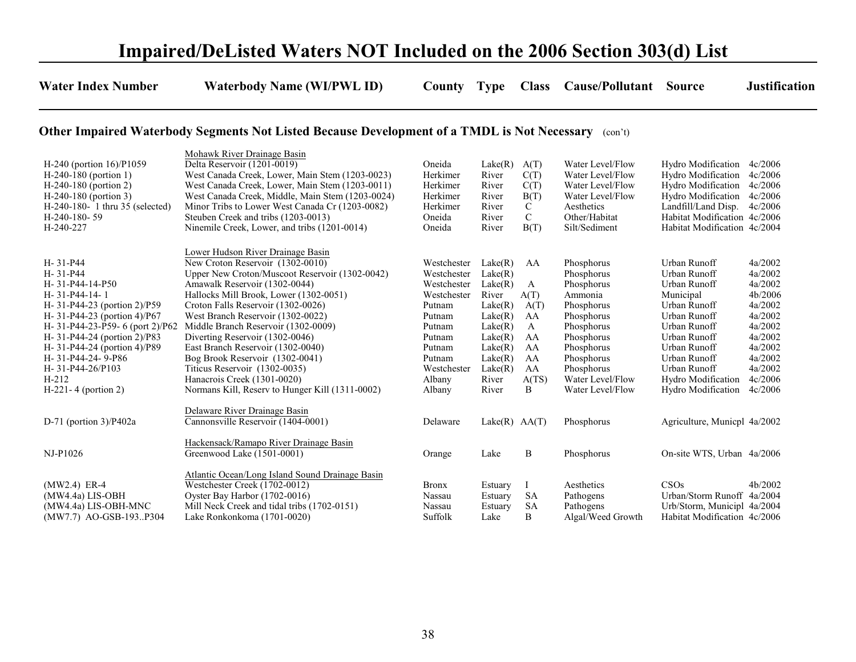| Water Index Number | Waterbody Name (WI/PWL ID) |  |  |  | County Type Class Cause/Pollutant Source |  | <b>Justification</b> |
|--------------------|----------------------------|--|--|--|------------------------------------------|--|----------------------|
|--------------------|----------------------------|--|--|--|------------------------------------------|--|----------------------|

#### **Other Impaired Waterbody Segments Not Listed Because Development of a TMDL is Not Necessary** (con't)

| $H-240$ (portion 16)/P1059<br>$H-240-180$ (portion 1)<br>$H-240-180$ (portion 2)<br>H-240-180 (portion 3)<br>H-240-180- 1 thru 35 (selected)<br>H-240-180-59<br>H-240-227                                                                                                                                       | Mohawk River Drainage Basin<br>Delta Reservoir (1201-0019)<br>West Canada Creek, Lower, Main Stem (1203-0023)<br>West Canada Creek, Lower, Main Stem (1203-0011)<br>West Canada Creek, Middle, Main Stem (1203-0024)<br>Minor Tribs to Lower West Canada Cr (1203-0082)<br>Steuben Creek and tribs (1203-0013)<br>Ninemile Creek, Lower, and tribs (1201-0014)                                                                                                                                                                                     | Oneida<br>Herkimer<br>Herkimer<br>Herkimer<br>Herkimer<br>Oneida<br>Oneida                                                                              | Lake(R)<br>River<br>River<br>River<br>River<br>River<br>River                                                                         | A(T)<br>C(T)<br>C(T)<br>B(T)<br>C<br>$\mathcal{C}$<br>B(T)                                     | Water Level/Flow<br>Water Level/Flow<br>Water Level/Flow<br>Water Level/Flow<br>Aesthetics<br>Other/Habitat<br>Silt/Sediment                                                                | Hydro Modification<br>Hydro Modification<br>Hydro Modification<br>Hydro Modification<br>Landfill/Land Disp.<br>Habitat Modification 4c/2006<br>Habitat Modification 4c/2004                                           | 4c/2006<br>4c/2006<br>4c/2006<br>4c/2006<br>4c/2006                                                                                         |
|-----------------------------------------------------------------------------------------------------------------------------------------------------------------------------------------------------------------------------------------------------------------------------------------------------------------|----------------------------------------------------------------------------------------------------------------------------------------------------------------------------------------------------------------------------------------------------------------------------------------------------------------------------------------------------------------------------------------------------------------------------------------------------------------------------------------------------------------------------------------------------|---------------------------------------------------------------------------------------------------------------------------------------------------------|---------------------------------------------------------------------------------------------------------------------------------------|------------------------------------------------------------------------------------------------|---------------------------------------------------------------------------------------------------------------------------------------------------------------------------------------------|-----------------------------------------------------------------------------------------------------------------------------------------------------------------------------------------------------------------------|---------------------------------------------------------------------------------------------------------------------------------------------|
| H-31-P44<br>H-31-P44<br>H-31-P44-14-P50<br>H-31-P44-14-1<br>H- 31-P44-23 (portion 2)/P59<br>H- 31-P44-23 (portion 4)/P67<br>H- 31-P44-23-P59- 6 (port $2$ )/P62<br>H- 31-P44-24 (portion $2$ )/P83<br>H- 31-P44-24 (portion 4)/P89<br>H-31-P44-24-9-P86<br>H-31-P44-26/P103<br>$H-212$<br>$H-221-4$ (portion 2) | Lower Hudson River Drainage Basin<br>New Croton Reservoir (1302-0010)<br>Upper New Croton/Muscoot Reservoir (1302-0042)<br>Amawalk Reservoir (1302-0044)<br>Hallocks Mill Brook, Lower (1302-0051)<br>Croton Falls Reservoir (1302-0026)<br>West Branch Reservoir (1302-0022)<br>Middle Branch Reservoir (1302-0009)<br>Diverting Reservoir (1302-0046)<br>East Branch Reservoir (1302-0040)<br>Bog Brook Reservoir (1302-0041)<br>Titicus Reservoir (1302-0035)<br>Hanacrois Creek (1301-0020)<br>Normans Kill, Reserv to Hunger Kill (1311-0002) | Westchester<br>Westchester<br>Westchester<br>Westchester<br>Putnam<br>Putnam<br>Putnam<br>Putnam<br>Putnam<br>Putnam<br>Westchester<br>Albany<br>Albany | Lake(R)<br>Lake(R)<br>Lake(R)<br>River<br>Lake(R)<br>Lake(R)<br>Lake(R)<br>Lake(R)<br>Lake(R)<br>Lake(R)<br>Lake(R)<br>River<br>River | AA<br>$\mathbf{A}$<br>A(T)<br>A(T)<br>AA<br>$\mathbf{A}$<br>AA<br>AA<br>AA<br>AA<br>A(TS)<br>B | Phosphorus<br>Phosphorus<br>Phosphorus<br>Ammonia<br>Phosphorus<br>Phosphorus<br>Phosphorus<br>Phosphorus<br>Phosphorus<br>Phosphorus<br>Phosphorus<br>Water Level/Flow<br>Water Level/Flow | Urban Runoff<br>Urban Runoff<br>Urban Runoff<br>Municipal<br>Urban Runoff<br>Urban Runoff<br>Urban Runoff<br>Urban Runoff<br>Urban Runoff<br>Urban Runoff<br>Urban Runoff<br>Hydro Modification<br>Hydro Modification | 4a/2002<br>4a/2002<br>4a/2002<br>4b/2006<br>4a/2002<br>4a/2002<br>4a/2002<br>4a/2002<br>4a/2002<br>4a/2002<br>4a/2002<br>4c/2006<br>4c/2006 |
| D-71 (portion $3$ )/P402a<br>NJ-P1026                                                                                                                                                                                                                                                                           | Delaware River Drainage Basin<br>Cannonsville Reservoir (1404-0001)<br>Hackensack/Ramapo River Drainage Basin<br>Greenwood Lake (1501-0001)                                                                                                                                                                                                                                                                                                                                                                                                        | Delaware<br>Orange                                                                                                                                      | $Lake(R)$ $AA(T)$<br>Lake                                                                                                             | B                                                                                              | Phosphorus<br>Phosphorus                                                                                                                                                                    | Agriculture, Municpl 4a/2002<br>On-site WTS, Urban 4a/2006                                                                                                                                                            |                                                                                                                                             |
| $(MW2.4)$ ER-4<br>(MW4.4a) LIS-OBH<br>(MW4.4a) LIS-OBH-MNC<br>(MW7.7) AO-GSB-193P304                                                                                                                                                                                                                            | Atlantic Ocean/Long Island Sound Drainage Basin<br>Westchester Creek (1702-0012)<br>Oyster Bay Harbor (1702-0016)<br>Mill Neck Creek and tidal tribs (1702-0151)<br>Lake Ronkonkoma (1701-0020)                                                                                                                                                                                                                                                                                                                                                    | <b>Bronx</b><br>Nassau<br>Nassau<br>Suffolk                                                                                                             | Estuary<br>Estuary<br>Estuary<br>Lake                                                                                                 | <b>SA</b><br><b>SA</b><br>B                                                                    | Aesthetics<br>Pathogens<br>Pathogens<br>Algal/Weed Growth                                                                                                                                   | CSOs<br>Urban/Storm Runoff 4a/2004<br>Urb/Storm, Municipl 4a/2004<br>Habitat Modification 4c/2006                                                                                                                     | 4b/2002                                                                                                                                     |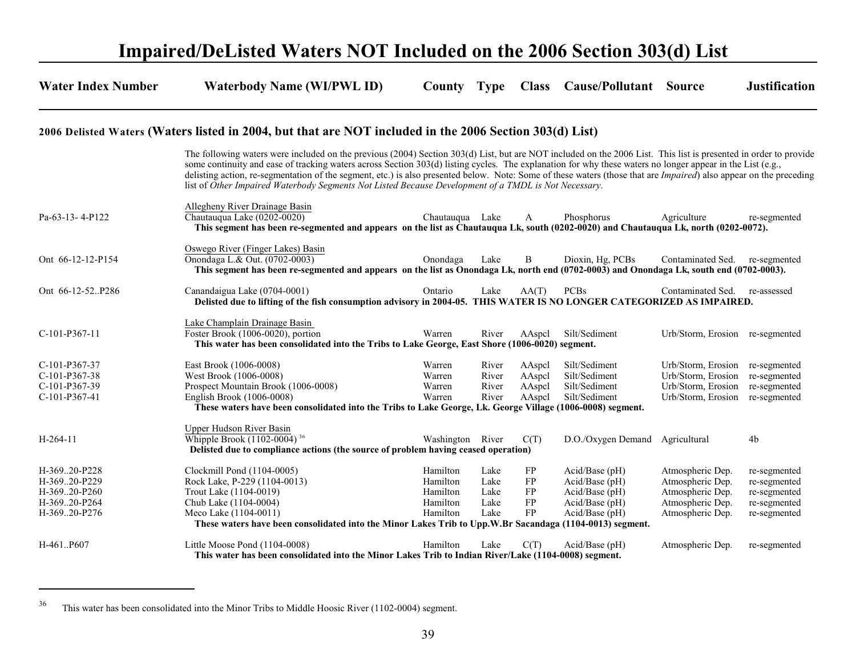| <b>Water Index Number</b>                                                    | <b>Waterbody Name (WI/PWL ID)</b>                                                                                                                                                                                                                                                                                                                                                                                                                                                                                                                                                                                    | County Type                                              |                                      |                                      | Class Cause/Pollutant Source                                                           |                                                                                                  | <b>Justification</b>                                                         |  |  |  |
|------------------------------------------------------------------------------|----------------------------------------------------------------------------------------------------------------------------------------------------------------------------------------------------------------------------------------------------------------------------------------------------------------------------------------------------------------------------------------------------------------------------------------------------------------------------------------------------------------------------------------------------------------------------------------------------------------------|----------------------------------------------------------|--------------------------------------|--------------------------------------|----------------------------------------------------------------------------------------|--------------------------------------------------------------------------------------------------|------------------------------------------------------------------------------|--|--|--|
|                                                                              | 2006 Delisted Waters (Waters listed in 2004, but that are NOT included in the 2006 Section 303(d) List)                                                                                                                                                                                                                                                                                                                                                                                                                                                                                                              |                                                          |                                      |                                      |                                                                                        |                                                                                                  |                                                                              |  |  |  |
|                                                                              | The following waters were included on the previous (2004) Section 303(d) List, but are NOT included on the 2006 List. This list is presented in order to provide<br>some continuity and ease of tracking waters across Section 303(d) listing cycles. The explanation for why these waters no longer appear in the List (e.g.,<br>delisting action, re-segmentation of the segment, etc.) is also presented below. Note: Some of these waters (those that are <i>Impaired</i> ) also appear on the preceding<br>list of Other Impaired Waterbody Segments Not Listed Because Development of a TMDL is Not Necessary. |                                                          |                                      |                                      |                                                                                        |                                                                                                  |                                                                              |  |  |  |
| Pa-63-13-4-P122                                                              | Allegheny River Drainage Basin<br>Chautauqua Lake (0202-0020)<br>This segment has been re-segmented and appears on the list as Chautauqua Lk, south (0202-0020) and Chautauqua Lk, north (0202-0072).                                                                                                                                                                                                                                                                                                                                                                                                                | Chautauqua Lake                                          |                                      | A                                    | Phosphorus                                                                             | Agriculture                                                                                      | re-segmented                                                                 |  |  |  |
| Ont 66-12-12-P154                                                            | Oswego River (Finger Lakes) Basin<br>Onondaga L.& Out. (0702-0003)<br>This segment has been re-segmented and appears on the list as Onondaga Lk, north end (0702-0003) and Onondaga Lk, south end (0702-0003).                                                                                                                                                                                                                                                                                                                                                                                                       | Onondaga                                                 | Lake                                 | B                                    | Dioxin, Hg, PCBs                                                                       | Contaminated Sed. re-segmented                                                                   |                                                                              |  |  |  |
| Ont 66-12-52P286                                                             | Canandaigua Lake (0704-0001)<br>Delisted due to lifting of the fish consumption advisory in 2004-05. THIS WATER IS NO LONGER CATEGORIZED AS IMPAIRED.                                                                                                                                                                                                                                                                                                                                                                                                                                                                | Ontario                                                  | Lake                                 | AA(T)                                | PCBs                                                                                   | Contaminated Sed.                                                                                | re-assessed                                                                  |  |  |  |
| C-101-P367-11                                                                | Lake Champlain Drainage Basin<br>Foster Brook (1006-0020), portion<br>This water has been consolidated into the Tribs to Lake George, East Shore (1006-0020) segment.                                                                                                                                                                                                                                                                                                                                                                                                                                                | Warren                                                   | River                                | AAspel                               | Silt/Sediment                                                                          | Urb/Storm, Erosion re-segmented                                                                  |                                                                              |  |  |  |
| $C-101-P367-37$<br>C-101-P367-38<br>C-101-P367-39<br>C-101-P367-41           | East Brook (1006-0008)<br>West Brook (1006-0008)<br>Prospect Mountain Brook (1006-0008)<br>English Brook (1006-0008)<br>These waters have been consolidated into the Tribs to Lake George, Lk. George Village (1006-0008) segment.                                                                                                                                                                                                                                                                                                                                                                                   | Warren<br>Warren<br>Warren<br>Warren                     | River<br>River<br>River<br>River     | AAspel<br>AAspel<br>AAspel<br>AAspel | Silt/Sediment<br>Silt/Sediment<br>Silt/Sediment<br>Silt/Sediment                       | Urb/Storm, Erosion<br>Urb/Storm, Erosion<br>Urb/Storm, Erosion<br>Urb/Storm, Erosion             | re-segmented<br>re-segmented<br>re-segmented<br>re-segmented                 |  |  |  |
| $H-264-11$                                                                   | <b>Upper Hudson River Basin</b><br>Whipple Brook (1102-0004) <sup>36</sup><br>Delisted due to compliance actions (the source of problem having ceased operation)                                                                                                                                                                                                                                                                                                                                                                                                                                                     | Washington River                                         |                                      | C(T)                                 | D.O./Oxygen Demand Agricultural                                                        |                                                                                                  | 4 <sub>b</sub>                                                               |  |  |  |
| H-36920-P228<br>H-36920-P229<br>H-36920-P260<br>H-36920-P264<br>H-36920-P276 | Clockmill Pond (1104-0005)<br>Rock Lake, P-229 (1104-0013)<br>Trout Lake (1104-0019)<br>Chub Lake (1104-0004)<br>Meco Lake (1104-0011)<br>These waters have been consolidated into the Minor Lakes Trib to Upp.W.Br Sacandaga (1104-0013) segment.                                                                                                                                                                                                                                                                                                                                                                   | Hamilton<br>Hamilton<br>Hamilton<br>Hamilton<br>Hamilton | Lake<br>Lake<br>Lake<br>Lake<br>Lake | FP<br>FP<br>FP<br>FP<br><b>FP</b>    | Acid/Base (pH)<br>Acid/Base (pH)<br>Acid/Base (pH)<br>Acid/Base (pH)<br>Acid/Base (pH) | Atmospheric Dep.<br>Atmospheric Dep.<br>Atmospheric Dep.<br>Atmospheric Dep.<br>Atmospheric Dep. | re-segmented<br>re-segmented<br>re-segmented<br>re-segmented<br>re-segmented |  |  |  |
| H-461P607                                                                    | Little Moose Pond (1104-0008)<br>This water has been consolidated into the Minor Lakes Trib to Indian River/Lake (1104-0008) segment.                                                                                                                                                                                                                                                                                                                                                                                                                                                                                | Hamilton                                                 | Lake                                 | C(T)                                 | Acid/Base (pH)                                                                         | Atmospheric Dep.                                                                                 | re-segmented                                                                 |  |  |  |

This water has been consolidated into the Minor Tribs to Middle Hoosic River (1102-0004) segment. 36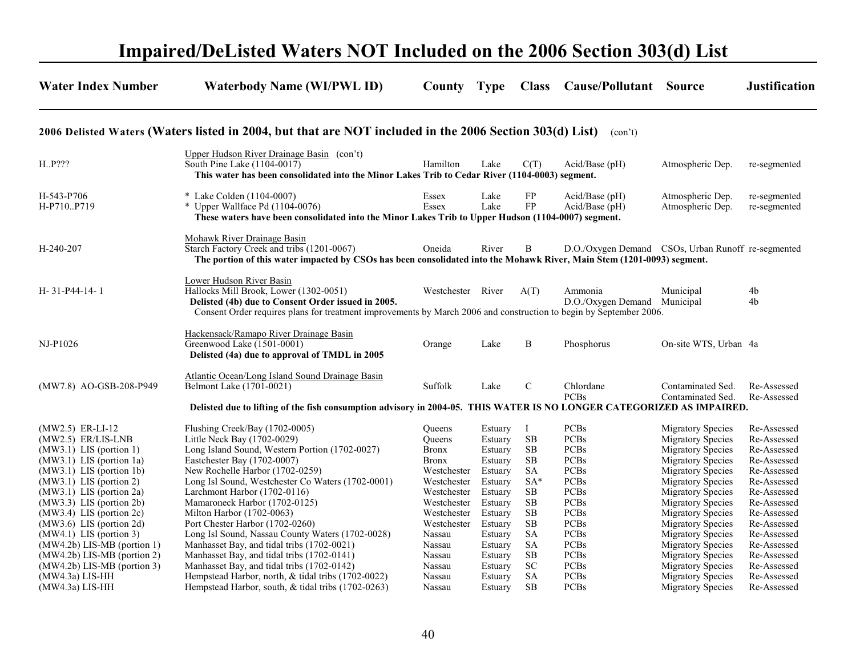# **Impaired/DeListed Waters NOT Included on the 2006 Section 303(d) List**

| <b>Water Index Number</b>                                                                     | <b>Waterbody Name (WI/PWL ID)</b>                                                                                                                                                                                                              | County Type                               |                               | <b>Class</b>                                  | <b>Cause/Pollutant</b>                             | <b>Source</b>                                                                    | <b>Justification</b>                      |
|-----------------------------------------------------------------------------------------------|------------------------------------------------------------------------------------------------------------------------------------------------------------------------------------------------------------------------------------------------|-------------------------------------------|-------------------------------|-----------------------------------------------|----------------------------------------------------|----------------------------------------------------------------------------------|-------------------------------------------|
|                                                                                               | 2006 Delisted Waters (Waters listed in 2004, but that are NOT included in the 2006 Section 303(d) List)                                                                                                                                        |                                           |                               |                                               | (con't)                                            |                                                                                  |                                           |
| H.P???                                                                                        | Upper Hudson River Drainage Basin (con't)<br>South Pine Lake (1104-0017)<br>This water has been consolidated into the Minor Lakes Trib to Cedar River (1104-0003) segment.                                                                     | Hamilton                                  | Lake                          | C(T)                                          | Acid/Base (pH)                                     | Atmospheric Dep.                                                                 | re-segmented                              |
| H-543-P706<br>H-P710P719                                                                      | * Lake Colden (1104-0007)<br>* Upper Wallface Pd (1104-0076)<br>These waters have been consolidated into the Minor Lakes Trib to Upper Hudson (1104-0007) segment.                                                                             | Essex<br>Essex                            | Lake<br>Lake                  | FP<br>FP                                      | $Acid/Base$ (pH)<br>$Acid/Base$ (pH)               | Atmospheric Dep.<br>Atmospheric Dep.                                             | re-segmented<br>re-segmented              |
| H-240-207                                                                                     | Mohawk River Drainage Basin<br>Starch Factory Creek and tribs (1201-0067)<br>The portion of this water impacted by CSOs has been consolidated into the Mohawk River, Main Stem (1201-0093) segment.                                            | Oneida                                    | River                         | B                                             | D.O./Oxygen Demand CSOs, Urban Runoff re-segmented |                                                                                  |                                           |
| H-31-P44-14-1                                                                                 | Lower Hudson River Basin<br>Hallocks Mill Brook, Lower (1302-0051)<br>Delisted (4b) due to Consent Order issued in 2005.<br>Consent Order requires plans for treatment improvements by March 2006 and construction to begin by September 2006. | Westchester River                         |                               | A(T)                                          | Ammonia<br>D.O./Oxygen Demand Municipal            | Municipal                                                                        | 4b<br>4b                                  |
| NJ-P1026                                                                                      | Hackensack/Ramapo River Drainage Basin<br>Greenwood Lake (1501-0001)<br>Delisted (4a) due to approval of TMDL in 2005                                                                                                                          | Orange                                    | Lake                          | B                                             | Phosphorus                                         | On-site WTS, Urban 4a                                                            |                                           |
| (MW7.8) AO-GSB-208-P949                                                                       | Atlantic Ocean/Long Island Sound Drainage Basin<br>Belmont Lake (1701-0021)                                                                                                                                                                    | Suffolk                                   | Lake                          | $\mathsf{C}$                                  | Chlordane<br><b>PCBs</b>                           | Contaminated Sed.<br>Contaminated Sed.                                           | Re-Assessed<br>Re-Assessed                |
|                                                                                               | Delisted due to lifting of the fish consumption advisory in 2004-05. THIS WATER IS NO LONGER CATEGORIZED AS IMPAIRED.                                                                                                                          |                                           |                               |                                               |                                                    |                                                                                  |                                           |
| (MW2.5) ER-LI-12                                                                              | Flushing Creek/Bay (1702-0005)                                                                                                                                                                                                                 | Queens                                    | Estuary                       | $\mathbf{I}$                                  | <b>PCBs</b>                                        | <b>Migratory Species</b>                                                         | Re-Assessed                               |
| (MW2.5) ER/LIS-LNB<br>$(MW3.1)$ LIS (portion 1)<br>$(MW3.1)$ LIS (portion 1a)                 | Little Neck Bay (1702-0029)<br>Long Island Sound, Western Portion (1702-0027)<br>Eastchester Bay (1702-0007)                                                                                                                                   | Queens<br><b>Bronx</b><br><b>Bronx</b>    | Estuary<br>Estuary<br>Estuary | SB<br>${\bf SB}$<br><b>SB</b>                 | <b>PCBs</b><br><b>PCBs</b><br><b>PCBs</b>          | <b>Migratory Species</b><br><b>Migratory Species</b><br><b>Migratory Species</b> | Re-Assessed<br>Re-Assessed<br>Re-Assessed |
| (MW3.1) LIS (portion 1b)<br>$(MW3.1)$ LIS (portion 2)                                         | New Rochelle Harbor (1702-0259)<br>Long Isl Sound, Westchester Co Waters (1702-0001)                                                                                                                                                           | Westchester<br>Westchester                | Estuary<br>Estuary            | <b>SA</b><br>$SA*$                            | <b>PCBs</b><br><b>PCBs</b>                         | <b>Migratory Species</b><br><b>Migratory Species</b>                             | Re-Assessed<br>Re-Assessed                |
| $(MW3.1)$ LIS (portion 2a)<br>$(MW3.3)$ LIS (portion 2b)<br>$(MW3.4)$ LIS (portion 2c)        | Larchmont Harbor (1702-0116)<br>Mamaroneck Harbor (1702-0125)<br>Milton Harbor (1702-0063)                                                                                                                                                     | Westchester<br>Westchester<br>Westchester | Estuary<br>Estuary<br>Estuary | ${\bf SB}$<br>${\bf SB}$<br>${\bf SB}$        | <b>PCBs</b><br><b>PCBs</b><br><b>PCBs</b>          | Migratory Species<br><b>Migratory Species</b><br><b>Migratory Species</b>        | Re-Assessed<br>Re-Assessed<br>Re-Assessed |
| $(MW3.6)$ LIS (portion 2d)<br>$(MW4.1)$ LIS (portion 3)                                       | Port Chester Harbor (1702-0260)<br>Long Isl Sound, Nassau County Waters (1702-0028)                                                                                                                                                            | Westchester<br>Nassau                     | Estuary<br>Estuary            | $\rm SB$<br><b>SA</b>                         | <b>PCBs</b><br><b>PCBs</b>                         | <b>Migratory Species</b><br><b>Migratory Species</b>                             | Re-Assessed<br>Re-Assessed                |
| (MW4.2b) LIS-MB (portion 1)<br>$(MW4.2b)$ LIS-MB (portion 2)<br>$(MW4.2b)$ LIS-MB (portion 3) | Manhasset Bay, and tidal tribs (1702-0021)<br>Manhasset Bay, and tidal tribs (1702-0141)<br>Manhasset Bay, and tidal tribs (1702-0142)                                                                                                         | Nassau<br>Nassau<br>Nassau                | Estuary<br>Estuary<br>Estuary | $\operatorname{SA}$<br><b>SB</b><br><b>SC</b> | PCBs<br><b>PCBs</b><br><b>PCBs</b>                 | <b>Migratory Species</b><br><b>Migratory Species</b><br><b>Migratory Species</b> | Re-Assessed<br>Re-Assessed<br>Re-Assessed |
| (MW4.3a) LIS-HH<br>(MW4.3a) LIS-HH                                                            | Hempstead Harbor, north, & tidal tribs (1702-0022)<br>Hempstead Harbor, south, & tidal tribs (1702-0263)                                                                                                                                       | Nassau<br>Nassau                          | Estuary<br>Estuary            | <b>SA</b><br>SB                               | <b>PCBs</b><br><b>PCBs</b>                         | <b>Migratory Species</b><br><b>Migratory Species</b>                             | Re-Assessed<br>Re-Assessed                |